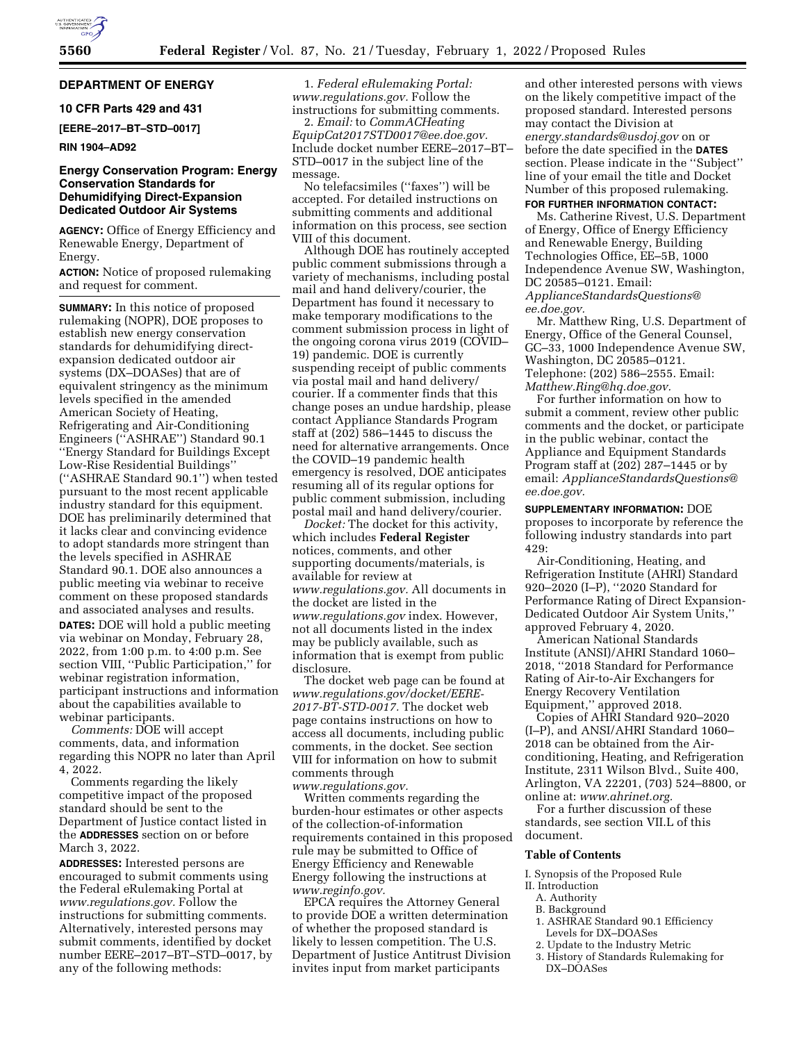# **DEPARTMENT OF ENERGY**

### **10 CFR Parts 429 and 431**

**[EERE–2017–BT–STD–0017]** 

### **RIN 1904–AD92**

# **Energy Conservation Program: Energy Conservation Standards for Dehumidifying Direct-Expansion Dedicated Outdoor Air Systems**

**AGENCY:** Office of Energy Efficiency and Renewable Energy, Department of Energy.

**ACTION:** Notice of proposed rulemaking and request for comment.

**SUMMARY:** In this notice of proposed rulemaking (NOPR), DOE proposes to establish new energy conservation standards for dehumidifying directexpansion dedicated outdoor air systems (DX–DOASes) that are of equivalent stringency as the minimum levels specified in the amended American Society of Heating, Refrigerating and Air-Conditioning Engineers (''ASHRAE'') Standard 90.1 ''Energy Standard for Buildings Except Low-Rise Residential Buildings'' (''ASHRAE Standard 90.1'') when tested pursuant to the most recent applicable industry standard for this equipment. DOE has preliminarily determined that it lacks clear and convincing evidence to adopt standards more stringent than the levels specified in ASHRAE Standard 90.1. DOE also announces a public meeting via webinar to receive comment on these proposed standards and associated analyses and results. **DATES:** DOE will hold a public meeting via webinar on Monday, February 28, 2022, from 1:00 p.m. to 4:00 p.m. See section VIII, ''Public Participation,'' for webinar registration information, participant instructions and information about the capabilities available to webinar participants.

*Comments:* DOE will accept comments, data, and information regarding this NOPR no later than April 4, 2022.

Comments regarding the likely competitive impact of the proposed standard should be sent to the Department of Justice contact listed in the **ADDRESSES** section on or before March 3, 2022.

**ADDRESSES:** Interested persons are encouraged to submit comments using the Federal eRulemaking Portal at *[www.regulations.gov.](http://www.regulations.gov)* Follow the instructions for submitting comments. Alternatively, interested persons may submit comments, identified by docket number EERE–2017–BT–STD–0017, by any of the following methods:

1. *Federal eRulemaking Portal: [www.regulations.gov.](http://www.regulations.gov)* Follow the instructions for submitting comments.

2. *Email:* to *[CommACHeating](mailto:CommACHeatingEquipCat2017STD0017@ee.doe.gov) [EquipCat2017STD0017@ee.doe.gov.](mailto:CommACHeatingEquipCat2017STD0017@ee.doe.gov)*  Include docket number EERE–2017–BT– STD–0017 in the subject line of the message.

No telefacsimiles (''faxes'') will be accepted. For detailed instructions on submitting comments and additional information on this process, see section VIII of this document.

Although DOE has routinely accepted public comment submissions through a variety of mechanisms, including postal mail and hand delivery/courier, the Department has found it necessary to make temporary modifications to the comment submission process in light of the ongoing corona virus 2019 (COVID– 19) pandemic. DOE is currently suspending receipt of public comments via postal mail and hand delivery/ courier. If a commenter finds that this change poses an undue hardship, please contact Appliance Standards Program staff at (202) 586–1445 to discuss the need for alternative arrangements. Once the COVID–19 pandemic health emergency is resolved, DOE anticipates resuming all of its regular options for public comment submission, including postal mail and hand delivery/courier.

*Docket:* The docket for this activity, which includes **Federal Register**  notices, comments, and other supporting documents/materials, is available for review at *[www.regulations.gov.](http://www.regulations.gov)* All documents in the docket are listed in the *[www.regulations.gov](http://www.regulations.gov)* index. However, not all documents listed in the index may be publicly available, such as information that is exempt from public disclosure.

The docket web page can be found at *[www.regulations.gov/docket/EERE-](http://www.regulations.gov/docket/EERE-2017-BT-STD-0017)[2017-BT-STD-0017.](http://www.regulations.gov/docket/EERE-2017-BT-STD-0017)* The docket web page contains instructions on how to access all documents, including public comments, in the docket. See section VIII for information on how to submit comments through

*[www.regulations.gov.](http://www.regulations.gov)*  Written comments regarding the burden-hour estimates or other aspects of the collection-of-information requirements contained in this proposed rule may be submitted to Office of Energy Efficiency and Renewable Energy following the instructions at *[www.reginfo.gov.](http://www.reginfo.gov)* 

EPCA requires the Attorney General to provide DOE a written determination of whether the proposed standard is likely to lessen competition. The U.S. Department of Justice Antitrust Division invites input from market participants

and other interested persons with views on the likely competitive impact of the proposed standard. Interested persons may contact the Division at *[energy.standards@usdoj.gov](mailto:energy.standards@usdoj.gov)* on or before the date specified in the **DATES** section. Please indicate in the ''Subject'' line of your email the title and Docket Number of this proposed rulemaking.

# **FOR FURTHER INFORMATION CONTACT:**

Ms. Catherine Rivest, U.S. Department of Energy, Office of Energy Efficiency and Renewable Energy, Building Technologies Office, EE–5B, 1000 Independence Avenue SW, Washington, DC 20585–0121. Email:

*[ApplianceStandardsQuestions@](mailto:ApplianceStandardsQuestions@ee.doe.gov) [ee.doe.gov.](mailto:ApplianceStandardsQuestions@ee.doe.gov)* 

Mr. Matthew Ring, U.S. Department of Energy, Office of the General Counsel, GC–33, 1000 Independence Avenue SW, Washington, DC 20585–0121. Telephone: (202) 586–2555. Email: *[Matthew.Ring@hq.doe.gov.](mailto:Matthew.Ring@hq.doe.gov)* 

For further information on how to submit a comment, review other public comments and the docket, or participate in the public webinar, contact the Appliance and Equipment Standards Program staff at (202) 287–1445 or by email: *[ApplianceStandardsQuestions@](mailto:ApplianceStandardsQuestions@ee.doe.gov) [ee.doe.gov.](mailto:ApplianceStandardsQuestions@ee.doe.gov)* 

#### **SUPPLEMENTARY INFORMATION:** DOE

proposes to incorporate by reference the following industry standards into part 429:

Air-Conditioning, Heating, and Refrigeration Institute (AHRI) Standard 920–2020 (I–P), ''2020 Standard for Performance Rating of Direct Expansion-Dedicated Outdoor Air System Units,'' approved February 4, 2020.

American National Standards Institute (ANSI)/AHRI Standard 1060– 2018, ''2018 Standard for Performance Rating of Air-to-Air Exchangers for Energy Recovery Ventilation Equipment,'' approved 2018.

Copies of AHRI Standard 920–2020 (I–P), and ANSI/AHRI Standard 1060– 2018 can be obtained from the Airconditioning, Heating, and Refrigeration Institute, 2311 Wilson Blvd., Suite 400, Arlington, VA 22201, (703) 524–8800, or online at: *[www.ahrinet.org.](http://www.ahrinet.org)* 

For a further discussion of these standards, see section VII.L of this document.

#### **Table of Contents**

I. Synopsis of the Proposed Rule

- II. Introduction
	- A. Authority
	- B. Background
	- 1. ASHRAE Standard 90.1 Efficiency Levels for DX–DOASes
	- 2. Update to the Industry Metric
	- 3. History of Standards Rulemaking for DX–DOASes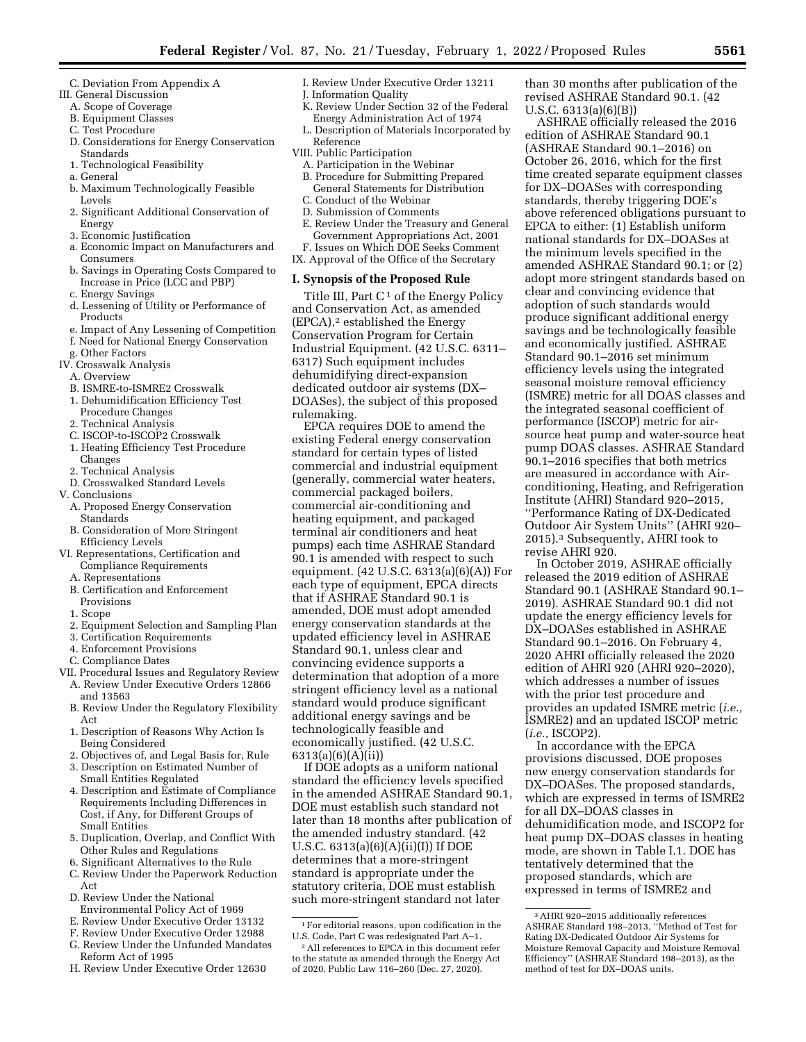- C. Deviation From Appendix A
- III. General Discussion
	- A. Scope of Coverage
	- B. Equipment Classes
	- C. Test Procedure
	- D. Considerations for Energy Conservation Standards
	- 1. Technological Feasibility
	- a. General
	- b. Maximum Technologically Feasible Levels
	- 2. Significant Additional Conservation of Energy
	- 3. Economic Justification
	- a. Economic Impact on Manufacturers and Consumers
	- b. Savings in Operating Costs Compared to Increase in Price (LCC and PBP)
	- c. Energy Savings
	- d. Lessening of Utility or Performance of Products
	- e. Impact of Any Lessening of Competition
	- f. Need for National Energy Conservation
- g. Other Factors IV. Crosswalk Analysis
	- A. Overview
	-
	- B. ISMRE-to-ISMRE2 Crosswalk 1. Dehumidification Efficiency Test
	- Procedure Changes
	- 2. Technical Analysis
	- C. ISCOP-to-ISCOP2 Crosswalk
	- 1. Heating Efficiency Test Procedure Changes
	- 2. Technical Analysis
- D. Crosswalked Standard Levels
- V. Conclusions
	- A. Proposed Energy Conservation Standards
	- B. Consideration of More Stringent Efficiency Levels
- VI. Representations, Certification and Compliance Requirements
	- A. Representations
	- B. Certification and Enforcement Provisions
	- 1. Scope
	- 2. Equipment Selection and Sampling Plan
	- 3. Certification Requirements
	- 4. Enforcement Provisions
	- C. Compliance Dates
- VII. Procedural Issues and Regulatory Review A. Review Under Executive Orders 12866 and 13563
	- B. Review Under the Regulatory Flexibility Act
	- 1. Description of Reasons Why Action Is Being Considered
	- 2. Objectives of, and Legal Basis for, Rule 3. Description on Estimated Number of
	- Small Entities Regulated 4. Description and Estimate of Compliance
	- Requirements Including Differences in Cost, if Any, for Different Groups of Small Entities
	- 5. Duplication, Overlap, and Conflict With Other Rules and Regulations
	- 6. Significant Alternatives to the Rule
	- C. Review Under the Paperwork Reduction Act
	- D. Review Under the National Environmental Policy Act of 1969
	- E. Review Under Executive Order 13132
	- F. Review Under Executive Order 12988
	- G. Review Under the Unfunded Mandates Reform Act of 1995
	- H. Review Under Executive Order 12630
- I. Review Under Executive Order 13211
- J. Information Quality
- K. Review Under Section 32 of the Federal Energy Administration Act of 1974
- L. Description of Materials Incorporated by Reference
- VIII. Public Participation
- A. Participation in the Webinar
- B. Procedure for Submitting Prepared General Statements for Distribution
- C. Conduct of the Webinar
- D. Submission of Comments E. Review Under the Treasury and General
- Government Appropriations Act, 2001 F. Issues on Which DOE Seeks Comment
- IX. Approval of the Office of the Secretary

### **I. Synopsis of the Proposed Rule**

Title III, Part  $C<sup>1</sup>$  of the Energy Policy and Conservation Act, as amended  $(EPCA)<sup>2</sup>$  established the Energy Conservation Program for Certain Industrial Equipment. (42 U.S.C. 6311– 6317) Such equipment includes dehumidifying direct-expansion dedicated outdoor air systems (DX– DOASes), the subject of this proposed rulemaking.

EPCA requires DOE to amend the existing Federal energy conservation standard for certain types of listed commercial and industrial equipment (generally, commercial water heaters, commercial packaged boilers, commercial air-conditioning and heating equipment, and packaged terminal air conditioners and heat pumps) each time ASHRAE Standard 90.1 is amended with respect to such equipment. (42 U.S.C. 6313(a)(6)(A)) For each type of equipment, EPCA directs that if ASHRAE Standard 90.1 is amended, DOE must adopt amended energy conservation standards at the updated efficiency level in ASHRAE Standard 90.1, unless clear and convincing evidence supports a determination that adoption of a more stringent efficiency level as a national standard would produce significant additional energy savings and be technologically feasible and economically justified. (42 U.S.C. 6313(a)(6)(A)(ii))

If DOE adopts as a uniform national standard the efficiency levels specified in the amended ASHRAE Standard 90.1, DOE must establish such standard not later than 18 months after publication of the amended industry standard. (42 U.S.C. 6313(a)(6)(A)(ii)(I)) If DOE determines that a more-stringent standard is appropriate under the statutory criteria, DOE must establish such more-stringent standard not later

than 30 months after publication of the revised ASHRAE Standard 90.1. (42 U.S.C. 6313(a)(6)(B))

ASHRAE officially released the 2016 edition of ASHRAE Standard 90.1 (ASHRAE Standard 90.1–2016) on October 26, 2016, which for the first time created separate equipment classes for DX–DOASes with corresponding standards, thereby triggering DOE's above referenced obligations pursuant to EPCA to either: (1) Establish uniform national standards for DX–DOASes at the minimum levels specified in the amended ASHRAE Standard 90.1; or (2) adopt more stringent standards based on clear and convincing evidence that adoption of such standards would produce significant additional energy savings and be technologically feasible and economically justified. ASHRAE Standard 90.1–2016 set minimum efficiency levels using the integrated seasonal moisture removal efficiency (ISMRE) metric for all DOAS classes and the integrated seasonal coefficient of performance (ISCOP) metric for airsource heat pump and water-source heat pump DOAS classes. ASHRAE Standard 90.1–2016 specifies that both metrics are measured in accordance with Airconditioning, Heating, and Refrigeration Institute (AHRI) Standard 920–2015, ''Performance Rating of DX-Dedicated Outdoor Air System Units'' (AHRI 920– 2015).3 Subsequently, AHRI took to revise AHRI 920.

In October 2019, ASHRAE officially released the 2019 edition of ASHRAE Standard 90.1 (ASHRAE Standard 90.1– 2019). ASHRAE Standard 90.1 did not update the energy efficiency levels for DX–DOASes established in ASHRAE Standard 90.1–2016. On February 4, 2020 AHRI officially released the 2020 edition of AHRI 920 (AHRI 920–2020), which addresses a number of issues with the prior test procedure and provides an updated ISMRE metric (*i.e.,*  ISMRE2) and an updated ISCOP metric (*i.e.,* ISCOP2).

In accordance with the EPCA provisions discussed, DOE proposes new energy conservation standards for DX–DOASes. The proposed standards, which are expressed in terms of ISMRE2 for all DX–DOAS classes in dehumidification mode, and ISCOP2 for heat pump DX–DOAS classes in heating mode, are shown in Table I.1. DOE has tentatively determined that the proposed standards, which are expressed in terms of ISMRE2 and

<sup>1</sup>For editorial reasons, upon codification in the U.S. Code, Part C was redesignated Part A–1.

<sup>2</sup>All references to EPCA in this document refer to the statute as amended through the Energy Act of 2020, Public Law 116–260 (Dec. 27, 2020).

<sup>3</sup>AHRI 920–2015 additionally references ASHRAE Standard 198–2013, ''Method of Test for Rating DX-Dedicated Outdoor Air Systems for Moisture Removal Capacity and Moisture Removal Efficiency'' (ASHRAE Standard 198–2013), as the method of test for DX–DOAS units.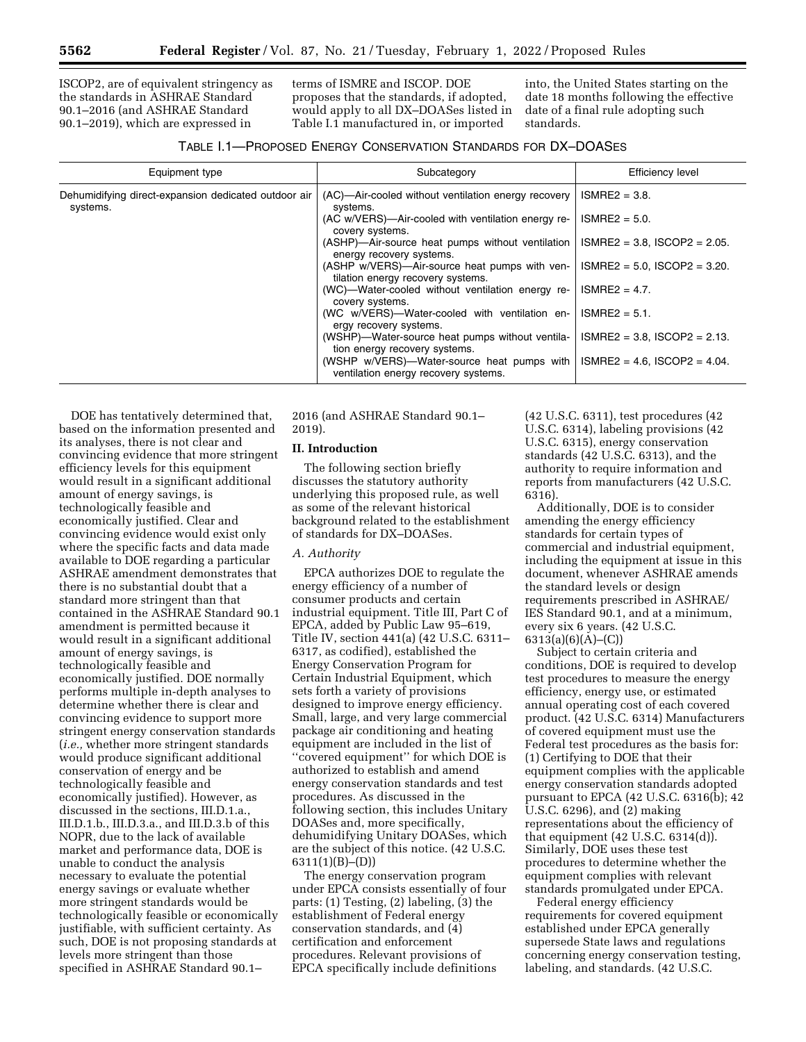ISCOP2, are of equivalent stringency as the standards in ASHRAE Standard 90.1–2016 (and ASHRAE Standard 90.1–2019), which are expressed in

terms of ISMRE and ISCOP. DOE proposes that the standards, if adopted, would apply to all DX–DOASes listed in Table I.1 manufactured in, or imported

into, the United States starting on the date 18 months following the effective date of a final rule adopting such standards.

| TABLE 1.1-PROPOSED ENERGY CONSERVATION STANDARDS FOR DX-DOASES |  |  |
|----------------------------------------------------------------|--|--|
|----------------------------------------------------------------|--|--|

| Equipment type                                                   | Subcategory                                                                        | Efficiency level                   |
|------------------------------------------------------------------|------------------------------------------------------------------------------------|------------------------------------|
| Dehumidifying direct-expansion dedicated outdoor air<br>systems. | (AC)—Air-cooled without ventilation energy recovery<br>systems.                    | $ISMRE2 = 3.8$ .                   |
|                                                                  | (AC w/VERS)—Air-cooled with ventilation energy re-<br>covery systems.              | $ISMRE2 = 5.0$ .                   |
|                                                                  | (ASHP)-Air-source heat pumps without ventilation<br>energy recovery systems.       | $ISMRE2 = 3.8$ , $ISCOP2 = 2.05$ . |
|                                                                  | (ASHP w/VERS)—Air-source heat pumps with ven-<br>tilation energy recovery systems. | $ISMRE2 = 5.0$ , $ISCOP2 = 3.20$ . |
|                                                                  | (WC)-Water-cooled without ventilation energy re-<br>covery systems.                | $ISMRE2 = 4.7$ .                   |
|                                                                  | (WC w/VERS)-Water-cooled with ventilation en-<br>ergy recovery systems.            | $ISMRE2 = 5.1$ .                   |
|                                                                  | (WSHP)—Water-source heat pumps without ventila-<br>tion energy recovery systems.   | $ISMRE2 = 3.8$ , $ISCOP2 = 2.13$ . |
|                                                                  | (WSHP w/VERS)—Water-source heat pumps with<br>ventilation energy recovery systems. | $ISMRE2 = 4.6$ , $ISCOP2 = 4.04$ . |

DOE has tentatively determined that, based on the information presented and its analyses, there is not clear and convincing evidence that more stringent efficiency levels for this equipment would result in a significant additional amount of energy savings, is technologically feasible and economically justified. Clear and convincing evidence would exist only where the specific facts and data made available to DOE regarding a particular ASHRAE amendment demonstrates that there is no substantial doubt that a standard more stringent than that contained in the ASHRAE Standard 90.1 amendment is permitted because it would result in a significant additional amount of energy savings, is technologically feasible and economically justified. DOE normally performs multiple in-depth analyses to determine whether there is clear and convincing evidence to support more stringent energy conservation standards (*i.e.,* whether more stringent standards would produce significant additional conservation of energy and be technologically feasible and economically justified). However, as discussed in the sections, III.D.1.a., III.D.1.b., III.D.3.a., and III.D.3.b of this NOPR, due to the lack of available market and performance data, DOE is unable to conduct the analysis necessary to evaluate the potential energy savings or evaluate whether more stringent standards would be technologically feasible or economically justifiable, with sufficient certainty. As such, DOE is not proposing standards at levels more stringent than those specified in ASHRAE Standard 90.1–

2016 (and ASHRAE Standard 90.1– 2019).

# **II. Introduction**

The following section briefly discusses the statutory authority underlying this proposed rule, as well as some of the relevant historical background related to the establishment of standards for DX–DOASes.

#### *A. Authority*

EPCA authorizes DOE to regulate the energy efficiency of a number of consumer products and certain industrial equipment. Title III, Part C of EPCA, added by Public Law 95–619, Title IV, section 441(a) (42 U.S.C. 6311– 6317, as codified), established the Energy Conservation Program for Certain Industrial Equipment, which sets forth a variety of provisions designed to improve energy efficiency. Small, large, and very large commercial package air conditioning and heating equipment are included in the list of ''covered equipment'' for which DOE is authorized to establish and amend energy conservation standards and test procedures. As discussed in the following section, this includes Unitary DOASes and, more specifically, dehumidifying Unitary DOASes, which are the subject of this notice. (42 U.S.C. 6311(1)(B)–(D))

The energy conservation program under EPCA consists essentially of four parts: (1) Testing, (2) labeling, (3) the establishment of Federal energy conservation standards, and (4) certification and enforcement procedures. Relevant provisions of EPCA specifically include definitions

(42 U.S.C. 6311), test procedures (42 U.S.C. 6314), labeling provisions (42 U.S.C. 6315), energy conservation standards (42 U.S.C. 6313), and the authority to require information and reports from manufacturers (42 U.S.C. 6316).

Additionally, DOE is to consider amending the energy efficiency standards for certain types of commercial and industrial equipment, including the equipment at issue in this document, whenever ASHRAE amends the standard levels or design requirements prescribed in ASHRAE/ IES Standard 90.1, and at a minimum, every six 6 years. (42 U.S.C.  $6313(a)(6)(A)–(C))$ 

Subject to certain criteria and conditions, DOE is required to develop test procedures to measure the energy efficiency, energy use, or estimated annual operating cost of each covered product. (42 U.S.C. 6314) Manufacturers of covered equipment must use the Federal test procedures as the basis for: (1) Certifying to DOE that their equipment complies with the applicable energy conservation standards adopted pursuant to EPCA (42 U.S.C. 6316(b); 42 U.S.C. 6296), and (2) making representations about the efficiency of that equipment (42 U.S.C. 6314(d)). Similarly, DOE uses these test procedures to determine whether the equipment complies with relevant standards promulgated under EPCA.

Federal energy efficiency requirements for covered equipment established under EPCA generally supersede State laws and regulations concerning energy conservation testing, labeling, and standards. (42 U.S.C.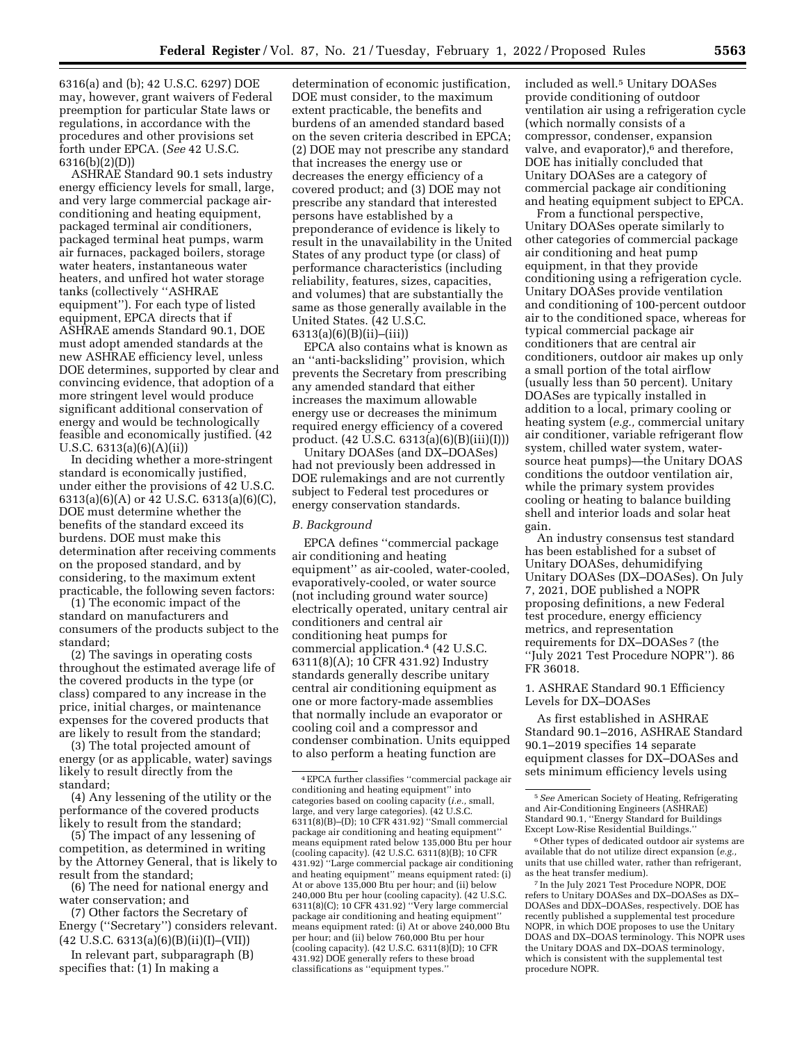6316(a) and (b); 42 U.S.C. 6297) DOE may, however, grant waivers of Federal preemption for particular State laws or regulations, in accordance with the procedures and other provisions set forth under EPCA. (*See* 42 U.S.C. 6316(b)(2)(D))

ASHRAE Standard 90.1 sets industry energy efficiency levels for small, large, and very large commercial package airconditioning and heating equipment, packaged terminal air conditioners, packaged terminal heat pumps, warm air furnaces, packaged boilers, storage water heaters, instantaneous water heaters, and unfired hot water storage tanks (collectively ''ASHRAE equipment''). For each type of listed equipment, EPCA directs that if ASHRAE amends Standard 90.1, DOE must adopt amended standards at the new ASHRAE efficiency level, unless DOE determines, supported by clear and convincing evidence, that adoption of a more stringent level would produce significant additional conservation of energy and would be technologically feasible and economically justified. (42 U.S.C. 6313(a)(6)(A)(ii))

In deciding whether a more-stringent standard is economically justified, under either the provisions of 42 U.S.C. 6313(a)(6)(A) or 42 U.S.C. 6313(a)(6)(C), DOE must determine whether the benefits of the standard exceed its burdens. DOE must make this determination after receiving comments on the proposed standard, and by considering, to the maximum extent practicable, the following seven factors:

(1) The economic impact of the standard on manufacturers and consumers of the products subject to the standard;

(2) The savings in operating costs throughout the estimated average life of the covered products in the type (or class) compared to any increase in the price, initial charges, or maintenance expenses for the covered products that are likely to result from the standard;

(3) The total projected amount of energy (or as applicable, water) savings likely to result directly from the standard;

(4) Any lessening of the utility or the performance of the covered products likely to result from the standard;

(5) The impact of any lessening of competition, as determined in writing by the Attorney General, that is likely to result from the standard;

(6) The need for national energy and water conservation; and

(7) Other factors the Secretary of Energy (''Secretary'') considers relevant. (42 U.S.C. 6313(a)(6)(B)(ii)(I)–(VII))

In relevant part, subparagraph (B) specifies that: (1) In making a

determination of economic justification, DOE must consider, to the maximum extent practicable, the benefits and burdens of an amended standard based on the seven criteria described in EPCA; (2) DOE may not prescribe any standard that increases the energy use or decreases the energy efficiency of a covered product; and (3) DOE may not prescribe any standard that interested persons have established by a preponderance of evidence is likely to result in the unavailability in the United States of any product type (or class) of performance characteristics (including reliability, features, sizes, capacities, and volumes) that are substantially the same as those generally available in the United States. (42 U.S.C. 6313(a)(6)(B)(ii)–(iii))

EPCA also contains what is known as an ''anti-backsliding'' provision, which prevents the Secretary from prescribing any amended standard that either increases the maximum allowable energy use or decreases the minimum required energy efficiency of a covered product. (42 U.S.C. 6313(a)(6)(B)(iii)(I)))

Unitary DOASes (and DX–DOASes) had not previously been addressed in DOE rulemakings and are not currently subject to Federal test procedures or energy conservation standards.

# *B. Background*

EPCA defines ''commercial package air conditioning and heating equipment'' as air-cooled, water-cooled, evaporatively-cooled, or water source (not including ground water source) electrically operated, unitary central air conditioners and central air conditioning heat pumps for commercial application.4 (42 U.S.C. 6311(8)(A); 10 CFR 431.92) Industry standards generally describe unitary central air conditioning equipment as one or more factory-made assemblies that normally include an evaporator or cooling coil and a compressor and condenser combination. Units equipped to also perform a heating function are

included as well.<sup>5</sup> Unitary DOASes provide conditioning of outdoor ventilation air using a refrigeration cycle (which normally consists of a compressor, condenser, expansion valve, and evaporator), $6$  and therefore, DOE has initially concluded that Unitary DOASes are a category of commercial package air conditioning and heating equipment subject to EPCA.

From a functional perspective, Unitary DOASes operate similarly to other categories of commercial package air conditioning and heat pump equipment, in that they provide conditioning using a refrigeration cycle. Unitary DOASes provide ventilation and conditioning of 100-percent outdoor air to the conditioned space, whereas for typical commercial package air conditioners that are central air conditioners, outdoor air makes up only a small portion of the total airflow (usually less than 50 percent). Unitary DOASes are typically installed in addition to a local, primary cooling or heating system (*e.g.,* commercial unitary air conditioner, variable refrigerant flow system, chilled water system, watersource heat pumps)—the Unitary DOAS conditions the outdoor ventilation air, while the primary system provides cooling or heating to balance building shell and interior loads and solar heat gain.

An industry consensus test standard has been established for a subset of Unitary DOASes, dehumidifying Unitary DOASes (DX–DOASes). On July 7, 2021, DOE published a NOPR proposing definitions, a new Federal test procedure, energy efficiency metrics, and representation requirements for DX–DOASes 7 (the ''July 2021 Test Procedure NOPR''). 86 FR 36018.

1. ASHRAE Standard 90.1 Efficiency Levels for DX–DOASes

As first established in ASHRAE Standard 90.1–2016, ASHRAE Standard 90.1–2019 specifies 14 separate equipment classes for DX–DOASes and sets minimum efficiency levels using

<sup>4</sup>EPCA further classifies ''commercial package air conditioning and heating equipment'' into categories based on cooling capacity (*i.e.,* small, large, and very large categories). (42 U.S.C. 6311(8)(B)–(D); 10 CFR 431.92) ''Small commercial package air conditioning and heating equipment'' means equipment rated below 135,000 Btu per hour (cooling capacity). (42 U.S.C. 6311(8)(B); 10 CFR 431.92) ''Large commercial package air conditioning and heating equipment'' means equipment rated: (i) At or above 135,000 Btu per hour; and (ii) below 240,000 Btu per hour (cooling capacity). (42 U.S.C. 6311(8)(C); 10 CFR 431.92) ''Very large commercial package air conditioning and heating equipment'' means equipment rated: (i) At or above 240,000 Btu per hour; and (ii) below 760,000 Btu per hour (cooling capacity). (42 U.S.C. 6311(8)(D); 10 CFR 431.92) DOE generally refers to these broad classifications as ''equipment types.''

<sup>5</sup>*See* American Society of Heating, Refrigerating and Air-Conditioning Engineers (ASHRAE) Standard 90.1, ''Energy Standard for Buildings Except Low-Rise Residential Buildings.''

<sup>6</sup>Other types of dedicated outdoor air systems are available that do not utilize direct expansion (*e.g.,*  units that use chilled water, rather than refrigerant, as the heat transfer medium).

<sup>7</sup> In the July 2021 Test Procedure NOPR, DOE refers to Unitary DOASes and DX–DOASes as DX– DOASes and DDX–DOASes, respectively. DOE has recently published a supplemental test procedure NOPR, in which DOE proposes to use the Unitary DOAS and DX–DOAS terminology. This NOPR uses the Unitary DOAS and DX–DOAS terminology, which is consistent with the supplemental test procedure NOPR.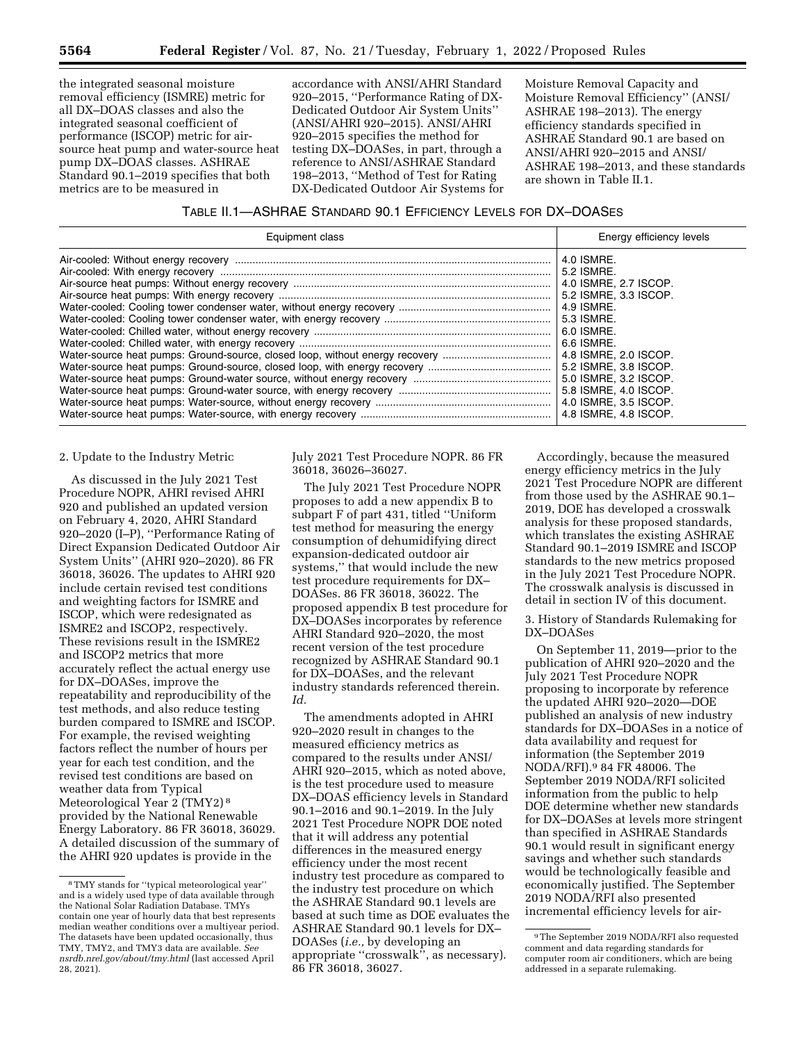the integrated seasonal moisture removal efficiency (ISMRE) metric for all DX–DOAS classes and also the integrated seasonal coefficient of performance (ISCOP) metric for airsource heat pump and water-source heat pump DX–DOAS classes. ASHRAE Standard 90.1–2019 specifies that both metrics are to be measured in

accordance with ANSI/AHRI Standard 920–2015, ''Performance Rating of DX-Dedicated Outdoor Air System Units'' (ANSI/AHRI 920–2015). ANSI/AHRI 920–2015 specifies the method for testing DX–DOASes, in part, through a reference to ANSI/ASHRAE Standard 198–2013, ''Method of Test for Rating DX-Dedicated Outdoor Air Systems for

Moisture Removal Capacity and Moisture Removal Efficiency'' (ANSI/ ASHRAE 198–2013). The energy efficiency standards specified in ASHRAE Standard 90.1 are based on ANSI/AHRI 920–2015 and ANSI/ ASHRAE 198–2013, and these standards are shown in Table II.1.

# TABLE II.1—ASHRAE STANDARD 90.1 EFFICIENCY LEVELS FOR DX–DOASES

| Equipment class                                                              | Energy efficiency levels |
|------------------------------------------------------------------------------|--------------------------|
|                                                                              | 4.0 ISMRE.               |
|                                                                              | 5.2 ISMRE.               |
|                                                                              | 4.0 ISMRE, 2.7 ISCOP.    |
|                                                                              | 5.2 ISMRE, 3.3 ISCOP.    |
|                                                                              | 4.9 ISMRE.               |
|                                                                              | 5.3 ISMRE.               |
|                                                                              | 6.0 ISMRE.               |
|                                                                              | ∣ 6.6 ISMRE.             |
| Water-source heat pumps: Ground-source, closed loop, without energy recovery | 4.8 ISMRE, 2.0 ISCOP.    |
|                                                                              | 5.2 ISMRE, 3.8 ISCOP.    |
|                                                                              | 5.0 ISMRE, 3.2 ISCOP.    |
|                                                                              | 5.8 ISMRE, 4.0 ISCOP.    |
|                                                                              | 4.0 ISMRE, 3.5 ISCOP.    |
|                                                                              | 4.8 ISMRE, 4.8 ISCOP.    |

#### 2. Update to the Industry Metric

As discussed in the July 2021 Test Procedure NOPR, AHRI revised AHRI 920 and published an updated version on February 4, 2020, AHRI Standard 920–2020 (I–P), ''Performance Rating of Direct Expansion Dedicated Outdoor Air System Units'' (AHRI 920–2020). 86 FR 36018, 36026. The updates to AHRI 920 include certain revised test conditions and weighting factors for ISMRE and ISCOP, which were redesignated as ISMRE2 and ISCOP2, respectively. These revisions result in the ISMRE2 and ISCOP2 metrics that more accurately reflect the actual energy use for DX–DOASes, improve the repeatability and reproducibility of the test methods, and also reduce testing burden compared to ISMRE and ISCOP. For example, the revised weighting factors reflect the number of hours per year for each test condition, and the revised test conditions are based on weather data from Typical Meteorological Year 2 (TMY2) 8 provided by the National Renewable Energy Laboratory. 86 FR 36018, 36029. A detailed discussion of the summary of the AHRI 920 updates is provide in the

July 2021 Test Procedure NOPR. 86 FR 36018, 36026–36027.

The July 2021 Test Procedure NOPR proposes to add a new appendix B to subpart F of part 431, titled ''Uniform test method for measuring the energy consumption of dehumidifying direct expansion-dedicated outdoor air systems,'' that would include the new test procedure requirements for DX– DOASes. 86 FR 36018, 36022. The proposed appendix B test procedure for DX–DOASes incorporates by reference AHRI Standard 920–2020, the most recent version of the test procedure recognized by ASHRAE Standard 90.1 for DX–DOASes, and the relevant industry standards referenced therein. *Id.* 

The amendments adopted in AHRI 920–2020 result in changes to the measured efficiency metrics as compared to the results under ANSI/ AHRI 920–2015, which as noted above, is the test procedure used to measure DX–DOAS efficiency levels in Standard 90.1–2016 and 90.1–2019. In the July 2021 Test Procedure NOPR DOE noted that it will address any potential differences in the measured energy efficiency under the most recent industry test procedure as compared to the industry test procedure on which the ASHRAE Standard 90.1 levels are based at such time as DOE evaluates the ASHRAE Standard 90.1 levels for DX– DOASes (*i.e.,* by developing an appropriate ''crosswalk'', as necessary). 86 FR 36018, 36027.

Accordingly, because the measured energy efficiency metrics in the July 2021 Test Procedure NOPR are different from those used by the ASHRAE 90.1– 2019, DOE has developed a crosswalk analysis for these proposed standards, which translates the existing ASHRAE Standard 90.1–2019 ISMRE and ISCOP standards to the new metrics proposed in the July 2021 Test Procedure NOPR. The crosswalk analysis is discussed in detail in section IV of this document.

3. History of Standards Rulemaking for DX–DOASes

On September 11, 2019—prior to the publication of AHRI 920–2020 and the July 2021 Test Procedure NOPR proposing to incorporate by reference the updated AHRI 920–2020—DOE published an analysis of new industry standards for DX–DOASes in a notice of data availability and request for information (the September 2019 NODA/RFI).9 84 FR 48006. The September 2019 NODA/RFI solicited information from the public to help DOE determine whether new standards for DX–DOASes at levels more stringent than specified in ASHRAE Standards 90.1 would result in significant energy savings and whether such standards would be technologically feasible and economically justified. The September 2019 NODA/RFI also presented incremental efficiency levels for air-

<sup>8</sup>TMY stands for ''typical meteorological year'' and is a widely used type of data available through the National Solar Radiation Database. TMYs contain one year of hourly data that best represents median weather conditions over a multiyear period. The datasets have been updated occasionally, thus TMY, TMY2, and TMY3 data are available. *See nsrdb.nrel.gov/about/tmy.html* (last accessed April 28, 2021).

<sup>9</sup>The September 2019 NODA/RFI also requested comment and data regarding standards for computer room air conditioners, which are being addressed in a separate rulemaking.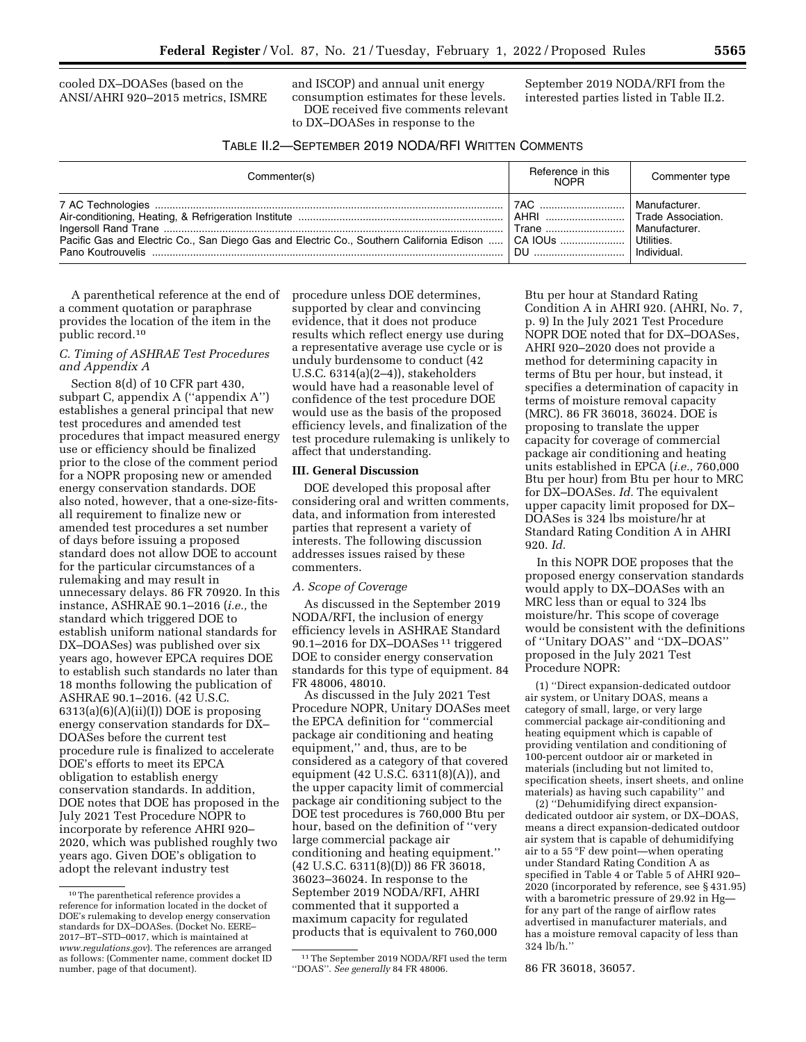cooled DX–DOASes (based on the ANSI/AHRI 920–2015 metrics, ISMRE and ISCOP) and annual unit energy consumption estimates for these levels. DOE received five comments relevant to DX–DOASes in response to the

September 2019 NODA/RFI from the interested parties listed in Table II.2.

| TABLE II.2-SEPTEMBER 2019 NODA/RFI WRITTEN COMMENTS |  |
|-----------------------------------------------------|--|
|-----------------------------------------------------|--|

| Commenter(s)                                                                                        | Reference in this<br><b>NOPR</b> | Commenter type                                                                    |
|-----------------------------------------------------------------------------------------------------|----------------------------------|-----------------------------------------------------------------------------------|
| Pacific Gas and Electric Co., San Diego Gas and Electric Co., Southern California Edison    CA IOUs | 7AC<br>AHRI<br>Trane<br>DU       | Manufacturer.<br>Trade Association.<br>Manufacturer.<br>Utilities.<br>Individual. |

A parenthetical reference at the end of a comment quotation or paraphrase provides the location of the item in the public record.10

# *C. Timing of ASHRAE Test Procedures and Appendix A*

Section 8(d) of 10 CFR part 430, subpart C, appendix A (''appendix A'') establishes a general principal that new test procedures and amended test procedures that impact measured energy use or efficiency should be finalized prior to the close of the comment period for a NOPR proposing new or amended energy conservation standards. DOE also noted, however, that a one-size-fitsall requirement to finalize new or amended test procedures a set number of days before issuing a proposed standard does not allow DOE to account for the particular circumstances of a rulemaking and may result in unnecessary delays. 86 FR 70920. In this instance, ASHRAE 90.1–2016 (*i.e.,* the standard which triggered DOE to establish uniform national standards for DX–DOASes) was published over six years ago, however EPCA requires DOE to establish such standards no later than 18 months following the publication of ASHRAE 90.1–2016. (42 U.S.C.  $6313(a)(6)(A)(ii)(I))$  DOE is proposing energy conservation standards for DX– DOASes before the current test procedure rule is finalized to accelerate DOE's efforts to meet its EPCA obligation to establish energy conservation standards. In addition, DOE notes that DOE has proposed in the July 2021 Test Procedure NOPR to incorporate by reference AHRI 920– 2020, which was published roughly two years ago. Given DOE's obligation to adopt the relevant industry test

10The parenthetical reference provides a reference for information located in the docket of DOE's rulemaking to develop energy conservation standards for DX–DOASes. (Docket No. EERE– 2017–BT–STD–0017, which is maintained at *[www.regulations.gov](http://www.regulations.gov)*). The references are arranged as follows: (Commenter name, comment docket ID number, page of that document).

procedure unless DOE determines, supported by clear and convincing evidence, that it does not produce results which reflect energy use during a representative average use cycle or is unduly burdensome to conduct (42 U.S.C. 6314(a)(2–4)), stakeholders would have had a reasonable level of confidence of the test procedure DOE would use as the basis of the proposed efficiency levels, and finalization of the test procedure rulemaking is unlikely to affect that understanding.

### **III. General Discussion**

DOE developed this proposal after considering oral and written comments, data, and information from interested parties that represent a variety of interests. The following discussion addresses issues raised by these commenters.

## *A. Scope of Coverage*

As discussed in the September 2019 NODA/RFI, the inclusion of energy efficiency levels in ASHRAE Standard 90.1–2016 for DX–DOASes 11 triggered DOE to consider energy conservation standards for this type of equipment. 84 FR 48006, 48010.

As discussed in the July 2021 Test Procedure NOPR, Unitary DOASes meet the EPCA definition for ''commercial package air conditioning and heating equipment,'' and, thus, are to be considered as a category of that covered equipment (42 U.S.C. 6311(8)(A)), and the upper capacity limit of commercial package air conditioning subject to the DOE test procedures is 760,000 Btu per hour, based on the definition of ''very large commercial package air conditioning and heating equipment.'' (42 U.S.C. 6311(8)(D)) 86 FR 36018, 36023–36024. In response to the September 2019 NODA/RFI, AHRI commented that it supported a maximum capacity for regulated products that is equivalent to 760,000

Btu per hour at Standard Rating Condition A in AHRI 920. (AHRI, No. 7, p. 9) In the July 2021 Test Procedure NOPR DOE noted that for DX–DOASes, AHRI 920–2020 does not provide a method for determining capacity in terms of Btu per hour, but instead, it specifies a determination of capacity in terms of moisture removal capacity (MRC). 86 FR 36018, 36024. DOE is proposing to translate the upper capacity for coverage of commercial package air conditioning and heating units established in EPCA (*i.e.,* 760,000 Btu per hour) from Btu per hour to MRC for DX–DOASes. *Id.* The equivalent upper capacity limit proposed for DX– DOASes is 324 lbs moisture/hr at Standard Rating Condition A in AHRI 920. *Id.* 

In this NOPR DOE proposes that the proposed energy conservation standards would apply to DX–DOASes with an MRC less than or equal to 324 lbs moisture/hr. This scope of coverage would be consistent with the definitions of ''Unitary DOAS'' and ''DX–DOAS'' proposed in the July 2021 Test Procedure NOPR:

(1) ''Direct expansion-dedicated outdoor air system, or Unitary DOAS, means a category of small, large, or very large commercial package air-conditioning and heating equipment which is capable of providing ventilation and conditioning of 100-percent outdoor air or marketed in materials (including but not limited to, specification sheets, insert sheets, and online materials) as having such capability'' and

(2) ''Dehumidifying direct expansiondedicated outdoor air system, or DX–DOAS, means a direct expansion-dedicated outdoor air system that is capable of dehumidifying air to a 55 °F dew point—when operating under Standard Rating Condition A as specified in Table 4 or Table 5 of AHRI 920– 2020 (incorporated by reference, see § 431.95) with a barometric pressure of 29.92 in Hg for any part of the range of airflow rates advertised in manufacturer materials, and has a moisture removal capacity of less than 324 lb/h.''

86 FR 36018, 36057.

<sup>11</sup>The September 2019 NODA/RFI used the term ''DOAS''. *See generally* 84 FR 48006.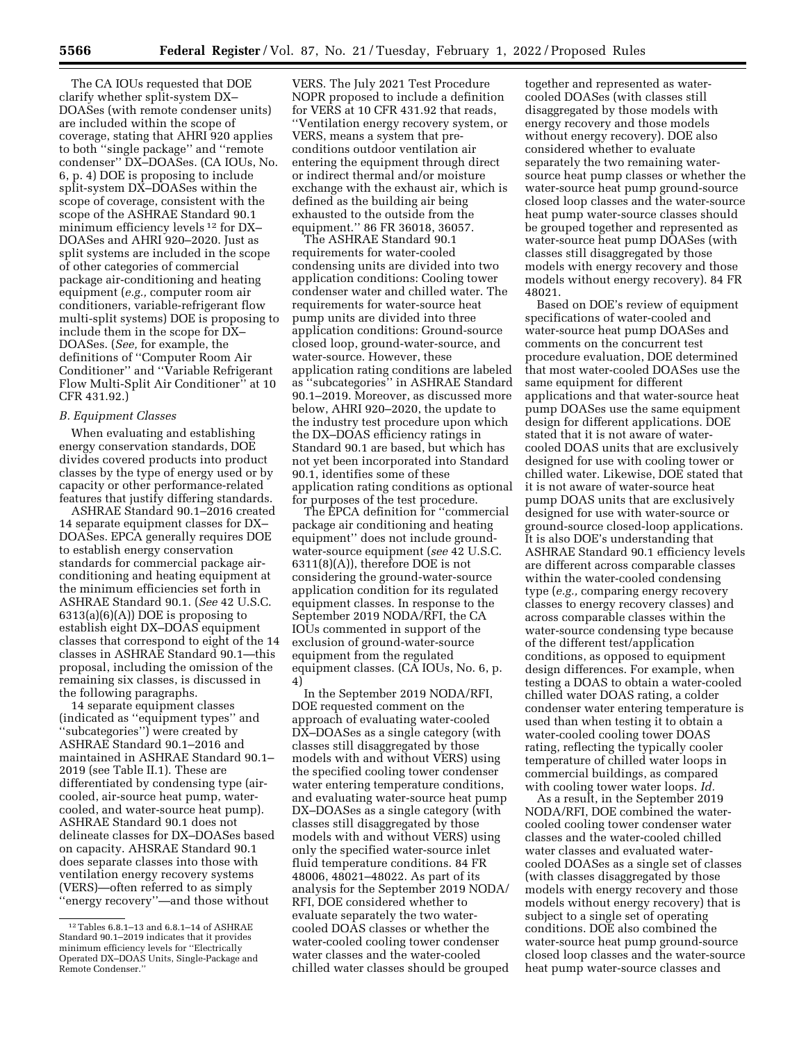The CA IOUs requested that DOE clarify whether split-system DX– DOASes (with remote condenser units) are included within the scope of coverage, stating that AHRI 920 applies to both ''single package'' and ''remote condenser'' DX–DOASes. (CA IOUs, No. 6, p. 4) DOE is proposing to include split-system DX–DOASes within the scope of coverage, consistent with the scope of the ASHRAE Standard 90.1 minimum efficiency levels 12 for DX– DOASes and AHRI 920–2020. Just as split systems are included in the scope of other categories of commercial package air-conditioning and heating equipment (*e.g.,* computer room air conditioners, variable-refrigerant flow multi-split systems) DOE is proposing to include them in the scope for DX– DOASes. (*See,* for example, the definitions of ''Computer Room Air Conditioner'' and ''Variable Refrigerant Flow Multi-Split Air Conditioner'' at 10 CFR 431.92.)

#### *B. Equipment Classes*

When evaluating and establishing energy conservation standards, DOE divides covered products into product classes by the type of energy used or by capacity or other performance-related features that justify differing standards.

ASHRAE Standard 90.1–2016 created 14 separate equipment classes for DX– DOASes. EPCA generally requires DOE to establish energy conservation standards for commercial package airconditioning and heating equipment at the minimum efficiencies set forth in ASHRAE Standard 90.1. (*See* 42 U.S.C.  $6313(a)(6)(A))$  DOE is proposing to establish eight DX–DOAS equipment classes that correspond to eight of the 14 classes in ASHRAE Standard 90.1—this proposal, including the omission of the remaining six classes, is discussed in the following paragraphs.

14 separate equipment classes (indicated as ''equipment types'' and ''subcategories'') were created by ASHRAE Standard 90.1–2016 and maintained in ASHRAE Standard 90.1– 2019 (see Table II.1). These are differentiated by condensing type (aircooled, air-source heat pump, watercooled, and water-source heat pump). ASHRAE Standard 90.1 does not delineate classes for DX–DOASes based on capacity. AHSRAE Standard 90.1 does separate classes into those with ventilation energy recovery systems (VERS)—often referred to as simply ''energy recovery''—and those without

VERS. The July 2021 Test Procedure NOPR proposed to include a definition for VERS at 10 CFR 431.92 that reads, ''Ventilation energy recovery system, or VERS, means a system that preconditions outdoor ventilation air entering the equipment through direct or indirect thermal and/or moisture exchange with the exhaust air, which is defined as the building air being exhausted to the outside from the equipment.'' 86 FR 36018, 36057.

The ASHRAE Standard 90.1 requirements for water-cooled condensing units are divided into two application conditions: Cooling tower condenser water and chilled water. The requirements for water-source heat pump units are divided into three application conditions: Ground-source closed loop, ground-water-source, and water-source. However, these application rating conditions are labeled as ''subcategories'' in ASHRAE Standard 90.1–2019. Moreover, as discussed more below, AHRI 920–2020, the update to the industry test procedure upon which the DX–DOAS efficiency ratings in Standard 90.1 are based, but which has not yet been incorporated into Standard 90.1, identifies some of these application rating conditions as optional for purposes of the test procedure.

The EPCA definition for ''commercial package air conditioning and heating equipment'' does not include groundwater-source equipment (*see* 42 U.S.C. 6311(8)(A)), therefore DOE is not considering the ground-water-source application condition for its regulated equipment classes. In response to the September 2019 NODA/RFI, the CA IOUs commented in support of the exclusion of ground-water-source equipment from the regulated equipment classes. (CA IOUs, No. 6, p. 4)

In the September 2019 NODA/RFI, DOE requested comment on the approach of evaluating water-cooled DX–DOASes as a single category (with classes still disaggregated by those models with and without VERS) using the specified cooling tower condenser water entering temperature conditions, and evaluating water-source heat pump DX–DOASes as a single category (with classes still disaggregated by those models with and without VERS) using only the specified water-source inlet fluid temperature conditions. 84 FR 48006, 48021–48022. As part of its analysis for the September 2019 NODA/ RFI, DOE considered whether to evaluate separately the two watercooled DOAS classes or whether the water-cooled cooling tower condenser water classes and the water-cooled chilled water classes should be grouped

together and represented as watercooled DOASes (with classes still disaggregated by those models with energy recovery and those models without energy recovery). DOE also considered whether to evaluate separately the two remaining watersource heat pump classes or whether the water-source heat pump ground-source closed loop classes and the water-source heat pump water-source classes should be grouped together and represented as water-source heat pump DOASes (with classes still disaggregated by those models with energy recovery and those models without energy recovery). 84 FR 48021.

Based on DOE's review of equipment specifications of water-cooled and water-source heat pump DOASes and comments on the concurrent test procedure evaluation, DOE determined that most water-cooled DOASes use the same equipment for different applications and that water-source heat pump DOASes use the same equipment design for different applications. DOE stated that it is not aware of watercooled DOAS units that are exclusively designed for use with cooling tower or chilled water. Likewise, DOE stated that it is not aware of water-source heat pump DOAS units that are exclusively designed for use with water-source or ground-source closed-loop applications. It is also DOE's understanding that ASHRAE Standard 90.1 efficiency levels are different across comparable classes within the water-cooled condensing type (*e.g.,* comparing energy recovery classes to energy recovery classes) and across comparable classes within the water-source condensing type because of the different test/application conditions, as opposed to equipment design differences. For example, when testing a DOAS to obtain a water-cooled chilled water DOAS rating, a colder condenser water entering temperature is used than when testing it to obtain a water-cooled cooling tower DOAS rating, reflecting the typically cooler temperature of chilled water loops in commercial buildings, as compared with cooling tower water loops. *Id.* 

As a result, in the September 2019 NODA/RFI, DOE combined the watercooled cooling tower condenser water classes and the water-cooled chilled water classes and evaluated watercooled DOASes as a single set of classes (with classes disaggregated by those models with energy recovery and those models without energy recovery) that is subject to a single set of operating conditions. DOE also combined the water-source heat pump ground-source closed loop classes and the water-source heat pump water-source classes and

<sup>12</sup>Tables 6.8.1–13 and 6.8.1–14 of ASHRAE Standard 90.1–2019 indicates that it provides minimum efficiency levels for ''Electrically Operated DX–DOAS Units, Single-Package and Remote Condenser.''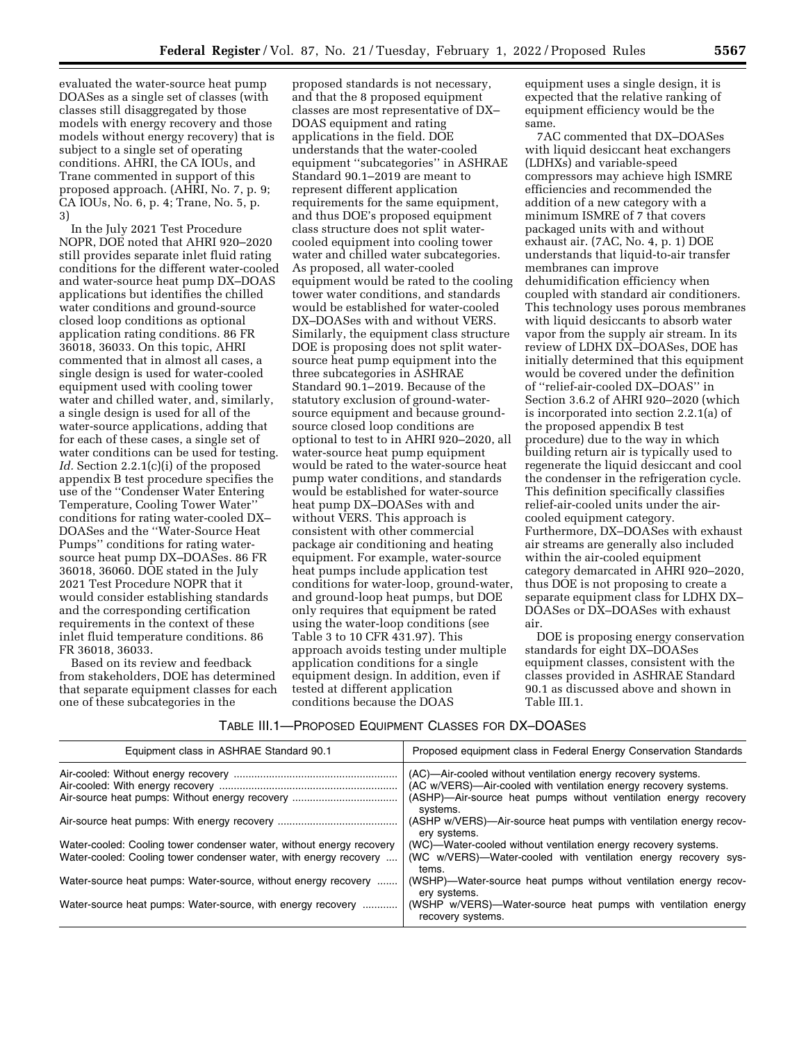evaluated the water-source heat pump DOASes as a single set of classes (with classes still disaggregated by those models with energy recovery and those models without energy recovery) that is subject to a single set of operating conditions. AHRI, the CA IOUs, and Trane commented in support of this proposed approach. (AHRI, No. 7, p. 9; CA IOUs, No. 6, p. 4; Trane, No. 5, p. 3)

In the July 2021 Test Procedure NOPR, DOE noted that AHRI 920–2020 still provides separate inlet fluid rating conditions for the different water-cooled and water-source heat pump DX–DOAS applications but identifies the chilled water conditions and ground-source closed loop conditions as optional application rating conditions. 86 FR 36018, 36033. On this topic, AHRI commented that in almost all cases, a single design is used for water-cooled equipment used with cooling tower water and chilled water, and, similarly, a single design is used for all of the water-source applications, adding that for each of these cases, a single set of water conditions can be used for testing. *Id.* Section 2.2.1(c)(i) of the proposed appendix B test procedure specifies the use of the ''Condenser Water Entering Temperature, Cooling Tower Water'' conditions for rating water-cooled DX– DOASes and the ''Water-Source Heat Pumps'' conditions for rating watersource heat pump DX–DOASes. 86 FR 36018, 36060. DOE stated in the July 2021 Test Procedure NOPR that it would consider establishing standards and the corresponding certification requirements in the context of these inlet fluid temperature conditions. 86 FR 36018, 36033.

Based on its review and feedback from stakeholders, DOE has determined that separate equipment classes for each one of these subcategories in the

proposed standards is not necessary, and that the 8 proposed equipment classes are most representative of DX– DOAS equipment and rating applications in the field. DOE understands that the water-cooled equipment ''subcategories'' in ASHRAE Standard 90.1–2019 are meant to represent different application requirements for the same equipment, and thus DOE's proposed equipment class structure does not split watercooled equipment into cooling tower water and chilled water subcategories. As proposed, all water-cooled equipment would be rated to the cooling tower water conditions, and standards would be established for water-cooled DX–DOASes with and without VERS. Similarly, the equipment class structure DOE is proposing does not split watersource heat pump equipment into the three subcategories in ASHRAE Standard 90.1–2019. Because of the statutory exclusion of ground-watersource equipment and because groundsource closed loop conditions are optional to test to in AHRI 920–2020, all water-source heat pump equipment would be rated to the water-source heat pump water conditions, and standards would be established for water-source heat pump DX–DOASes with and without VERS. This approach is consistent with other commercial package air conditioning and heating equipment. For example, water-source heat pumps include application test conditions for water-loop, ground-water, and ground-loop heat pumps, but DOE only requires that equipment be rated using the water-loop conditions (see Table 3 to 10 CFR 431.97). This approach avoids testing under multiple application conditions for a single equipment design. In addition, even if tested at different application conditions because the DOAS

equipment uses a single design, it is expected that the relative ranking of equipment efficiency would be the same.

7AC commented that DX–DOASes with liquid desiccant heat exchangers (LDHXs) and variable-speed compressors may achieve high ISMRE efficiencies and recommended the addition of a new category with a minimum ISMRE of 7 that covers packaged units with and without exhaust air. (7AC, No. 4, p. 1) DOE understands that liquid-to-air transfer membranes can improve dehumidification efficiency when coupled with standard air conditioners. This technology uses porous membranes with liquid desiccants to absorb water vapor from the supply air stream. In its review of LDHX DX–DOASes, DOE has initially determined that this equipment would be covered under the definition of ''relief-air-cooled DX–DOAS'' in Section 3.6.2 of AHRI 920–2020 (which is incorporated into section 2.2.1(a) of the proposed appendix B test procedure) due to the way in which building return air is typically used to regenerate the liquid desiccant and cool the condenser in the refrigeration cycle. This definition specifically classifies relief-air-cooled units under the aircooled equipment category. Furthermore, DX–DOASes with exhaust air streams are generally also included within the air-cooled equipment category demarcated in AHRI 920–2020, thus DOE is not proposing to create a separate equipment class for LDHX DX– DOASes or DX–DOASes with exhaust air.

DOE is proposing energy conservation standards for eight DX–DOASes equipment classes, consistent with the classes provided in ASHRAE Standard 90.1 as discussed above and shown in Table III.1.

# TABLE III.1—PROPOSED EQUIPMENT CLASSES FOR DX–DOASES

| Equipment class in ASHRAE Standard 90.1                                                                                                   | Proposed equipment class in Federal Energy Conservation Standards                                                                                                                                                |
|-------------------------------------------------------------------------------------------------------------------------------------------|------------------------------------------------------------------------------------------------------------------------------------------------------------------------------------------------------------------|
|                                                                                                                                           | (AC)—Air-cooled without ventilation energy recovery systems.<br>(AC w/VERS)—Air-cooled with ventilation energy recovery systems.<br>(ASHP)—Air-source heat pumps without ventilation energy recovery<br>systems. |
|                                                                                                                                           | (ASHP w/VERS)—Air-source heat pumps with ventilation energy recov-<br>ery systems.                                                                                                                               |
| Water-cooled: Cooling tower condenser water, without energy recovery<br>Water-cooled: Cooling tower condenser water, with energy recovery | (WC)—Water-cooled without ventilation energy recovery systems.<br>(WC w/VERS)—Water-cooled with ventilation energy recovery sys-<br>tems.                                                                        |
| Water-source heat pumps: Water-source, without energy recovery                                                                            | (WSHP)—Water-source heat pumps without ventilation energy recov-<br>ery systems.                                                                                                                                 |
| Water-source heat pumps: Water-source, with energy recovery                                                                               | (WSHP w/VERS)—Water-source heat pumps with ventilation energy<br>recovery systems.                                                                                                                               |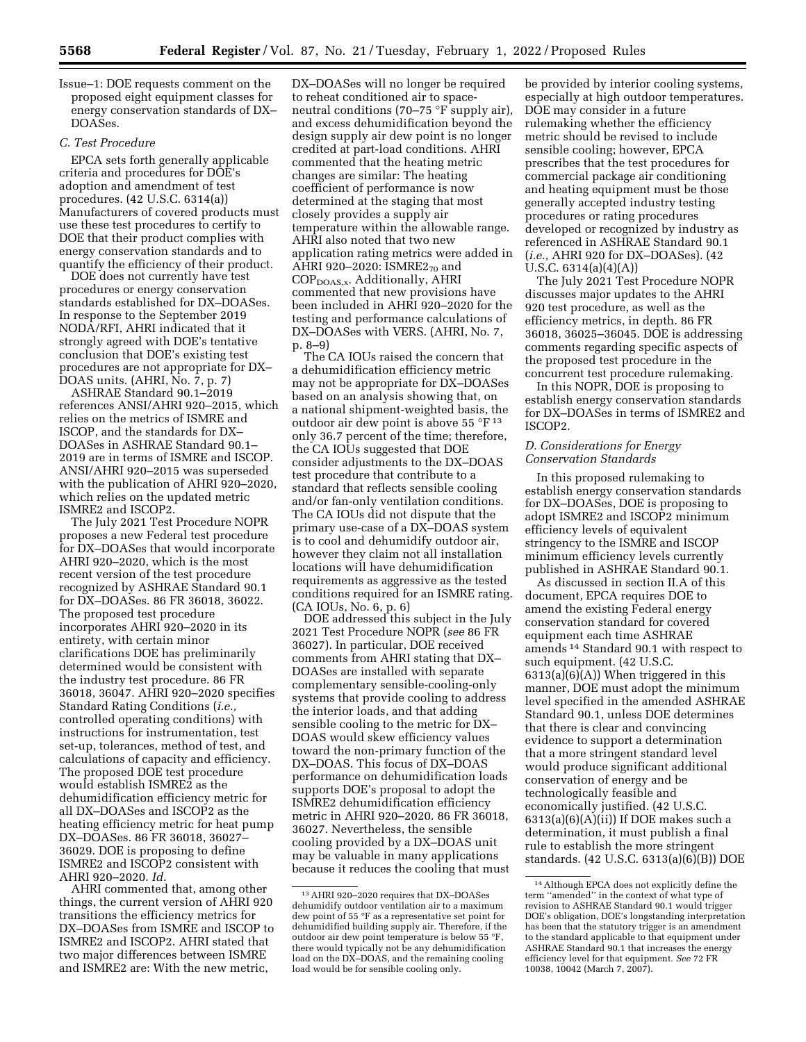Issue–1: DOE requests comment on the proposed eight equipment classes for energy conservation standards of DX– DOASes.

### *C. Test Procedure*

EPCA sets forth generally applicable criteria and procedures for DOE's adoption and amendment of test procedures. (42 U.S.C. 6314(a)) Manufacturers of covered products must use these test procedures to certify to DOE that their product complies with energy conservation standards and to quantify the efficiency of their product.

DOE does not currently have test procedures or energy conservation standards established for DX–DOASes. In response to the September 2019 NODA/RFI, AHRI indicated that it strongly agreed with DOE's tentative conclusion that DOE's existing test procedures are not appropriate for DX– DOAS units. (AHRI, No. 7, p. 7)

ASHRAE Standard 90.1–2019 references ANSI/AHRI 920–2015, which relies on the metrics of ISMRE and ISCOP, and the standards for DX– DOASes in ASHRAE Standard 90.1– 2019 are in terms of ISMRE and ISCOP. ANSI/AHRI 920–2015 was superseded with the publication of AHRI 920–2020, which relies on the updated metric ISMRE2 and ISCOP2.

The July 2021 Test Procedure NOPR proposes a new Federal test procedure for DX–DOASes that would incorporate AHRI 920–2020, which is the most recent version of the test procedure recognized by ASHRAE Standard 90.1 for DX–DOASes. 86 FR 36018, 36022. The proposed test procedure incorporates AHRI 920–2020 in its entirety, with certain minor clarifications DOE has preliminarily determined would be consistent with the industry test procedure. 86 FR 36018, 36047. AHRI 920–2020 specifies Standard Rating Conditions (*i.e.,*  controlled operating conditions) with instructions for instrumentation, test set-up, tolerances, method of test, and calculations of capacity and efficiency. The proposed DOE test procedure would establish ISMRE2 as the dehumidification efficiency metric for all DX–DOASes and ISCOP2 as the heating efficiency metric for heat pump DX–DOASes. 86 FR 36018, 36027– 36029. DOE is proposing to define ISMRE2 and ISCOP2 consistent with AHRI 920–2020. *Id.* 

AHRI commented that, among other things, the current version of AHRI 920 transitions the efficiency metrics for DX–DOASes from ISMRE and ISCOP to ISMRE2 and ISCOP2. AHRI stated that two major differences between ISMRE and ISMRE2 are: With the new metric,

DX–DOASes will no longer be required to reheat conditioned air to spaceneutral conditions (70–75 °F supply air), and excess dehumidification beyond the design supply air dew point is no longer credited at part-load conditions. AHRI commented that the heating metric changes are similar: The heating coefficient of performance is now determined at the staging that most closely provides a supply air temperature within the allowable range. AHRI also noted that two new application rating metrics were added in AHRI 920-2020: ISMRE2<sub>70</sub> and COPDOAS,x. Additionally, AHRI commented that new provisions have been included in AHRI 920–2020 for the testing and performance calculations of DX–DOASes with VERS. (AHRI, No. 7, p. 8–9)

The CA IOUs raised the concern that a dehumidification efficiency metric may not be appropriate for DX–DOASes based on an analysis showing that, on a national shipment-weighted basis, the outdoor air dew point is above 55 °F 13 only 36.7 percent of the time; therefore, the CA IOUs suggested that DOE consider adjustments to the DX–DOAS test procedure that contribute to a standard that reflects sensible cooling and/or fan-only ventilation conditions. The CA IOUs did not dispute that the primary use-case of a DX–DOAS system is to cool and dehumidify outdoor air, however they claim not all installation locations will have dehumidification requirements as aggressive as the tested conditions required for an ISMRE rating. (CA IOUs, No. 6, p. 6)

DOE addressed this subject in the July 2021 Test Procedure NOPR (*see* 86 FR 36027). In particular, DOE received comments from AHRI stating that DX– DOASes are installed with separate complementary sensible-cooling-only systems that provide cooling to address the interior loads, and that adding sensible cooling to the metric for DX– DOAS would skew efficiency values toward the non-primary function of the DX–DOAS. This focus of DX–DOAS performance on dehumidification loads supports DOE's proposal to adopt the ISMRE2 dehumidification efficiency metric in AHRI 920–2020. 86 FR 36018, 36027. Nevertheless, the sensible cooling provided by a DX–DOAS unit may be valuable in many applications because it reduces the cooling that must

be provided by interior cooling systems, especially at high outdoor temperatures. DOE may consider in a future rulemaking whether the efficiency metric should be revised to include sensible cooling; however, EPCA prescribes that the test procedures for commercial package air conditioning and heating equipment must be those generally accepted industry testing procedures or rating procedures developed or recognized by industry as referenced in ASHRAE Standard 90.1 (*i.e.,* AHRI 920 for DX–DOASes). (42 U.S.C. 6314(a)(4)(A))

The July 2021 Test Procedure NOPR discusses major updates to the AHRI 920 test procedure, as well as the efficiency metrics, in depth. 86 FR 36018, 36025–36045. DOE is addressing comments regarding specific aspects of the proposed test procedure in the concurrent test procedure rulemaking.

In this NOPR, DOE is proposing to establish energy conservation standards for DX–DOASes in terms of ISMRE2 and ISCOP2.

## *D. Considerations for Energy Conservation Standards*

In this proposed rulemaking to establish energy conservation standards for DX–DOASes, DOE is proposing to adopt ISMRE2 and ISCOP2 minimum efficiency levels of equivalent stringency to the ISMRE and ISCOP minimum efficiency levels currently published in ASHRAE Standard 90.1.

As discussed in section II.A of this document, EPCA requires DOE to amend the existing Federal energy conservation standard for covered equipment each time ASHRAE amends 14 Standard 90.1 with respect to such equipment. (42 U.S.C.  $6313(a)(6)(A)$ ) When triggered in this manner, DOE must adopt the minimum level specified in the amended ASHRAE Standard 90.1, unless DOE determines that there is clear and convincing evidence to support a determination that a more stringent standard level would produce significant additional conservation of energy and be technologically feasible and economically justified. (42 U.S.C.  $6313(a)(6)(A)(ii)$  If DOE makes such a determination, it must publish a final rule to establish the more stringent standards. (42 U.S.C. 6313(a)(6)(B)) DOE

<sup>13</sup>AHRI 920–2020 requires that DX–DOASes dehumidify outdoor ventilation air to a maximum dew point of 55 °F as a representative set point for dehumidified building supply air. Therefore, if the outdoor air dew point temperature is below 55 °F, there would typically not be any dehumidification load on the DX–DOAS, and the remaining cooling load would be for sensible cooling only.

<sup>14</sup>Although EPCA does not explicitly define the term ''amended'' in the context of what type of revision to ASHRAE Standard 90.1 would trigger DOE's obligation, DOE's longstanding interpretation has been that the statutory trigger is an amendment to the standard applicable to that equipment under ASHRAE Standard 90.1 that increases the energy efficiency level for that equipment. *See* 72 FR 10038, 10042 (March 7, 2007).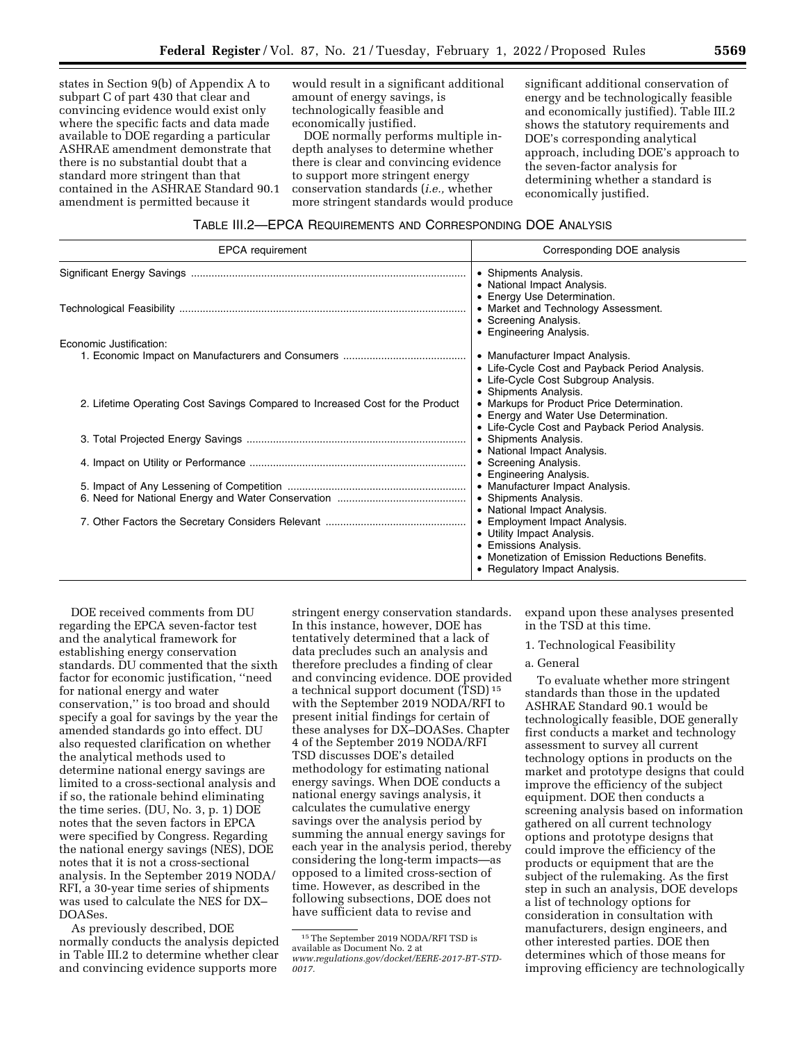states in Section 9(b) of Appendix A to subpart C of part 430 that clear and convincing evidence would exist only where the specific facts and data made available to DOE regarding a particular ASHRAE amendment demonstrate that there is no substantial doubt that a standard more stringent than that contained in the ASHRAE Standard 90.1 amendment is permitted because it

would result in a significant additional amount of energy savings, is technologically feasible and economically justified.

DOE normally performs multiple indepth analyses to determine whether there is clear and convincing evidence to support more stringent energy conservation standards (*i.e.,* whether more stringent standards would produce significant additional conservation of energy and be technologically feasible and economically justified). Table III.2 shows the statutory requirements and DOE's corresponding analytical approach, including DOE's approach to the seven-factor analysis for determining whether a standard is economically justified.

# TABLE III.2—EPCA REQUIREMENTS AND CORRESPONDING DOE ANALYSIS

| <b>EPCA</b> requirement                                                       | Corresponding DOE analysis                                                                                                                                                                             |
|-------------------------------------------------------------------------------|--------------------------------------------------------------------------------------------------------------------------------------------------------------------------------------------------------|
|                                                                               | • Shipments Analysis.<br>• National Impact Analysis.                                                                                                                                                   |
|                                                                               | • Energy Use Determination.<br>• Market and Technology Assessment.<br>• Screening Analysis.<br>• Engineering Analysis.                                                                                 |
| Economic Justification:                                                       |                                                                                                                                                                                                        |
|                                                                               | • Manufacturer Impact Analysis.<br>• Life-Cycle Cost and Payback Period Analysis.                                                                                                                      |
| 2. Lifetime Operating Cost Savings Compared to Increased Cost for the Product | • Life-Cycle Cost Subgroup Analysis.<br>• Shipments Analysis.<br>• Markups for Product Price Determination.<br>• Energy and Water Use Determination.<br>• Life-Cycle Cost and Payback Period Analysis. |
|                                                                               | • Shipments Analysis.                                                                                                                                                                                  |
|                                                                               | • National Impact Analysis.<br>• Screening Analysis.<br>• Engineering Analysis.                                                                                                                        |
|                                                                               | • Manufacturer Impact Analysis.<br>• Shipments Analysis.<br>• National Impact Analysis.                                                                                                                |
|                                                                               | • Employment Impact Analysis.<br>• Utility Impact Analysis.<br>• Emissions Analysis.<br>• Monetization of Emission Reductions Benefits.<br>• Regulatory Impact Analysis.                               |

DOE received comments from DU regarding the EPCA seven-factor test and the analytical framework for establishing energy conservation standards. DU commented that the sixth factor for economic justification, ''need for national energy and water conservation,'' is too broad and should specify a goal for savings by the year the amended standards go into effect. DU also requested clarification on whether the analytical methods used to determine national energy savings are limited to a cross-sectional analysis and if so, the rationale behind eliminating the time series. (DU, No. 3, p. 1) DOE notes that the seven factors in EPCA were specified by Congress. Regarding the national energy savings (NES), DOE notes that it is not a cross-sectional analysis. In the September 2019 NODA/ RFI, a 30-year time series of shipments was used to calculate the NES for DX– DOASes.

As previously described, DOE normally conducts the analysis depicted in Table III.2 to determine whether clear and convincing evidence supports more

stringent energy conservation standards. In this instance, however, DOE has tentatively determined that a lack of data precludes such an analysis and therefore precludes a finding of clear and convincing evidence. DOE provided a technical support document (TSD) 15 with the September 2019 NODA/RFI to present initial findings for certain of these analyses for DX–DOASes. Chapter 4 of the September 2019 NODA/RFI TSD discusses DOE's detailed methodology for estimating national energy savings. When DOE conducts a national energy savings analysis, it calculates the cumulative energy savings over the analysis period by summing the annual energy savings for each year in the analysis period, thereby considering the long-term impacts—as opposed to a limited cross-section of time. However, as described in the following subsections, DOE does not have sufficient data to revise and

expand upon these analyses presented in the TSD at this time.

1. Technological Feasibility

### a. General

To evaluate whether more stringent standards than those in the updated ASHRAE Standard 90.1 would be technologically feasible, DOE generally first conducts a market and technology assessment to survey all current technology options in products on the market and prototype designs that could improve the efficiency of the subject equipment. DOE then conducts a screening analysis based on information gathered on all current technology options and prototype designs that could improve the efficiency of the products or equipment that are the subject of the rulemaking. As the first step in such an analysis, DOE develops a list of technology options for consideration in consultation with manufacturers, design engineers, and other interested parties. DOE then determines which of those means for improving efficiency are technologically

<sup>15</sup>The September 2019 NODA/RFI TSD is available as Document No. 2 at *[www.regulations.gov/docket/EERE-2017-BT-STD-](http://www.regulations.gov/docket/EERE-2017-BT-STD-0017)[0017.](http://www.regulations.gov/docket/EERE-2017-BT-STD-0017)*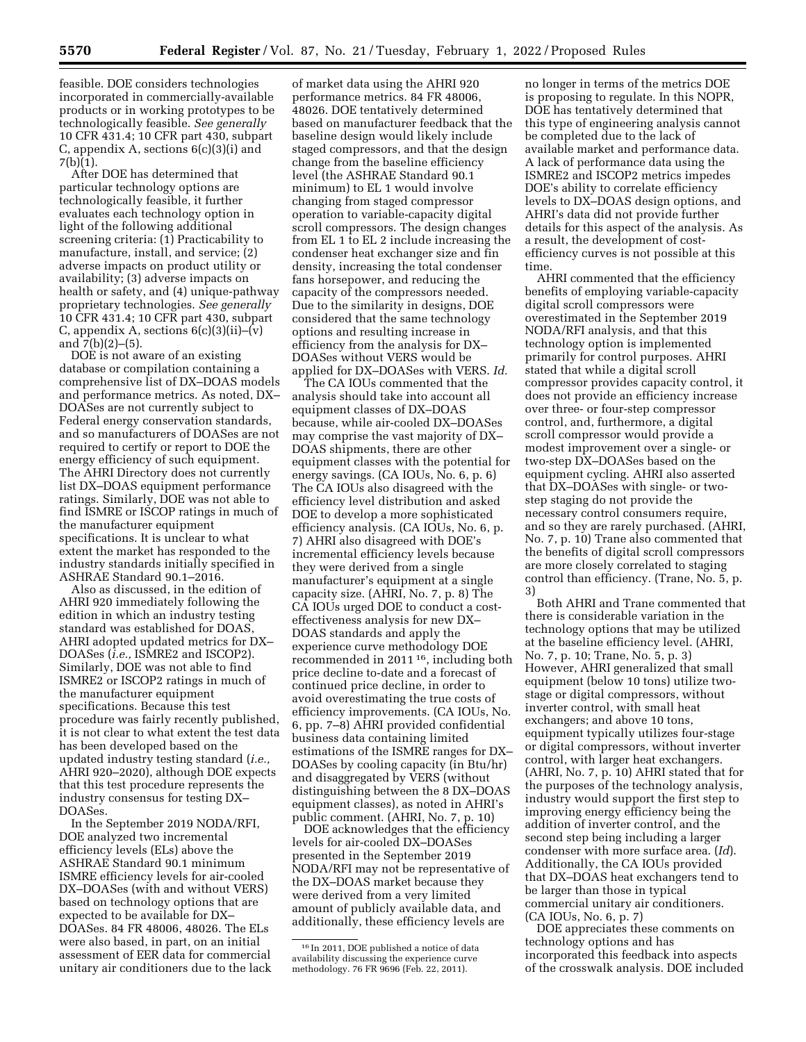feasible. DOE considers technologies incorporated in commercially-available products or in working prototypes to be technologically feasible. *See generally*  10 CFR 431.4; 10 CFR part 430, subpart C, appendix A, sections  $6(c)(3)(i)$  and 7(b)(1).

After DOE has determined that particular technology options are technologically feasible, it further evaluates each technology option in light of the following additional screening criteria: (1) Practicability to manufacture, install, and service; (2) adverse impacts on product utility or availability; (3) adverse impacts on health or safety, and (4) unique-pathway proprietary technologies. *See generally*  10 CFR 431.4; 10 CFR part 430, subpart C, appendix A, sections  $6(c)(3)(ii)$ – $(v)$ and  $7(b)(2)–(5)$ .

DOE is not aware of an existing database or compilation containing a comprehensive list of DX–DOAS models and performance metrics. As noted, DX– DOASes are not currently subject to Federal energy conservation standards, and so manufacturers of DOASes are not required to certify or report to DOE the energy efficiency of such equipment. The AHRI Directory does not currently list DX–DOAS equipment performance ratings. Similarly, DOE was not able to find ISMRE or ISCOP ratings in much of the manufacturer equipment specifications. It is unclear to what extent the market has responded to the industry standards initially specified in ASHRAE Standard 90.1–2016.

Also as discussed, in the edition of AHRI 920 immediately following the edition in which an industry testing standard was established for DOAS, AHRI adopted updated metrics for DX– DOASes (*i.e.,* ISMRE2 and ISCOP2). Similarly, DOE was not able to find ISMRE2 or ISCOP2 ratings in much of the manufacturer equipment specifications. Because this test procedure was fairly recently published, it is not clear to what extent the test data has been developed based on the updated industry testing standard (*i.e.,*  AHRI 920–2020), although DOE expects that this test procedure represents the industry consensus for testing DX– DOASes.

In the September 2019 NODA/RFI, DOE analyzed two incremental efficiency levels (ELs) above the ASHRAE Standard 90.1 minimum ISMRE efficiency levels for air-cooled DX–DOASes (with and without VERS) based on technology options that are expected to be available for DX– DOASes. 84 FR 48006, 48026. The ELs were also based, in part, on an initial assessment of EER data for commercial unitary air conditioners due to the lack

of market data using the AHRI 920 performance metrics. 84 FR 48006, 48026. DOE tentatively determined based on manufacturer feedback that the baseline design would likely include staged compressors, and that the design change from the baseline efficiency level (the ASHRAE Standard 90.1 minimum) to EL 1 would involve changing from staged compressor operation to variable-capacity digital scroll compressors. The design changes from EL 1 to EL 2 include increasing the condenser heat exchanger size and fin density, increasing the total condenser fans horsepower, and reducing the capacity of the compressors needed. Due to the similarity in designs, DOE considered that the same technology options and resulting increase in efficiency from the analysis for DX– DOASes without VERS would be applied for DX–DOASes with VERS. *Id.* 

The CA IOUs commented that the analysis should take into account all equipment classes of DX–DOAS because, while air-cooled DX–DOASes may comprise the vast majority of DX– DOAS shipments, there are other equipment classes with the potential for energy savings. (CA IOUs, No. 6, p. 6) The CA IOUs also disagreed with the efficiency level distribution and asked DOE to develop a more sophisticated efficiency analysis. (CA IOUs, No. 6, p. 7) AHRI also disagreed with DOE's incremental efficiency levels because they were derived from a single manufacturer's equipment at a single capacity size. (AHRI, No. 7, p. 8) The CA IOUs urged DOE to conduct a costeffectiveness analysis for new DX– DOAS standards and apply the experience curve methodology DOE recommended in 2011 16, including both price decline to-date and a forecast of continued price decline, in order to avoid overestimating the true costs of efficiency improvements. (CA IOUs, No. 6, pp. 7–8) AHRI provided confidential business data containing limited estimations of the ISMRE ranges for DX– DOASes by cooling capacity (in Btu/hr) and disaggregated by VERS (without distinguishing between the 8 DX–DOAS equipment classes), as noted in AHRI's public comment. (AHRI, No. 7, p. 10)

DOE acknowledges that the efficiency levels for air-cooled DX–DOASes presented in the September 2019 NODA/RFI may not be representative of the DX–DOAS market because they were derived from a very limited amount of publicly available data, and additionally, these efficiency levels are

no longer in terms of the metrics DOE is proposing to regulate. In this NOPR, DOE has tentatively determined that this type of engineering analysis cannot be completed due to the lack of available market and performance data. A lack of performance data using the ISMRE2 and ISCOP2 metrics impedes DOE's ability to correlate efficiency levels to DX–DOAS design options, and AHRI's data did not provide further details for this aspect of the analysis. As a result, the development of costefficiency curves is not possible at this time.

AHRI commented that the efficiency benefits of employing variable-capacity digital scroll compressors were overestimated in the September 2019 NODA/RFI analysis, and that this technology option is implemented primarily for control purposes. AHRI stated that while a digital scroll compressor provides capacity control, it does not provide an efficiency increase over three- or four-step compressor control, and, furthermore, a digital scroll compressor would provide a modest improvement over a single- or two-step DX–DOASes based on the equipment cycling. AHRI also asserted that DX–DOASes with single- or twostep staging do not provide the necessary control consumers require, and so they are rarely purchased. (AHRI, No. 7, p. 10) Trane also commented that the benefits of digital scroll compressors are more closely correlated to staging control than efficiency. (Trane, No. 5, p. 3)

Both AHRI and Trane commented that there is considerable variation in the technology options that may be utilized at the baseline efficiency level. (AHRI, No. 7, p. 10; Trane, No. 5, p. 3) However, AHRI generalized that small equipment (below 10 tons) utilize twostage or digital compressors, without inverter control, with small heat exchangers; and above 10 tons, equipment typically utilizes four-stage or digital compressors, without inverter control, with larger heat exchangers. (AHRI, No. 7, p. 10) AHRI stated that for the purposes of the technology analysis, industry would support the first step to improving energy efficiency being the addition of inverter control, and the second step being including a larger condenser with more surface area. (*Id*). Additionally, the CA IOUs provided that DX–DOAS heat exchangers tend to be larger than those in typical commercial unitary air conditioners. (CA IOUs, No. 6, p. 7)

DOE appreciates these comments on technology options and has incorporated this feedback into aspects of the crosswalk analysis. DOE included

<sup>16</sup> In 2011, DOE published a notice of data availability discussing the experience curve methodology. 76 FR 9696 (Feb. 22, 2011).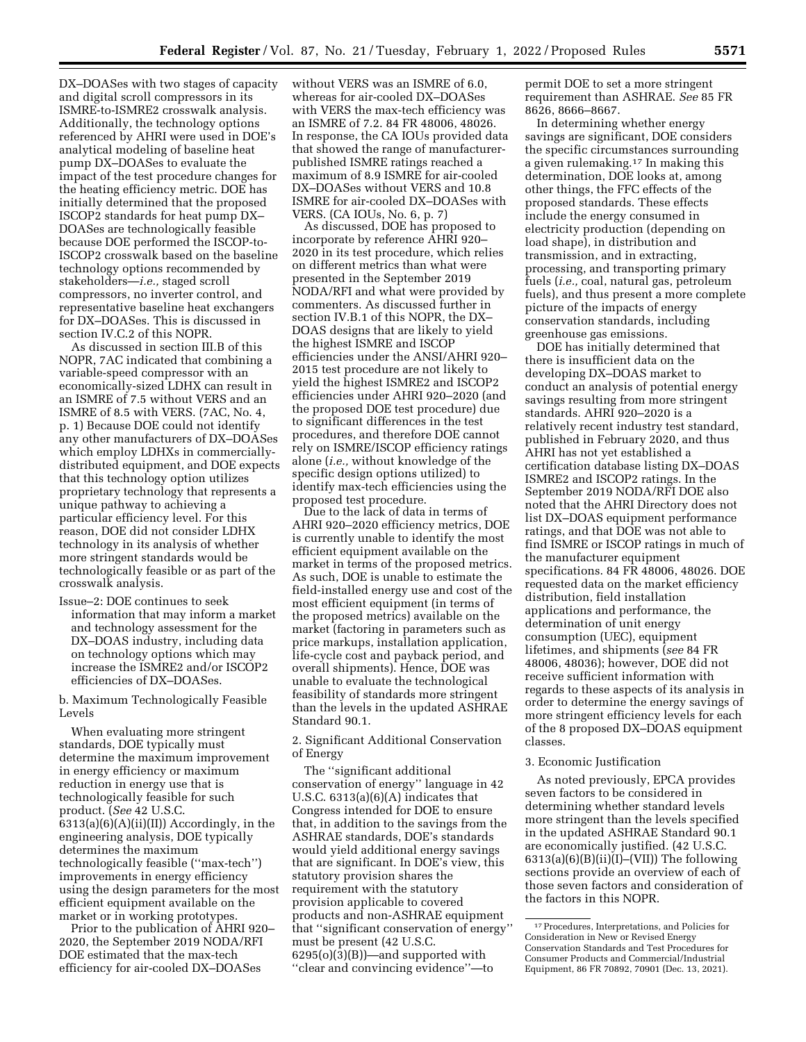DX–DOASes with two stages of capacity and digital scroll compressors in its ISMRE-to-ISMRE2 crosswalk analysis. Additionally, the technology options referenced by AHRI were used in DOE's analytical modeling of baseline heat pump DX–DOASes to evaluate the impact of the test procedure changes for the heating efficiency metric. DOE has initially determined that the proposed ISCOP2 standards for heat pump DX– DOASes are technologically feasible because DOE performed the ISCOP-to-ISCOP2 crosswalk based on the baseline technology options recommended by stakeholders—*i.e.,* staged scroll compressors, no inverter control, and representative baseline heat exchangers for DX–DOASes. This is discussed in section IV.C.2 of this NOPR.

As discussed in section III.B of this NOPR, 7AC indicated that combining a variable-speed compressor with an economically-sized LDHX can result in an ISMRE of 7.5 without VERS and an ISMRE of 8.5 with VERS. (7AC, No. 4, p. 1) Because DOE could not identify any other manufacturers of DX–DOASes which employ LDHXs in commerciallydistributed equipment, and DOE expects that this technology option utilizes proprietary technology that represents a unique pathway to achieving a particular efficiency level. For this reason, DOE did not consider LDHX technology in its analysis of whether more stringent standards would be technologically feasible or as part of the crosswalk analysis.

Issue–2: DOE continues to seek information that may inform a market and technology assessment for the DX–DOAS industry, including data on technology options which may increase the ISMRE2 and/or ISCOP2 efficiencies of DX–DOASes.

b. Maximum Technologically Feasible Levels

When evaluating more stringent standards, DOE typically must determine the maximum improvement in energy efficiency or maximum reduction in energy use that is technologically feasible for such product. (*See* 42 U.S.C.  $6313(a)(6)(A)(ii)(II)$  Accordingly, in the engineering analysis, DOE typically determines the maximum technologically feasible (''max-tech'') improvements in energy efficiency using the design parameters for the most efficient equipment available on the market or in working prototypes.

Prior to the publication of AHRI 920– 2020, the September 2019 NODA/RFI DOE estimated that the max-tech efficiency for air-cooled DX–DOASes

without VERS was an ISMRE of 6.0, whereas for air-cooled DX–DOASes with VERS the max-tech efficiency was an ISMRE of 7.2. 84 FR 48006, 48026. In response, the CA IOUs provided data that showed the range of manufacturerpublished ISMRE ratings reached a maximum of 8.9 ISMRE for air-cooled DX–DOASes without VERS and 10.8 ISMRE for air-cooled DX–DOASes with VERS. (CA IOUs, No. 6, p. 7)

As discussed, DOE has proposed to incorporate by reference AHRI 920– 2020 in its test procedure, which relies on different metrics than what were presented in the September 2019 NODA/RFI and what were provided by commenters. As discussed further in section IV.B.1 of this NOPR, the DX– DOAS designs that are likely to yield the highest ISMRE and ISCOP efficiencies under the ANSI/AHRI 920– 2015 test procedure are not likely to yield the highest ISMRE2 and ISCOP2 efficiencies under AHRI 920–2020 (and the proposed DOE test procedure) due to significant differences in the test procedures, and therefore DOE cannot rely on ISMRE/ISCOP efficiency ratings alone (*i.e.,* without knowledge of the specific design options utilized) to identify max-tech efficiencies using the proposed test procedure.

Due to the lack of data in terms of AHRI 920–2020 efficiency metrics, DOE is currently unable to identify the most efficient equipment available on the market in terms of the proposed metrics. As such, DOE is unable to estimate the field-installed energy use and cost of the most efficient equipment (in terms of the proposed metrics) available on the market (factoring in parameters such as price markups, installation application, life-cycle cost and payback period, and overall shipments). Hence, DOE was unable to evaluate the technological feasibility of standards more stringent than the levels in the updated ASHRAE Standard 90.1.

2. Significant Additional Conservation of Energy

The ''significant additional conservation of energy'' language in 42 U.S.C. 6313(a)(6)(A) indicates that Congress intended for DOE to ensure that, in addition to the savings from the ASHRAE standards, DOE's standards would yield additional energy savings that are significant. In DOE's view, this statutory provision shares the requirement with the statutory provision applicable to covered products and non-ASHRAE equipment that ''significant conservation of energy'' must be present (42 U.S.C.  $6295(o)(3)(B)$ —and supported with ''clear and convincing evidence''—to

permit DOE to set a more stringent requirement than ASHRAE. *See* 85 FR 8626, 8666–8667.

In determining whether energy savings are significant, DOE considers the specific circumstances surrounding a given rulemaking.17 In making this determination, DOE looks at, among other things, the FFC effects of the proposed standards. These effects include the energy consumed in electricity production (depending on load shape), in distribution and transmission, and in extracting, processing, and transporting primary fuels (*i.e.,* coal, natural gas, petroleum fuels), and thus present a more complete picture of the impacts of energy conservation standards, including greenhouse gas emissions.

DOE has initially determined that there is insufficient data on the developing DX–DOAS market to conduct an analysis of potential energy savings resulting from more stringent standards. AHRI 920–2020 is a relatively recent industry test standard, published in February 2020, and thus AHRI has not yet established a certification database listing DX–DOAS ISMRE2 and ISCOP2 ratings. In the September 2019 NODA/RFI DOE also noted that the AHRI Directory does not list DX–DOAS equipment performance ratings, and that DOE was not able to find ISMRE or ISCOP ratings in much of the manufacturer equipment specifications. 84 FR 48006, 48026. DOE requested data on the market efficiency distribution, field installation applications and performance, the determination of unit energy consumption (UEC), equipment lifetimes, and shipments (*see* 84 FR 48006, 48036); however, DOE did not receive sufficient information with regards to these aspects of its analysis in order to determine the energy savings of more stringent efficiency levels for each of the 8 proposed DX–DOAS equipment classes.

### 3. Economic Justification

As noted previously, EPCA provides seven factors to be considered in determining whether standard levels more stringent than the levels specified in the updated ASHRAE Standard 90.1 are economically justified. (42 U.S.C.  $6313(a)(6)(B)(ii)(I)$ –(VII)) The following sections provide an overview of each of those seven factors and consideration of the factors in this NOPR.

<sup>17</sup>Procedures, Interpretations, and Policies for Consideration in New or Revised Energy Conservation Standards and Test Procedures for Consumer Products and Commercial/Industrial Equipment, 86 FR 70892, 70901 (Dec. 13, 2021).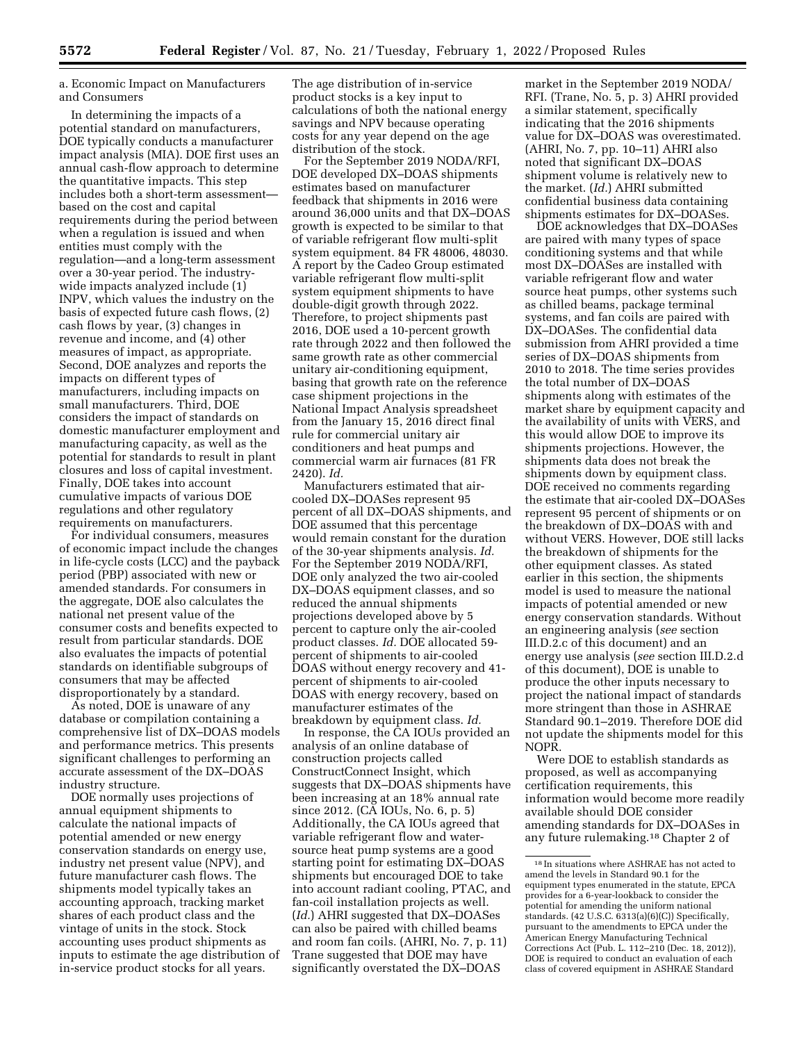a. Economic Impact on Manufacturers and Consumers

In determining the impacts of a potential standard on manufacturers, DOE typically conducts a manufacturer impact analysis (MIA). DOE first uses an annual cash-flow approach to determine the quantitative impacts. This step includes both a short-term assessment based on the cost and capital requirements during the period between when a regulation is issued and when entities must comply with the regulation—and a long-term assessment over a 30-year period. The industrywide impacts analyzed include (1) INPV, which values the industry on the basis of expected future cash flows, (2) cash flows by year, (3) changes in revenue and income, and (4) other measures of impact, as appropriate. Second, DOE analyzes and reports the impacts on different types of manufacturers, including impacts on small manufacturers. Third, DOE considers the impact of standards on domestic manufacturer employment and manufacturing capacity, as well as the potential for standards to result in plant closures and loss of capital investment. Finally, DOE takes into account cumulative impacts of various DOE regulations and other regulatory requirements on manufacturers.

For individual consumers, measures of economic impact include the changes in life-cycle costs (LCC) and the payback period (PBP) associated with new or amended standards. For consumers in the aggregate, DOE also calculates the national net present value of the consumer costs and benefits expected to result from particular standards. DOE also evaluates the impacts of potential standards on identifiable subgroups of consumers that may be affected disproportionately by a standard.

As noted, DOE is unaware of any database or compilation containing a comprehensive list of DX–DOAS models and performance metrics. This presents significant challenges to performing an accurate assessment of the DX–DOAS industry structure.

DOE normally uses projections of annual equipment shipments to calculate the national impacts of potential amended or new energy conservation standards on energy use, industry net present value (NPV), and future manufacturer cash flows. The shipments model typically takes an accounting approach, tracking market shares of each product class and the vintage of units in the stock. Stock accounting uses product shipments as inputs to estimate the age distribution of in-service product stocks for all years.

The age distribution of in-service product stocks is a key input to calculations of both the national energy savings and NPV because operating costs for any year depend on the age distribution of the stock.

For the September 2019 NODA/RFI, DOE developed DX–DOAS shipments estimates based on manufacturer feedback that shipments in 2016 were around 36,000 units and that DX–DOAS growth is expected to be similar to that of variable refrigerant flow multi-split system equipment. 84 FR 48006, 48030. A report by the Cadeo Group estimated variable refrigerant flow multi-split system equipment shipments to have double-digit growth through 2022. Therefore, to project shipments past 2016, DOE used a 10-percent growth rate through 2022 and then followed the same growth rate as other commercial unitary air-conditioning equipment, basing that growth rate on the reference case shipment projections in the National Impact Analysis spreadsheet from the January 15, 2016 direct final rule for commercial unitary air conditioners and heat pumps and commercial warm air furnaces (81 FR 2420). *Id.* 

Manufacturers estimated that aircooled DX–DOASes represent 95 percent of all DX–DOAS shipments, and DOE assumed that this percentage would remain constant for the duration of the 30-year shipments analysis. *Id.*  For the September 2019 NODA/RFI, DOE only analyzed the two air-cooled DX–DOAS equipment classes, and so reduced the annual shipments projections developed above by 5 percent to capture only the air-cooled product classes. *Id.* DOE allocated 59 percent of shipments to air-cooled DOAS without energy recovery and 41 percent of shipments to air-cooled DOAS with energy recovery, based on manufacturer estimates of the breakdown by equipment class. *Id.* 

In response, the CA IOUs provided an analysis of an online database of construction projects called ConstructConnect Insight, which suggests that DX–DOAS shipments have been increasing at an 18% annual rate since 2012. (CA IOUs, No. 6, p. 5) Additionally, the CA IOUs agreed that variable refrigerant flow and watersource heat pump systems are a good starting point for estimating DX–DOAS shipments but encouraged DOE to take into account radiant cooling, PTAC, and fan-coil installation projects as well. (*Id.*) AHRI suggested that DX–DOASes can also be paired with chilled beams and room fan coils. (AHRI, No. 7, p. 11) Trane suggested that DOE may have significantly overstated the DX–DOAS

market in the September 2019 NODA/ RFI. (Trane, No. 5, p. 3) AHRI provided a similar statement, specifically indicating that the 2016 shipments value for DX–DOAS was overestimated. (AHRI, No. 7, pp. 10–11) AHRI also noted that significant DX–DOAS shipment volume is relatively new to the market. (*Id.*) AHRI submitted confidential business data containing shipments estimates for DX–DOASes.

DOE acknowledges that DX–DOASes are paired with many types of space conditioning systems and that while most DX–DOASes are installed with variable refrigerant flow and water source heat pumps, other systems such as chilled beams, package terminal systems, and fan coils are paired with DX–DOASes. The confidential data submission from AHRI provided a time series of DX–DOAS shipments from 2010 to 2018. The time series provides the total number of DX–DOAS shipments along with estimates of the market share by equipment capacity and the availability of units with VERS, and this would allow DOE to improve its shipments projections. However, the shipments data does not break the shipments down by equipment class. DOE received no comments regarding the estimate that air-cooled DX–DOASes represent 95 percent of shipments or on the breakdown of DX–DOAS with and without VERS. However, DOE still lacks the breakdown of shipments for the other equipment classes. As stated earlier in this section, the shipments model is used to measure the national impacts of potential amended or new energy conservation standards. Without an engineering analysis (*see* section III.D.2.c of this document) and an energy use analysis (*see* section III.D.2.d of this document), DOE is unable to produce the other inputs necessary to project the national impact of standards more stringent than those in ASHRAE Standard 90.1–2019. Therefore DOE did not update the shipments model for this NOPR.

Were DOE to establish standards as proposed, as well as accompanying certification requirements, this information would become more readily available should DOE consider amending standards for DX–DOASes in any future rulemaking.18 Chapter 2 of

<sup>18</sup> In situations where ASHRAE has not acted to amend the levels in Standard 90.1 for the equipment types enumerated in the statute, EPCA provides for a 6-year-lookback to consider the potential for amending the uniform national standards. (42 U.S.C. 6313(a)(6)(C)) Specifically, pursuant to the amendments to EPCA under the American Energy Manufacturing Technical Corrections Act (Pub. L. 112–210 (Dec. 18, 2012)), DOE is required to conduct an evaluation of each class of covered equipment in ASHRAE Standard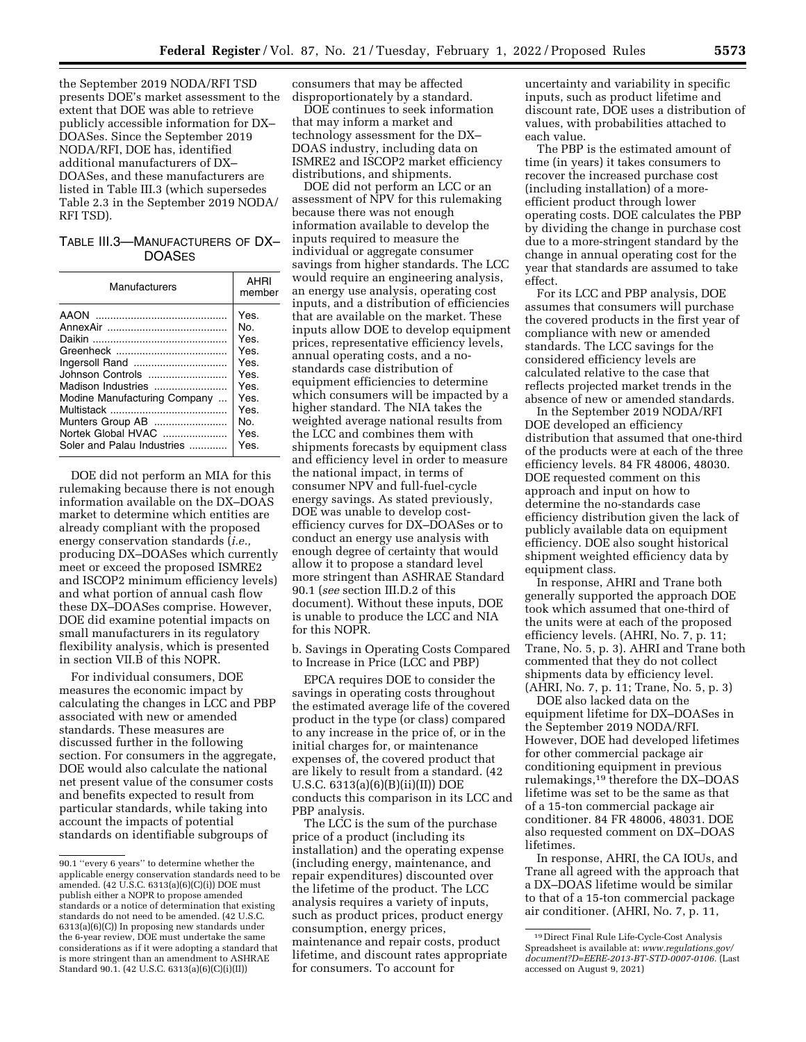the September 2019 NODA/RFI TSD presents DOE's market assessment to the extent that DOE was able to retrieve publicly accessible information for DX– DOASes. Since the September 2019 NODA/RFI, DOE has, identified additional manufacturers of DX– DOASes, and these manufacturers are listed in Table III.3 (which supersedes Table 2.3 in the September 2019 NODA/ RFI TSD).

# TABLE III.3—MANUFACTURERS OF DX– DOASES

| Manufacturers                | <b>AHRI</b><br>member |
|------------------------------|-----------------------|
|                              | Yes.                  |
|                              | No.                   |
|                              | Yes.                  |
|                              | Yes.                  |
|                              | Yes.                  |
| Johnson Controls             | Yes.                  |
| Madison Industries           | Yes.                  |
| Modine Manufacturing Company | Yes.                  |
|                              | Yes.                  |
| Munters Group AB             | No.                   |
| Nortek Global HVAC           | Yes.                  |
| Soler and Palau Industries   | Yes.                  |

DOE did not perform an MIA for this rulemaking because there is not enough information available on the DX–DOAS market to determine which entities are already compliant with the proposed energy conservation standards (*i.e.,*  producing DX–DOASes which currently meet or exceed the proposed ISMRE2 and ISCOP2 minimum efficiency levels) and what portion of annual cash flow these DX–DOASes comprise. However, DOE did examine potential impacts on small manufacturers in its regulatory flexibility analysis, which is presented in section VII.B of this NOPR.

For individual consumers, DOE measures the economic impact by calculating the changes in LCC and PBP associated with new or amended standards. These measures are discussed further in the following section. For consumers in the aggregate, DOE would also calculate the national net present value of the consumer costs and benefits expected to result from particular standards, while taking into account the impacts of potential standards on identifiable subgroups of

consumers that may be affected disproportionately by a standard.

DOE continues to seek information that may inform a market and technology assessment for the DX– DOAS industry, including data on ISMRE2 and ISCOP2 market efficiency distributions, and shipments.

DOE did not perform an LCC or an assessment of NPV for this rulemaking because there was not enough information available to develop the inputs required to measure the individual or aggregate consumer savings from higher standards. The LCC would require an engineering analysis, an energy use analysis, operating cost inputs, and a distribution of efficiencies that are available on the market. These inputs allow DOE to develop equipment prices, representative efficiency levels, annual operating costs, and a nostandards case distribution of equipment efficiencies to determine which consumers will be impacted by a higher standard. The NIA takes the weighted average national results from the LCC and combines them with shipments forecasts by equipment class and efficiency level in order to measure the national impact, in terms of consumer NPV and full-fuel-cycle energy savings. As stated previously, DOE was unable to develop costefficiency curves for DX–DOASes or to conduct an energy use analysis with enough degree of certainty that would allow it to propose a standard level more stringent than ASHRAE Standard 90.1 (*see* section III.D.2 of this document). Without these inputs, DOE is unable to produce the LCC and NIA for this NOPR.

b. Savings in Operating Costs Compared to Increase in Price (LCC and PBP)

EPCA requires DOE to consider the savings in operating costs throughout the estimated average life of the covered product in the type (or class) compared to any increase in the price of, or in the initial charges for, or maintenance expenses of, the covered product that are likely to result from a standard. (42 U.S.C. 6313(a)(6)(B)(ii)(II)) DOE conducts this comparison in its LCC and PBP analysis.

The LCC is the sum of the purchase price of a product (including its installation) and the operating expense (including energy, maintenance, and repair expenditures) discounted over the lifetime of the product. The LCC analysis requires a variety of inputs, such as product prices, product energy consumption, energy prices, maintenance and repair costs, product lifetime, and discount rates appropriate for consumers. To account for

uncertainty and variability in specific inputs, such as product lifetime and discount rate, DOE uses a distribution of values, with probabilities attached to each value.

The PBP is the estimated amount of time (in years) it takes consumers to recover the increased purchase cost (including installation) of a moreefficient product through lower operating costs. DOE calculates the PBP by dividing the change in purchase cost due to a more-stringent standard by the change in annual operating cost for the year that standards are assumed to take effect.

For its LCC and PBP analysis, DOE assumes that consumers will purchase the covered products in the first year of compliance with new or amended standards. The LCC savings for the considered efficiency levels are calculated relative to the case that reflects projected market trends in the absence of new or amended standards.

In the September 2019 NODA/RFI DOE developed an efficiency distribution that assumed that one-third of the products were at each of the three efficiency levels. 84 FR 48006, 48030. DOE requested comment on this approach and input on how to determine the no-standards case efficiency distribution given the lack of publicly available data on equipment efficiency. DOE also sought historical shipment weighted efficiency data by equipment class.

In response, AHRI and Trane both generally supported the approach DOE took which assumed that one-third of the units were at each of the proposed efficiency levels. (AHRI, No. 7, p. 11; Trane, No. 5, p. 3). AHRI and Trane both commented that they do not collect shipments data by efficiency level. (AHRI, No. 7, p. 11; Trane, No. 5, p. 3)

DOE also lacked data on the equipment lifetime for DX–DOASes in the September 2019 NODA/RFI. However, DOE had developed lifetimes for other commercial package air conditioning equipment in previous rulemakings,19 therefore the DX–DOAS lifetime was set to be the same as that of a 15-ton commercial package air conditioner. 84 FR 48006, 48031. DOE also requested comment on DX–DOAS lifetimes.

In response, AHRI, the CA IOUs, and Trane all agreed with the approach that a DX–DOAS lifetime would be similar to that of a 15-ton commercial package air conditioner. (AHRI, No. 7, p. 11,

<sup>90.1 &#</sup>x27;'every 6 years'' to determine whether the applicable energy conservation standards need to be amended. (42 U.S.C. 6313(a)(6)(C)(i)) DOE must publish either a NOPR to propose amended standards or a notice of determination that existing standards do not need to be amended. (42 U.S.C. 6313(a)(6)(C)) In proposing new standards under the 6-year review, DOE must undertake the same considerations as if it were adopting a standard that is more stringent than an amendment to ASHRAE Standard 90.1. (42 U.S.C. 6313(a)(6)(C)(i)(II))

<sup>19</sup> Direct Final Rule Life-Cycle-Cost Analysis Spreadsheet is available at: *[www.regulations.gov/](http://www.regulations.gov/document?D=EERE-2013-BT-STD-0007-0106) [document?D=EERE-2013-BT-STD-0007-0106.](http://www.regulations.gov/document?D=EERE-2013-BT-STD-0007-0106)* (Last accessed on August 9, 2021)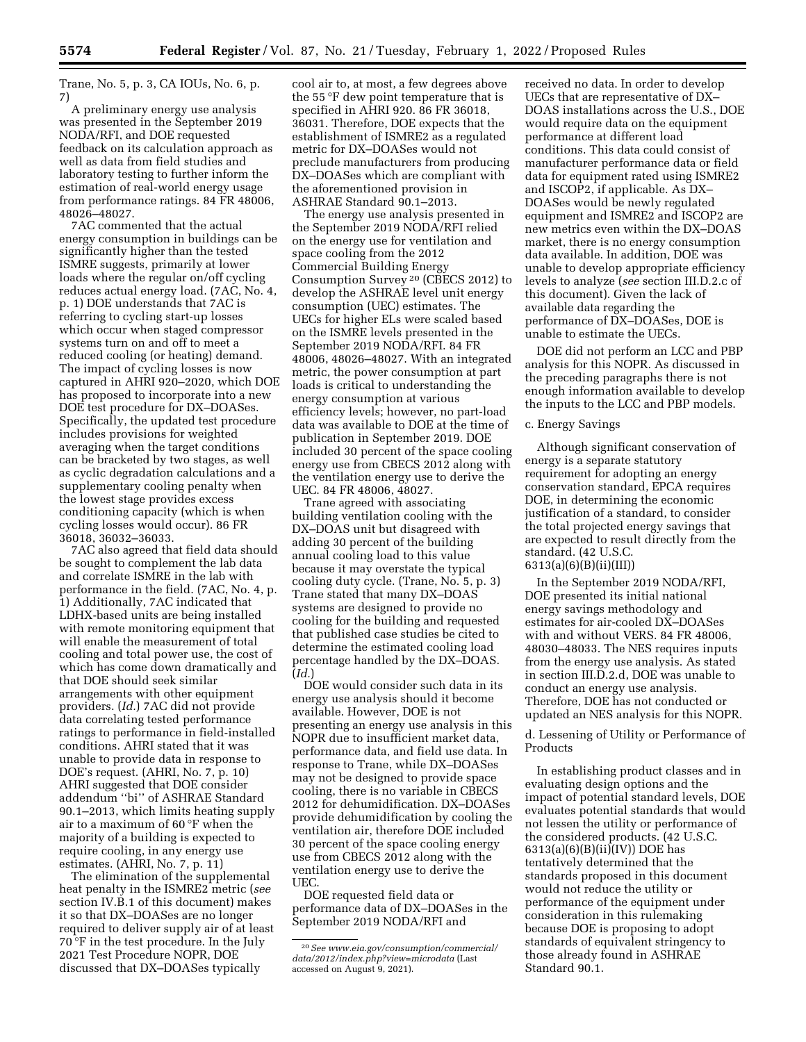Trane, No. 5, p. 3, CA IOUs, No. 6, p. 7)

A preliminary energy use analysis was presented in the September 2019 NODA/RFI, and DOE requested feedback on its calculation approach as well as data from field studies and laboratory testing to further inform the estimation of real-world energy usage from performance ratings. 84 FR 48006, 48026–48027.

7AC commented that the actual energy consumption in buildings can be significantly higher than the tested ISMRE suggests, primarily at lower loads where the regular on/off cycling reduces actual energy load. (7AC, No. 4, p. 1) DOE understands that 7AC is referring to cycling start-up losses which occur when staged compressor systems turn on and off to meet a reduced cooling (or heating) demand. The impact of cycling losses is now captured in AHRI 920–2020, which DOE has proposed to incorporate into a new DOE test procedure for DX–DOASes. Specifically, the updated test procedure includes provisions for weighted averaging when the target conditions can be bracketed by two stages, as well as cyclic degradation calculations and a supplementary cooling penalty when the lowest stage provides excess conditioning capacity (which is when cycling losses would occur). 86 FR 36018, 36032–36033.

7AC also agreed that field data should be sought to complement the lab data and correlate ISMRE in the lab with performance in the field. (7AC, No. 4, p. 1) Additionally, 7AC indicated that LDHX-based units are being installed with remote monitoring equipment that will enable the measurement of total cooling and total power use, the cost of which has come down dramatically and that DOE should seek similar arrangements with other equipment providers. (*Id.*) 7AC did not provide data correlating tested performance ratings to performance in field-installed conditions. AHRI stated that it was unable to provide data in response to DOE's request. (AHRI, No. 7, p. 10) AHRI suggested that DOE consider addendum ''bi'' of ASHRAE Standard 90.1–2013, which limits heating supply air to a maximum of 60 °F when the majority of a building is expected to require cooling, in any energy use estimates. (AHRI, No. 7, p. 11)

The elimination of the supplemental heat penalty in the ISMRE2 metric (*see*  section IV.B.1 of this document) makes it so that DX–DOASes are no longer required to deliver supply air of at least 70 °F in the test procedure. In the July 2021 Test Procedure NOPR, DOE discussed that DX–DOASes typically

cool air to, at most, a few degrees above the 55 °F dew point temperature that is specified in AHRI 920. 86 FR 36018, 36031. Therefore, DOE expects that the establishment of ISMRE2 as a regulated metric for DX–DOASes would not preclude manufacturers from producing DX–DOASes which are compliant with the aforementioned provision in ASHRAE Standard 90.1–2013.

The energy use analysis presented in the September 2019 NODA/RFI relied on the energy use for ventilation and space cooling from the 2012 Commercial Building Energy Consumption Survey 20 (CBECS 2012) to develop the ASHRAE level unit energy consumption (UEC) estimates. The UECs for higher ELs were scaled based on the ISMRE levels presented in the September 2019 NODA/RFI. 84 FR 48006, 48026–48027. With an integrated metric, the power consumption at part loads is critical to understanding the energy consumption at various efficiency levels; however, no part-load data was available to DOE at the time of publication in September 2019. DOE included 30 percent of the space cooling energy use from CBECS 2012 along with the ventilation energy use to derive the UEC. 84 FR 48006, 48027.

Trane agreed with associating building ventilation cooling with the DX–DOAS unit but disagreed with adding 30 percent of the building annual cooling load to this value because it may overstate the typical cooling duty cycle. (Trane, No. 5, p. 3) Trane stated that many DX–DOAS systems are designed to provide no cooling for the building and requested that published case studies be cited to determine the estimated cooling load percentage handled by the DX–DOAS. (*Id.*)

DOE would consider such data in its energy use analysis should it become available. However, DOE is not presenting an energy use analysis in this NOPR due to insufficient market data, performance data, and field use data. In response to Trane, while DX–DOASes may not be designed to provide space cooling, there is no variable in CBECS 2012 for dehumidification. DX–DOASes provide dehumidification by cooling the ventilation air, therefore DOE included 30 percent of the space cooling energy use from CBECS 2012 along with the ventilation energy use to derive the UEC.

DOE requested field data or performance data of DX–DOASes in the September 2019 NODA/RFI and

received no data. In order to develop UECs that are representative of DX– DOAS installations across the U.S., DOE would require data on the equipment performance at different load conditions. This data could consist of manufacturer performance data or field data for equipment rated using ISMRE2 and ISCOP2, if applicable. As DX– DOASes would be newly regulated equipment and ISMRE2 and ISCOP2 are new metrics even within the DX–DOAS market, there is no energy consumption data available. In addition, DOE was unable to develop appropriate efficiency levels to analyze (*see* section III.D.2.c of this document). Given the lack of available data regarding the performance of DX–DOASes, DOE is unable to estimate the UECs.

DOE did not perform an LCC and PBP analysis for this NOPR. As discussed in the preceding paragraphs there is not enough information available to develop the inputs to the LCC and PBP models.

# c. Energy Savings

Although significant conservation of energy is a separate statutory requirement for adopting an energy conservation standard, EPCA requires DOE, in determining the economic justification of a standard, to consider the total projected energy savings that are expected to result directly from the standard. (42 U.S.C. 6313(a)(6)(B)(ii)(III))

In the September 2019 NODA/RFI, DOE presented its initial national energy savings methodology and estimates for air-cooled DX–DOASes with and without VERS. 84 FR 48006, 48030–48033. The NES requires inputs from the energy use analysis. As stated in section III.D.2.d, DOE was unable to conduct an energy use analysis. Therefore, DOE has not conducted or updated an NES analysis for this NOPR.

d. Lessening of Utility or Performance of Products

In establishing product classes and in evaluating design options and the impact of potential standard levels, DOE evaluates potential standards that would not lessen the utility or performance of the considered products. (42 U.S.C. 6313(a)(6)(B)(ii)(IV)) DOE has tentatively determined that the standards proposed in this document would not reduce the utility or performance of the equipment under consideration in this rulemaking because DOE is proposing to adopt standards of equivalent stringency to those already found in ASHRAE Standard 90.1.

<sup>20</sup>*See [www.eia.gov/consumption/commercial/](http://www.eia.gov/consumption/commercial/data/2012/index.php?view=microdata) [data/2012/index.php?view=microdata](http://www.eia.gov/consumption/commercial/data/2012/index.php?view=microdata)* (Last accessed on August 9, 2021).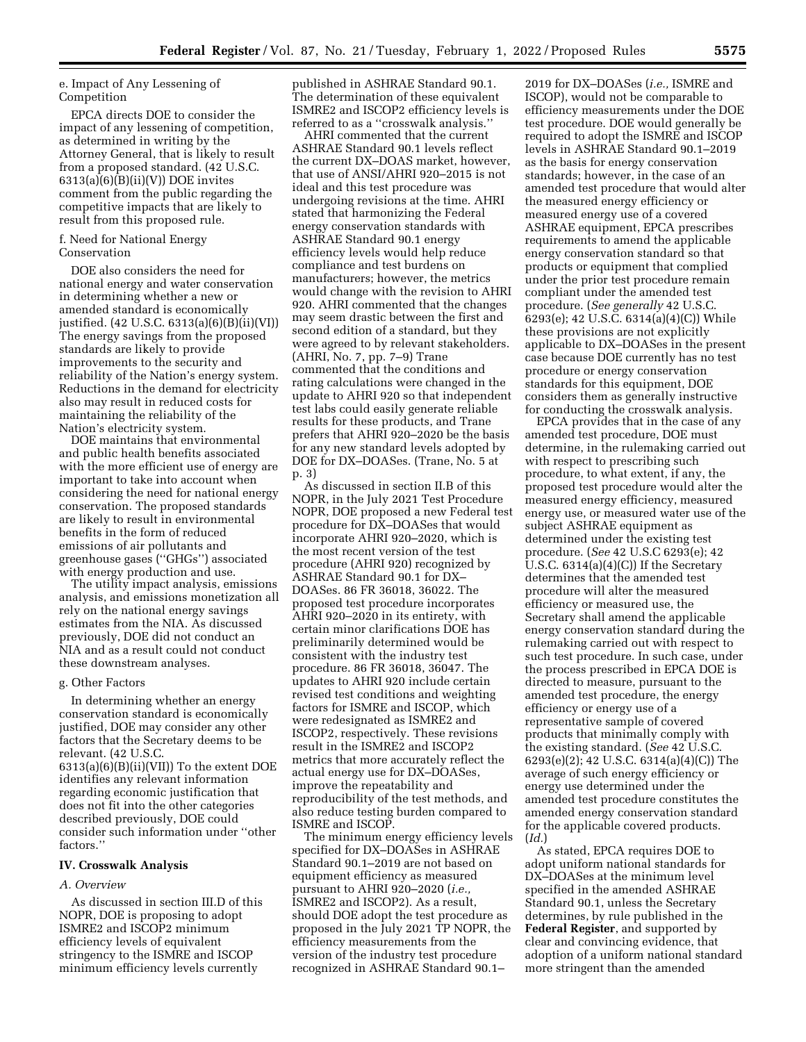e. Impact of Any Lessening of Competition

EPCA directs DOE to consider the impact of any lessening of competition, as determined in writing by the Attorney General, that is likely to result from a proposed standard. (42 U.S.C.  $6313(a)(6)(B)(ii)(V))$  DOE invites comment from the public regarding the competitive impacts that are likely to result from this proposed rule.

## f. Need for National Energy Conservation

DOE also considers the need for national energy and water conservation in determining whether a new or amended standard is economically justified. (42 U.S.C. 6313(a)(6)(B)(ii)(VI)) The energy savings from the proposed standards are likely to provide improvements to the security and reliability of the Nation's energy system. Reductions in the demand for electricity also may result in reduced costs for maintaining the reliability of the Nation's electricity system.

DOE maintains that environmental and public health benefits associated with the more efficient use of energy are important to take into account when considering the need for national energy conservation. The proposed standards are likely to result in environmental benefits in the form of reduced emissions of air pollutants and greenhouse gases (''GHGs'') associated with energy production and use.

The utility impact analysis, emissions analysis, and emissions monetization all rely on the national energy savings estimates from the NIA. As discussed previously, DOE did not conduct an NIA and as a result could not conduct these downstream analyses.

#### g. Other Factors

In determining whether an energy conservation standard is economically justified, DOE may consider any other factors that the Secretary deems to be relevant. (42 U.S.C. 6313(a)(6)(B)(ii)(VII)) To the extent DOE identifies any relevant information regarding economic justification that does not fit into the other categories described previously, DOE could consider such information under ''other factors.''

### **IV. Crosswalk Analysis**

#### *A. Overview*

As discussed in section III.D of this NOPR, DOE is proposing to adopt ISMRE2 and ISCOP2 minimum efficiency levels of equivalent stringency to the ISMRE and ISCOP minimum efficiency levels currently

published in ASHRAE Standard 90.1. The determination of these equivalent ISMRE2 and ISCOP2 efficiency levels is referred to as a ''crosswalk analysis.''

AHRI commented that the current ASHRAE Standard 90.1 levels reflect the current DX–DOAS market, however, that use of ANSI/AHRI 920–2015 is not ideal and this test procedure was undergoing revisions at the time. AHRI stated that harmonizing the Federal energy conservation standards with ASHRAE Standard 90.1 energy efficiency levels would help reduce compliance and test burdens on manufacturers; however, the metrics would change with the revision to AHRI 920. AHRI commented that the changes may seem drastic between the first and second edition of a standard, but they were agreed to by relevant stakeholders. (AHRI, No. 7, pp. 7–9) Trane commented that the conditions and rating calculations were changed in the update to AHRI 920 so that independent test labs could easily generate reliable results for these products, and Trane prefers that AHRI 920–2020 be the basis for any new standard levels adopted by DOE for DX–DOASes. (Trane, No. 5 at p. 3)

As discussed in section II.B of this NOPR, in the July 2021 Test Procedure NOPR, DOE proposed a new Federal test procedure for DX–DOASes that would incorporate AHRI 920–2020, which is the most recent version of the test procedure (AHRI 920) recognized by ASHRAE Standard 90.1 for DX– DOASes. 86 FR 36018, 36022. The proposed test procedure incorporates AHRI 920–2020 in its entirety, with certain minor clarifications DOE has preliminarily determined would be consistent with the industry test procedure. 86 FR 36018, 36047. The updates to AHRI 920 include certain revised test conditions and weighting factors for ISMRE and ISCOP, which were redesignated as ISMRE2 and ISCOP2, respectively. These revisions result in the ISMRE2 and ISCOP2 metrics that more accurately reflect the actual energy use for DX–DOASes, improve the repeatability and reproducibility of the test methods, and also reduce testing burden compared to ISMRE and ISCOP.

The minimum energy efficiency levels specified for DX–DOASes in ASHRAE Standard 90.1–2019 are not based on equipment efficiency as measured pursuant to AHRI 920–2020 (*i.e.,*  ISMRE2 and ISCOP2). As a result, should DOE adopt the test procedure as proposed in the July 2021 TP NOPR, the efficiency measurements from the version of the industry test procedure recognized in ASHRAE Standard 90.1–

2019 for DX–DOASes (*i.e.,* ISMRE and ISCOP), would not be comparable to efficiency measurements under the DOE test procedure. DOE would generally be required to adopt the ISMRE and ISCOP levels in ASHRAE Standard 90.1–2019 as the basis for energy conservation standards; however, in the case of an amended test procedure that would alter the measured energy efficiency or measured energy use of a covered ASHRAE equipment, EPCA prescribes requirements to amend the applicable energy conservation standard so that products or equipment that complied under the prior test procedure remain compliant under the amended test procedure. (*See generally* 42 U.S.C. 6293(e); 42 U.S.C. 6314(a)(4)(C)) While these provisions are not explicitly applicable to DX–DOASes in the present case because DOE currently has no test procedure or energy conservation standards for this equipment, DOE considers them as generally instructive for conducting the crosswalk analysis.

EPCA provides that in the case of any amended test procedure, DOE must determine, in the rulemaking carried out with respect to prescribing such procedure, to what extent, if any, the proposed test procedure would alter the measured energy efficiency, measured energy use, or measured water use of the subject ASHRAE equipment as determined under the existing test procedure. (*See* 42 U.S.C 6293(e); 42 U.S.C. 6314(a)(4)(C)) If the Secretary determines that the amended test procedure will alter the measured efficiency or measured use, the Secretary shall amend the applicable energy conservation standard during the rulemaking carried out with respect to such test procedure. In such case, under the process prescribed in EPCA DOE is directed to measure, pursuant to the amended test procedure, the energy efficiency or energy use of a representative sample of covered products that minimally comply with the existing standard. (*See* 42 U.S.C. 6293(e)(2); 42 U.S.C. 6314(a)(4)(C)) The average of such energy efficiency or energy use determined under the amended test procedure constitutes the amended energy conservation standard for the applicable covered products. (*Id.*)

As stated, EPCA requires DOE to adopt uniform national standards for DX–DOASes at the minimum level specified in the amended ASHRAE Standard 90.1, unless the Secretary determines, by rule published in the **Federal Register**, and supported by clear and convincing evidence, that adoption of a uniform national standard more stringent than the amended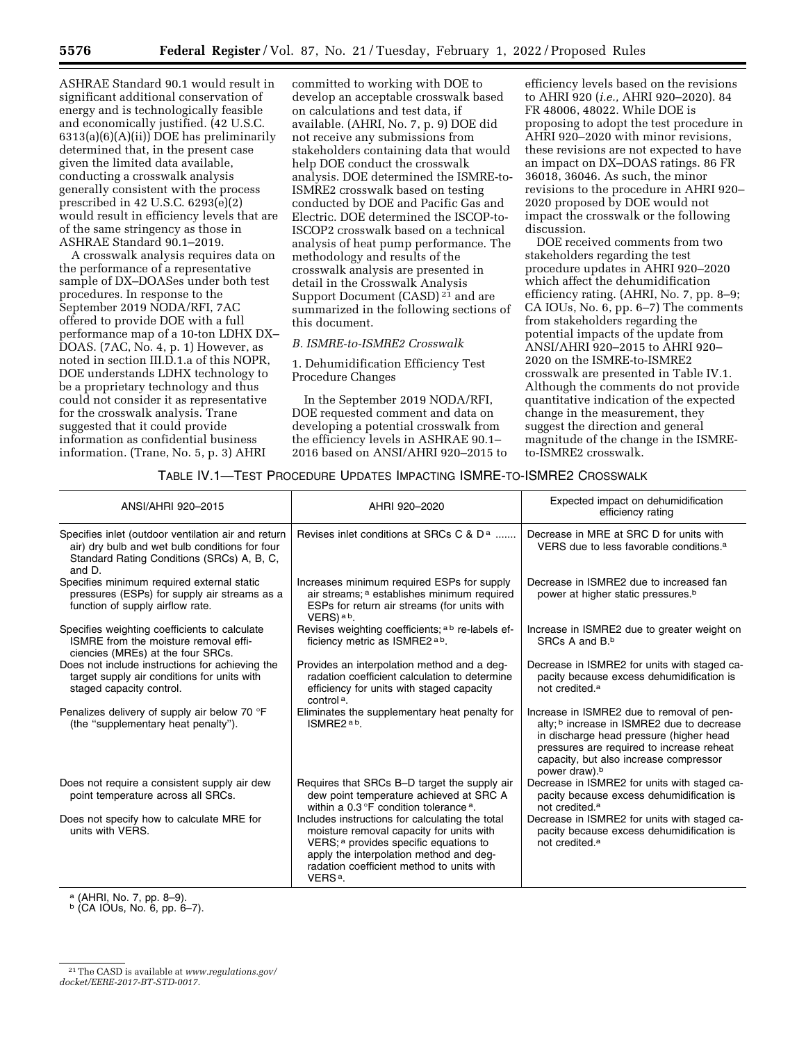ASHRAE Standard 90.1 would result in significant additional conservation of energy and is technologically feasible and economically justified. (42 U.S.C. 6313(a)(6)(A)(ii)) DOE has preliminarily determined that, in the present case given the limited data available, conducting a crosswalk analysis generally consistent with the process prescribed in 42 U.S.C. 6293(e)(2) would result in efficiency levels that are of the same stringency as those in ASHRAE Standard 90.1–2019.

A crosswalk analysis requires data on the performance of a representative sample of DX–DOASes under both test procedures. In response to the September 2019 NODA/RFI, 7AC offered to provide DOE with a full performance map of a 10-ton LDHX DX– DOAS. (7AC, No. 4, p. 1) However, as noted in section III.D.1.a of this NOPR, DOE understands LDHX technology to be a proprietary technology and thus could not consider it as representative for the crosswalk analysis. Trane suggested that it could provide information as confidential business information. (Trane, No. 5, p. 3) AHRI

committed to working with DOE to develop an acceptable crosswalk based on calculations and test data, if available. (AHRI, No. 7, p. 9) DOE did not receive any submissions from stakeholders containing data that would help DOE conduct the crosswalk analysis. DOE determined the ISMRE-to-ISMRE2 crosswalk based on testing conducted by DOE and Pacific Gas and Electric. DOE determined the ISCOP-to-ISCOP2 crosswalk based on a technical analysis of heat pump performance. The methodology and results of the crosswalk analysis are presented in detail in the Crosswalk Analysis Support Document (CASD)<sup>21</sup> and are summarized in the following sections of this document.

#### *B. ISMRE-to-ISMRE2 Crosswalk*

1. Dehumidification Efficiency Test Procedure Changes

In the September 2019 NODA/RFI, DOE requested comment and data on developing a potential crosswalk from the efficiency levels in ASHRAE 90.1– 2016 based on ANSI/AHRI 920–2015 to

efficiency levels based on the revisions to AHRI 920 (*i.e.,* AHRI 920–2020). 84 FR 48006, 48022. While DOE is proposing to adopt the test procedure in AHRI 920–2020 with minor revisions, these revisions are not expected to have an impact on DX–DOAS ratings. 86 FR 36018, 36046. As such, the minor revisions to the procedure in AHRI 920– 2020 proposed by DOE would not impact the crosswalk or the following discussion.

DOE received comments from two stakeholders regarding the test procedure updates in AHRI 920–2020 which affect the dehumidification efficiency rating. (AHRI, No. 7, pp. 8–9; CA IOUs, No. 6, pp. 6–7) The comments from stakeholders regarding the potential impacts of the update from ANSI/AHRI 920–2015 to AHRI 920– 2020 on the ISMRE-to-ISMRE2 crosswalk are presented in Table IV.1. Although the comments do not provide quantitative indication of the expected change in the measurement, they suggest the direction and general magnitude of the change in the ISMREto-ISMRE2 crosswalk.

# TABLE IV.1—TEST PROCEDURE UPDATES IMPACTING ISMRE-TO-ISMRE2 CROSSWALK

| ANSI/AHRI 920-2015                                                                                                                                            | AHRI 920-2020                                                                                                                                                                                                                                        | Expected impact on dehumidification<br>efficiency rating                                                                                                                                                                                                          |
|---------------------------------------------------------------------------------------------------------------------------------------------------------------|------------------------------------------------------------------------------------------------------------------------------------------------------------------------------------------------------------------------------------------------------|-------------------------------------------------------------------------------------------------------------------------------------------------------------------------------------------------------------------------------------------------------------------|
| Specifies inlet (outdoor ventilation air and return<br>air) dry bulb and wet bulb conditions for four<br>Standard Rating Conditions (SRCs) A, B, C,<br>and D. | Revises inlet conditions at SRCs C & $D^a$                                                                                                                                                                                                           | Decrease in MRE at SRC D for units with<br>VERS due to less favorable conditions. <sup>a</sup>                                                                                                                                                                    |
| Specifies minimum required external static<br>pressures (ESPs) for supply air streams as a<br>function of supply airflow rate.                                | Increases minimum required ESPs for supply<br>air streams; a establishes minimum required<br>ESPs for return air streams (for units with<br>$VERS$ ) a b.                                                                                            | Decrease in ISMRE2 due to increased fan<br>power at higher static pressures. <sup>b</sup>                                                                                                                                                                         |
| Specifies weighting coefficients to calculate<br>ISMRE from the moisture removal effi-<br>ciencies (MREs) at the four SRCs.                                   | Revises weighting coefficients; a b re-labels ef-<br>ficiency metric as ISMRE2 <sup>ab</sup> .                                                                                                                                                       | Increase in ISMRE2 due to greater weight on<br>SRCs A and B.b                                                                                                                                                                                                     |
| Does not include instructions for achieving the<br>target supply air conditions for units with<br>staged capacity control.                                    | Provides an interpolation method and a deg-<br>radation coefficient calculation to determine<br>efficiency for units with staged capacity<br>control <sup>a</sup> .                                                                                  | Decrease in ISMRE2 for units with staged ca-<br>pacity because excess dehumidification is<br>not credited. <sup>a</sup>                                                                                                                                           |
| Penalizes delivery of supply air below 70 °F<br>(the "supplementary heat penalty").                                                                           | Eliminates the supplementary heat penalty for<br>ISMRE2 <sup>ab</sup> .                                                                                                                                                                              | Increase in ISMRE2 due to removal of pen-<br>alty; <sup>b</sup> increase in ISMRE2 due to decrease<br>in discharge head pressure (higher head<br>pressures are required to increase reheat<br>capacity, but also increase compressor<br>power draw). <sup>b</sup> |
| Does not require a consistent supply air dew<br>point temperature across all SRCs.                                                                            | Requires that SRCs B-D target the supply air<br>dew point temperature achieved at SRC A<br>within a 0.3 °F condition tolerance <sup>a</sup> .                                                                                                        | Decrease in ISMRE2 for units with staged ca-<br>pacity because excess dehumidification is<br>not credited. <sup>a</sup>                                                                                                                                           |
| Does not specify how to calculate MRE for<br>units with VERS.                                                                                                 | Includes instructions for calculating the total<br>moisture removal capacity for units with<br>VERS; a provides specific equations to<br>apply the interpolation method and deq-<br>radation coefficient method to units with<br>VERS <sup>a</sup> . | Decrease in ISMRE2 for units with staged ca-<br>pacity because excess dehumidification is<br>not credited. <sup>a</sup>                                                                                                                                           |

<sup>a</sup> (AHRI, No. 7, pp. 8–9).<br><sup>b</sup> (CA IOUs, No. 6, pp. 6–7).

<sup>21</sup>The CASD is available at *[www.regulations.gov/](http://www.regulations.gov/docket/EERE-2017-BT-STD-0017) [docket/EERE-2017-BT-STD-0017.](http://www.regulations.gov/docket/EERE-2017-BT-STD-0017)*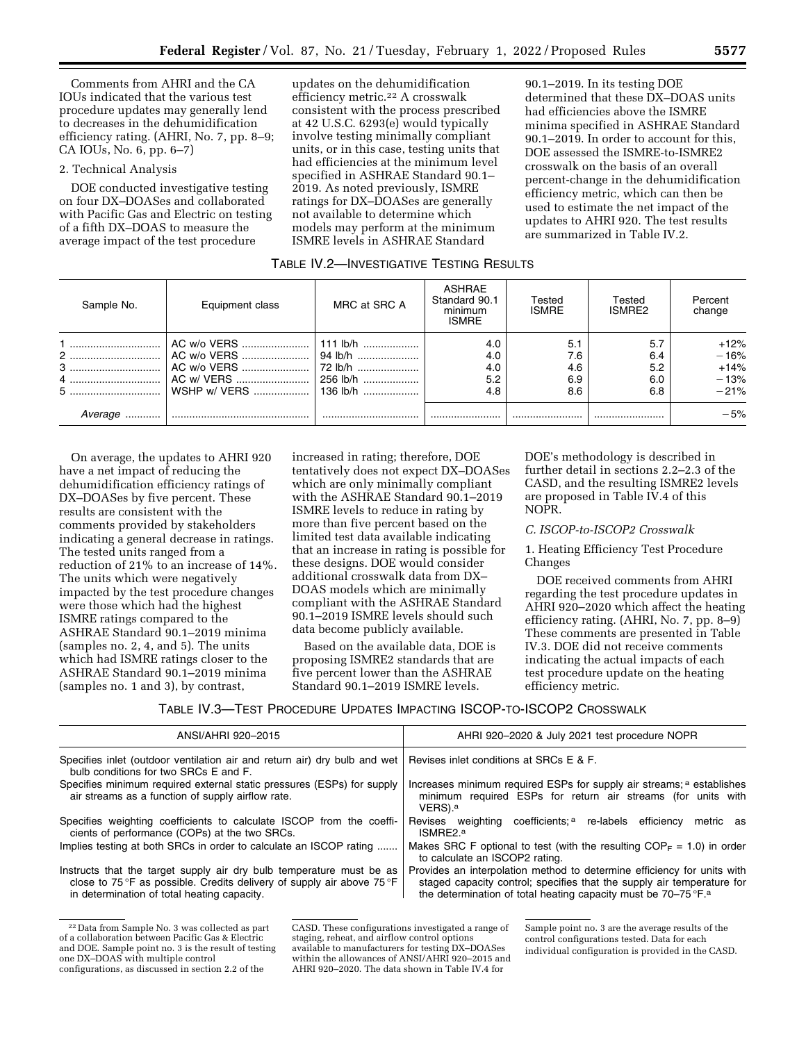Comments from AHRI and the CA IOUs indicated that the various test procedure updates may generally lend to decreases in the dehumidification efficiency rating. (AHRI, No. 7, pp. 8–9; CA IOUs, No. 6, pp. 6–7)

### 2. Technical Analysis

DOE conducted investigative testing on four DX–DOASes and collaborated with Pacific Gas and Electric on testing of a fifth DX–DOAS to measure the average impact of the test procedure

updates on the dehumidification efficiency metric.22 A crosswalk consistent with the process prescribed at 42 U.S.C. 6293(e) would typically involve testing minimally compliant units, or in this case, testing units that had efficiencies at the minimum level specified in ASHRAE Standard 90.1– 2019. As noted previously, ISMRE ratings for DX–DOASes are generally not available to determine which models may perform at the minimum ISMRE levels in ASHRAE Standard

90.1–2019. In its testing DOE determined that these DX–DOAS units had efficiencies above the ISMRE minima specified in ASHRAE Standard 90.1–2019. In order to account for this, DOE assessed the ISMRE-to-ISMRE2 crosswalk on the basis of an overall percent-change in the dehumidification efficiency metric, which can then be used to estimate the net impact of the updates to AHRI 920. The test results are summarized in Table IV.2.

# TABLE IV.2—INVESTIGATIVE TESTING RESULTS

| Sample No.  | Equipment class                                                        | MRC at SRC A                         | ASHRAE<br>Standard 90.1<br>minimum<br><b>ISMRE</b> | Tested<br><b>ISMRE</b>          | Tested<br>ISMRE2                | Percent<br>change                              |
|-------------|------------------------------------------------------------------------|--------------------------------------|----------------------------------------------------|---------------------------------|---------------------------------|------------------------------------------------|
| 2<br>3<br>4 | AC w/o VERS<br>AC w/o VERS<br>AC w/ VERS<br>  WSHP w/ VERS    136 lb/h | 94 lb/h<br>$ 72 $ lb/h<br>1 256 lb/h | 4.0<br>4.0<br>4.0<br>5.2<br>4.8                    | 5.1<br>7.6<br>4.6<br>6.9<br>8.6 | 5.7<br>6.4<br>5.2<br>6.0<br>6.8 | $+12%$<br>$-16%$<br>$+14%$<br>$-13%$<br>$-21%$ |
| Average<br> |                                                                        |                                      |                                                    |                                 |                                 | $-5%$                                          |

On average, the updates to AHRI 920 have a net impact of reducing the dehumidification efficiency ratings of DX–DOASes by five percent. These results are consistent with the comments provided by stakeholders indicating a general decrease in ratings. The tested units ranged from a reduction of 21% to an increase of 14%. The units which were negatively impacted by the test procedure changes were those which had the highest ISMRE ratings compared to the ASHRAE Standard 90.1–2019 minima (samples no. 2, 4, and 5). The units which had ISMRE ratings closer to the ASHRAE Standard 90.1–2019 minima (samples no. 1 and 3), by contrast,

increased in rating; therefore, DOE tentatively does not expect DX–DOASes which are only minimally compliant with the ASHRAE Standard 90.1–2019 ISMRE levels to reduce in rating by more than five percent based on the limited test data available indicating that an increase in rating is possible for these designs. DOE would consider additional crosswalk data from DX– DOAS models which are minimally compliant with the ASHRAE Standard 90.1–2019 ISMRE levels should such data become publicly available.

Based on the available data, DOE is proposing ISMRE2 standards that are five percent lower than the ASHRAE Standard 90.1–2019 ISMRE levels.

DOE's methodology is described in further detail in sections 2.2–2.3 of the CASD, and the resulting ISMRE2 levels are proposed in Table IV.4 of this NOPR.

# *C. ISCOP-to-ISCOP2 Crosswalk*

1. Heating Efficiency Test Procedure Changes

DOE received comments from AHRI regarding the test procedure updates in AHRI 920–2020 which affect the heating efficiency rating. (AHRI, No. 7, pp. 8–9) These comments are presented in Table IV.3. DOE did not receive comments indicating the actual impacts of each test procedure update on the heating efficiency metric.

TABLE IV.3—TEST PROCEDURE UPDATES IMPACTING ISCOP-TO-ISCOP2 CROSSWALK

| ANSI/AHRI 920-2015                                                                                                                                                                            | AHRI 920-2020 & July 2021 test procedure NOPR                                                                                                                                                                                   |
|-----------------------------------------------------------------------------------------------------------------------------------------------------------------------------------------------|---------------------------------------------------------------------------------------------------------------------------------------------------------------------------------------------------------------------------------|
| Specifies inlet (outdoor ventilation air and return air) dry bulb and wet<br>bulb conditions for two SRCs E and F.                                                                            | Revises inlet conditions at SRCs E & F.                                                                                                                                                                                         |
| Specifies minimum required external static pressures (ESPs) for supply<br>air streams as a function of supply airflow rate.                                                                   | Increases minimum required ESPs for supply air streams; a establishes<br>minimum required ESPs for return air streams (for units with<br>VERS). <sup>a</sup>                                                                    |
| Specifies weighting coefficients to calculate ISCOP from the coeffi-<br>cients of performance (COPs) at the two SRCs.                                                                         | Revises weighting coefficients; <sup>a</sup> re-labels efficiency<br>metric as<br>ISMRE2. <sup>a</sup>                                                                                                                          |
| Implies testing at both SRCs in order to calculate an ISCOP rating                                                                                                                            | Makes SRC F optional to test (with the resulting $COP_F = 1.0$ ) in order<br>to calculate an ISCOP2 rating.                                                                                                                     |
| Instructs that the target supply air dry bulb temperature must be as<br>close to 75 °F as possible. Credits delivery of supply air above 75 °F<br>in determination of total heating capacity. | Provides an interpolation method to determine efficiency for units with<br>staged capacity control; specifies that the supply air temperature for<br>the determination of total heating capacity must be 70-75 °F. <sup>a</sup> |

<sup>22</sup> Data from Sample No. 3 was collected as part of a collaboration between Pacific Gas & Electric and DOE. Sample point no. 3 is the result of testing one DX–DOAS with multiple control configurations, as discussed in section 2.2 of the

CASD. These configurations investigated a range of staging, reheat, and airflow control options available to manufacturers for testing DX–DOASes within the allowances of ANSI/AHRI 920–2015 and AHRI 920–2020. The data shown in Table IV.4 for

Sample point no. 3 are the average results of the control configurations tested. Data for each individual configuration is provided in the CASD.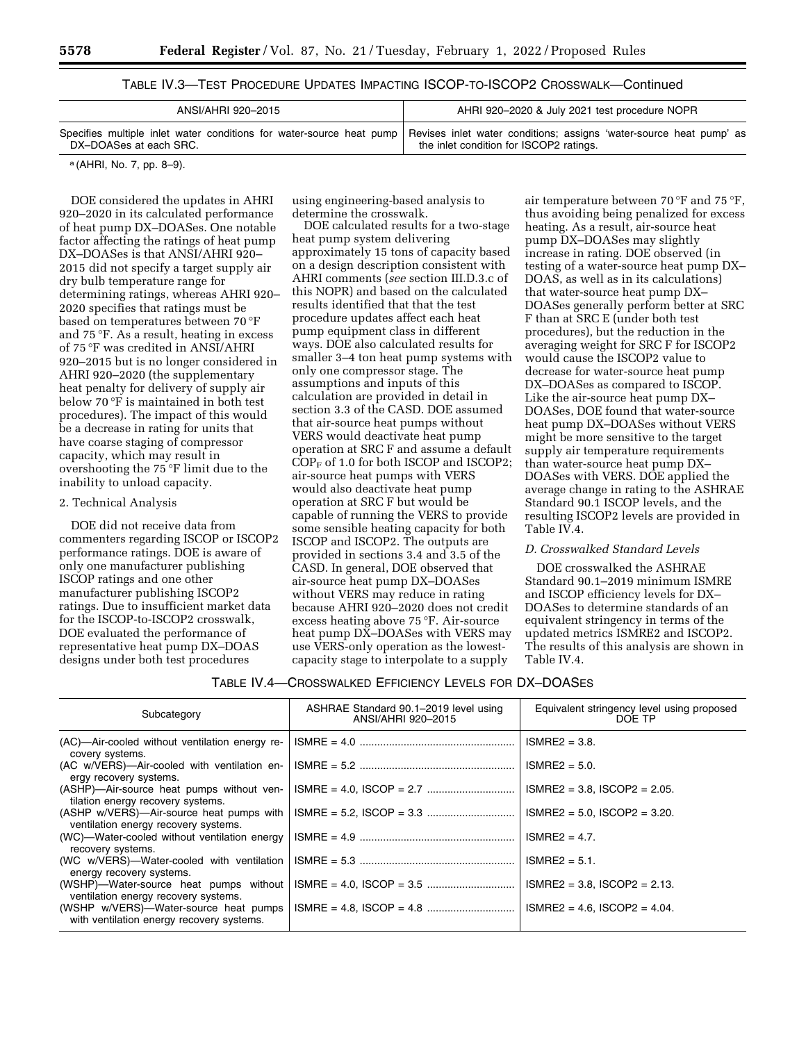| TABLE IV.3—TEST PROCEDURE UPDATES IMPACTING ISCOP-TO-ISCOP2 CROSSWALK—Continued |
|---------------------------------------------------------------------------------|
|---------------------------------------------------------------------------------|

| AHRI 920-2020 & July 2021 test procedure NOPR                                                                                                                                         |
|---------------------------------------------------------------------------------------------------------------------------------------------------------------------------------------|
| Specifies multiple inlet water conditions for water-source heat pump   Revises inlet water conditions; assigns 'water-source heat pump' as<br>the inlet condition for ISCOP2 ratings. |
|                                                                                                                                                                                       |

a (AHRI, No. 7, pp. 8–9).

DOE considered the updates in AHRI 920–2020 in its calculated performance of heat pump DX–DOASes. One notable factor affecting the ratings of heat pump DX–DOASes is that ANSI/AHRI 920– 2015 did not specify a target supply air dry bulb temperature range for determining ratings, whereas AHRI 920– 2020 specifies that ratings must be based on temperatures between 70 °F and 75 °F. As a result, heating in excess of 75 °F was credited in ANSI/AHRI 920–2015 but is no longer considered in AHRI 920–2020 (the supplementary heat penalty for delivery of supply air below 70 °F is maintained in both test procedures). The impact of this would be a decrease in rating for units that have coarse staging of compressor capacity, which may result in overshooting the 75 °F limit due to the inability to unload capacity.

## 2. Technical Analysis

DOE did not receive data from commenters regarding ISCOP or ISCOP2 performance ratings. DOE is aware of only one manufacturer publishing ISCOP ratings and one other manufacturer publishing ISCOP2 ratings. Due to insufficient market data for the ISCOP-to-ISCOP2 crosswalk, DOE evaluated the performance of representative heat pump DX–DOAS designs under both test procedures

using engineering-based analysis to determine the crosswalk.

DOE calculated results for a two-stage heat pump system delivering approximately 15 tons of capacity based on a design description consistent with AHRI comments (*see* section III.D.3.c of this NOPR) and based on the calculated results identified that that the test procedure updates affect each heat pump equipment class in different ways. DOE also calculated results for smaller 3–4 ton heat pump systems with only one compressor stage. The assumptions and inputs of this calculation are provided in detail in section 3.3 of the CASD. DOE assumed that air-source heat pumps without VERS would deactivate heat pump operation at SRC F and assume a default  $COP<sub>F</sub>$  of 1.0 for both ISCOP and ISCOP2; air-source heat pumps with VERS would also deactivate heat pump operation at SRC F but would be capable of running the VERS to provide some sensible heating capacity for both ISCOP and ISCOP2. The outputs are provided in sections 3.4 and 3.5 of the CASD. In general, DOE observed that air-source heat pump DX–DOASes without VERS may reduce in rating because AHRI 920–2020 does not credit excess heating above 75 °F. Air-source heat pump DX–DOASes with VERS may use VERS-only operation as the lowestcapacity stage to interpolate to a supply

air temperature between 70 °F and 75 °F, thus avoiding being penalized for excess heating. As a result, air-source heat pump DX–DOASes may slightly increase in rating. DOE observed (in testing of a water-source heat pump DX– DOAS, as well as in its calculations) that water-source heat pump DX– DOASes generally perform better at SRC F than at SRC E (under both test procedures), but the reduction in the averaging weight for SRC F for ISCOP2 would cause the ISCOP2 value to decrease for water-source heat pump DX–DOASes as compared to ISCOP. Like the air-source heat pump DX– DOASes, DOE found that water-source heat pump DX–DOASes without VERS might be more sensitive to the target supply air temperature requirements than water-source heat pump DX– DOASes with VERS. DOE applied the average change in rating to the ASHRAE Standard 90.1 ISCOP levels, and the resulting ISCOP2 levels are provided in Table IV.4.

# *D. Crosswalked Standard Levels*

DOE crosswalked the ASHRAE Standard 90.1–2019 minimum ISMRE and ISCOP efficiency levels for DX– DOASes to determine standards of an equivalent stringency in terms of the updated metrics ISMRE2 and ISCOP2. The results of this analysis are shown in Table IV.4.

#### TABLE IV.4—CROSSWALKED EFFICIENCY LEVELS FOR DX–DOASES

| Subcategory                                                                        | ASHRAE Standard 90.1-2019 level using<br>ANSI/AHRI 920-2015 | Equivalent stringency level using proposed<br>DOF TP |
|------------------------------------------------------------------------------------|-------------------------------------------------------------|------------------------------------------------------|
| (AC)—Air-cooled without ventilation energy re-<br>covery systems.                  |                                                             | $ISMRE2 = 3.8$ .                                     |
| (AC w/VERS)-Air-cooled with ventilation en-<br>ergy recovery systems.              |                                                             | $ISMRE2 = 5.0$ .                                     |
| (ASHP)-Air-source heat pumps without ven-<br>tilation energy recovery systems.     |                                                             | $ISMRE2 = 3.8$ , $ISCOP2 = 2.05$ .                   |
| (ASHP w/VERS)—Air-source heat pumps with<br>ventilation energy recovery systems.   |                                                             | $ISMRE2 = 5.0$ , $ISCOP2 = 3.20$ .                   |
| (WC)—Water-cooled without ventilation energy<br>recovery systems.                  |                                                             | $ISMRE2 = 4.7$ .                                     |
| (WC w/VERS)-Water-cooled with ventilation<br>energy recovery systems.              |                                                             | $ISMRE2 = 5.1$ .                                     |
| (WSHP)-Water-source heat pumps without<br>ventilation energy recovery systems.     |                                                             | $ISMRE2 = 3.8$ . ISCOP2 = 2.13.                      |
| (WSHP w/VERS)—Water-source heat pumps<br>with ventilation energy recovery systems. |                                                             | $ISMRE2 = 4.6$ , $ISCOP2 = 4.04$ .                   |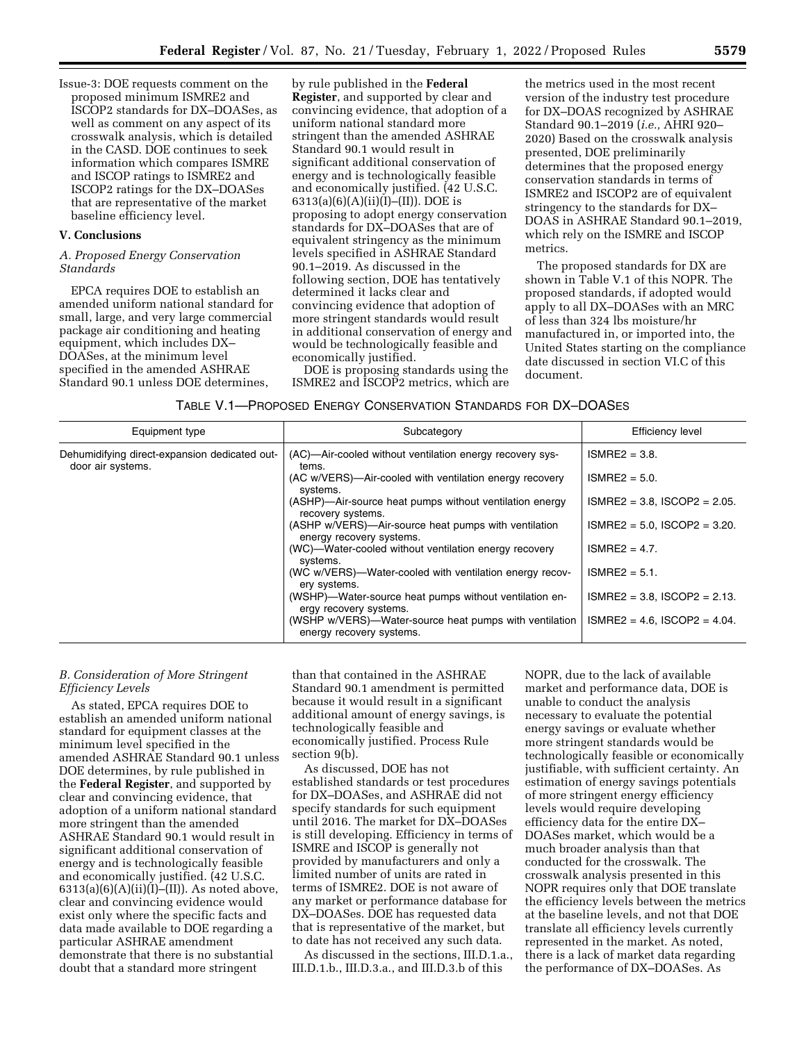Issue-3: DOE requests comment on the proposed minimum ISMRE2 and ISCOP2 standards for DX–DOASes, as well as comment on any aspect of its crosswalk analysis, which is detailed in the CASD. DOE continues to seek information which compares ISMRE and ISCOP ratings to ISMRE2 and ISCOP2 ratings for the DX–DOASes that are representative of the market baseline efficiency level.

## **V. Conclusions**

### *A. Proposed Energy Conservation Standards*

EPCA requires DOE to establish an amended uniform national standard for small, large, and very large commercial package air conditioning and heating equipment, which includes DX– DOASes, at the minimum level specified in the amended ASHRAE Standard 90.1 unless DOE determines,

by rule published in the **Federal Register**, and supported by clear and convincing evidence, that adoption of a uniform national standard more stringent than the amended ASHRAE Standard 90.1 would result in significant additional conservation of energy and is technologically feasible and economically justified. (42 U.S.C. 6313(a)(6)(A)(ii)(I)–(II)). DOE is proposing to adopt energy conservation standards for DX–DOASes that are of equivalent stringency as the minimum levels specified in ASHRAE Standard 90.1–2019. As discussed in the following section, DOE has tentatively determined it lacks clear and convincing evidence that adoption of more stringent standards would result in additional conservation of energy and would be technologically feasible and economically justified.

DOE is proposing standards using the ISMRE2 and ISCOP2 metrics, which are

the metrics used in the most recent version of the industry test procedure for DX–DOAS recognized by ASHRAE Standard 90.1–2019 (*i.e.,* AHRI 920– 2020) Based on the crosswalk analysis presented, DOE preliminarily determines that the proposed energy conservation standards in terms of ISMRE2 and ISCOP2 are of equivalent stringency to the standards for DX– DOAS in ASHRAE Standard 90.1–2019, which rely on the ISMRE and ISCOP metrics.

The proposed standards for DX are shown in Table V.1 of this NOPR. The proposed standards, if adopted would apply to all DX–DOASes with an MRC of less than 324 lbs moisture/hr manufactured in, or imported into, the United States starting on the compliance date discussed in section VI.C of this document.

| TABLE V.1—PROPOSED ENERGY CONSERVATION STANDARDS FOR DX—DOASES |  |  |
|----------------------------------------------------------------|--|--|
|----------------------------------------------------------------|--|--|

| Equipment type                                                     | Subcategory                                                                        | <b>Efficiency level</b>            |
|--------------------------------------------------------------------|------------------------------------------------------------------------------------|------------------------------------|
| Dehumidifying direct-expansion dedicated out-<br>door air systems. | (AC)—Air-cooled without ventilation energy recovery sys-<br>tems.                  | $ISMRE2 = 3.8$ .                   |
|                                                                    | (AC w/VERS)—Air-cooled with ventilation energy recovery<br>systems.                | $ISMRE2 = 5.0$ .                   |
|                                                                    | (ASHP)—Air-source heat pumps without ventilation energy<br>recovery systems.       | $ISMRE2 = 3.8$ , $ISCOP2 = 2.05$ . |
|                                                                    | (ASHP w/VERS)—Air-source heat pumps with ventilation<br>energy recovery systems.   | $ISMRE2 = 5.0$ , $ISCOP2 = 3.20$ . |
|                                                                    | (WC)—Water-cooled without ventilation energy recovery<br>systems.                  | $ISMRE2 = 4.7$ .                   |
|                                                                    | (WC w/VERS)-Water-cooled with ventilation energy recov-<br>ery systems.            | $ISMRE2 = 5.1$ .                   |
|                                                                    | (WSHP)-Water-source heat pumps without ventilation en-<br>ergy recovery systems.   | $ISMRE2 = 3.8$ , $ISCOP2 = 2.13$ . |
|                                                                    | (WSHP w/VERS)—Water-source heat pumps with ventilation<br>energy recovery systems. | $ISMRE2 = 4.6$ , $ISCOP2 = 4.04$ . |

# *B. Consideration of More Stringent Efficiency Levels*

As stated, EPCA requires DOE to establish an amended uniform national standard for equipment classes at the minimum level specified in the amended ASHRAE Standard 90.1 unless DOE determines, by rule published in the **Federal Register**, and supported by clear and convincing evidence, that adoption of a uniform national standard more stringent than the amended ASHRAE Standard 90.1 would result in significant additional conservation of energy and is technologically feasible and economically justified. (42 U.S.C.  $6313(a)(6)(A)(ii)(I)–(II)).$  As noted above, clear and convincing evidence would exist only where the specific facts and data made available to DOE regarding a particular ASHRAE amendment demonstrate that there is no substantial doubt that a standard more stringent

than that contained in the ASHRAE Standard 90.1 amendment is permitted because it would result in a significant additional amount of energy savings, is technologically feasible and economically justified. Process Rule section 9(b).

As discussed, DOE has not established standards or test procedures for DX–DOASes, and ASHRAE did not specify standards for such equipment until 2016. The market for DX–DOASes is still developing. Efficiency in terms of ISMRE and ISCOP is generally not provided by manufacturers and only a limited number of units are rated in terms of ISMRE2. DOE is not aware of any market or performance database for DX–DOASes. DOE has requested data that is representative of the market, but to date has not received any such data.

As discussed in the sections, III.D.1.a., III.D.1.b., III.D.3.a., and III.D.3.b of this

NOPR, due to the lack of available market and performance data, DOE is unable to conduct the analysis necessary to evaluate the potential energy savings or evaluate whether more stringent standards would be technologically feasible or economically justifiable, with sufficient certainty. An estimation of energy savings potentials of more stringent energy efficiency levels would require developing efficiency data for the entire DX– DOASes market, which would be a much broader analysis than that conducted for the crosswalk. The crosswalk analysis presented in this NOPR requires only that DOE translate the efficiency levels between the metrics at the baseline levels, and not that DOE translate all efficiency levels currently represented in the market. As noted, there is a lack of market data regarding the performance of DX–DOASes. As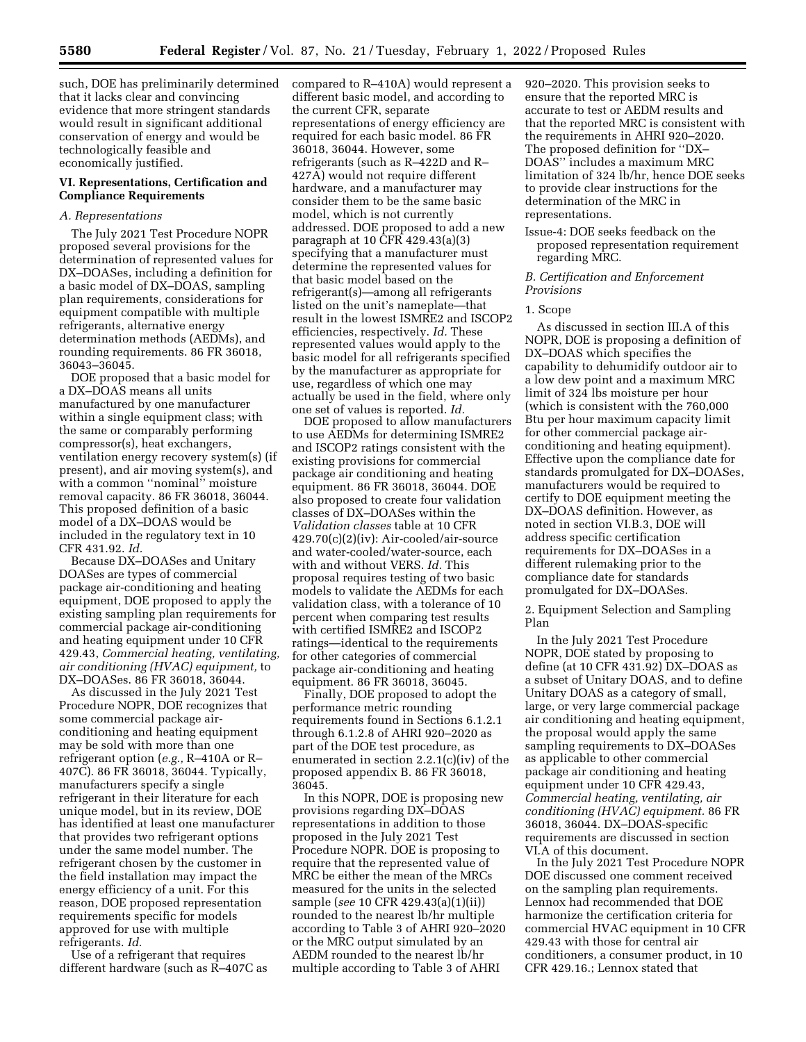such, DOE has preliminarily determined that it lacks clear and convincing evidence that more stringent standards would result in significant additional conservation of energy and would be technologically feasible and economically justified.

### **VI. Representations, Certification and Compliance Requirements**

# *A. Representations*

The July 2021 Test Procedure NOPR proposed several provisions for the determination of represented values for DX–DOASes, including a definition for a basic model of DX–DOAS, sampling plan requirements, considerations for equipment compatible with multiple refrigerants, alternative energy determination methods (AEDMs), and rounding requirements. 86 FR 36018, 36043–36045.

DOE proposed that a basic model for a DX–DOAS means all units manufactured by one manufacturer within a single equipment class; with the same or comparably performing compressor(s), heat exchangers, ventilation energy recovery system(s) (if present), and air moving system(s), and with a common ''nominal'' moisture removal capacity. 86 FR 36018, 36044. This proposed definition of a basic model of a DX–DOAS would be included in the regulatory text in 10 CFR 431.92. *Id.* 

Because DX–DOASes and Unitary DOASes are types of commercial package air-conditioning and heating equipment, DOE proposed to apply the existing sampling plan requirements for commercial package air-conditioning and heating equipment under 10 CFR 429.43, *Commercial heating, ventilating, air conditioning (HVAC) equipment,* to DX–DOASes. 86 FR 36018, 36044.

As discussed in the July 2021 Test Procedure NOPR, DOE recognizes that some commercial package airconditioning and heating equipment may be sold with more than one refrigerant option (*e.g.,* R–410A or R– 407C). 86 FR 36018, 36044. Typically, manufacturers specify a single refrigerant in their literature for each unique model, but in its review, DOE has identified at least one manufacturer that provides two refrigerant options under the same model number. The refrigerant chosen by the customer in the field installation may impact the energy efficiency of a unit. For this reason, DOE proposed representation requirements specific for models approved for use with multiple refrigerants. *Id.* 

Use of a refrigerant that requires different hardware (such as R–407C as compared to R–410A) would represent a different basic model, and according to the current CFR, separate representations of energy efficiency are required for each basic model. 86 FR 36018, 36044. However, some refrigerants (such as R–422D and R– 427A) would not require different hardware, and a manufacturer may consider them to be the same basic model, which is not currently addressed. DOE proposed to add a new paragraph at 10 CFR 429.43(a)(3) specifying that a manufacturer must determine the represented values for that basic model based on the refrigerant(s)—among all refrigerants listed on the unit's nameplate—that result in the lowest ISMRE2 and ISCOP2 efficiencies, respectively. *Id.* These represented values would apply to the basic model for all refrigerants specified by the manufacturer as appropriate for use, regardless of which one may actually be used in the field, where only one set of values is reported. *Id.* 

DOE proposed to allow manufacturers to use AEDMs for determining ISMRE2 and ISCOP2 ratings consistent with the existing provisions for commercial package air conditioning and heating equipment. 86 FR 36018, 36044. DOE also proposed to create four validation classes of DX–DOASes within the *Validation classes* table at 10 CFR 429.70(c)(2)(iv): Air-cooled/air-source and water-cooled/water-source, each with and without VERS. *Id.* This proposal requires testing of two basic models to validate the AEDMs for each validation class, with a tolerance of 10 percent when comparing test results with certified ISMRE2 and ISCOP2 ratings—identical to the requirements for other categories of commercial package air-conditioning and heating equipment. 86 FR 36018, 36045.

Finally, DOE proposed to adopt the performance metric rounding requirements found in Sections 6.1.2.1 through 6.1.2.8 of AHRI 920–2020 as part of the DOE test procedure, as enumerated in section 2.2.1(c)(iv) of the proposed appendix B. 86 FR 36018, 36045.

In this NOPR, DOE is proposing new provisions regarding DX–DOAS representations in addition to those proposed in the July 2021 Test Procedure NOPR. DOE is proposing to require that the represented value of MRC be either the mean of the MRCs measured for the units in the selected sample (*see* 10 CFR 429.43(a)(1)(ii)) rounded to the nearest lb/hr multiple according to Table 3 of AHRI 920–2020 or the MRC output simulated by an AEDM rounded to the nearest lb/hr multiple according to Table 3 of AHRI

920–2020. This provision seeks to ensure that the reported MRC is accurate to test or AEDM results and that the reported MRC is consistent with the requirements in AHRI 920–2020. The proposed definition for ''DX– DOAS'' includes a maximum MRC limitation of 324 lb/hr, hence DOE seeks to provide clear instructions for the determination of the MRC in representations.

Issue-4: DOE seeks feedback on the proposed representation requirement regarding MRC.

### *B. Certification and Enforcement Provisions*

#### 1. Scope

As discussed in section III.A of this NOPR, DOE is proposing a definition of DX–DOAS which specifies the capability to dehumidify outdoor air to a low dew point and a maximum MRC limit of 324 lbs moisture per hour (which is consistent with the 760,000 Btu per hour maximum capacity limit for other commercial package airconditioning and heating equipment). Effective upon the compliance date for standards promulgated for DX–DOASes, manufacturers would be required to certify to DOE equipment meeting the DX–DOAS definition. However, as noted in section VI.B.3, DOE will address specific certification requirements for DX–DOASes in a different rulemaking prior to the compliance date for standards promulgated for DX–DOASes.

2. Equipment Selection and Sampling Plan

In the July 2021 Test Procedure NOPR, DOE stated by proposing to define (at 10 CFR 431.92) DX–DOAS as a subset of Unitary DOAS, and to define Unitary DOAS as a category of small, large, or very large commercial package air conditioning and heating equipment, the proposal would apply the same sampling requirements to DX–DOASes as applicable to other commercial package air conditioning and heating equipment under 10 CFR 429.43, *Commercial heating, ventilating, air conditioning (HVAC) equipment.* 86 FR 36018, 36044. DX–DOAS-specific requirements are discussed in section VI.A of this document.

In the July 2021 Test Procedure NOPR DOE discussed one comment received on the sampling plan requirements. Lennox had recommended that DOE harmonize the certification criteria for commercial HVAC equipment in 10 CFR 429.43 with those for central air conditioners, a consumer product, in 10 CFR 429.16.; Lennox stated that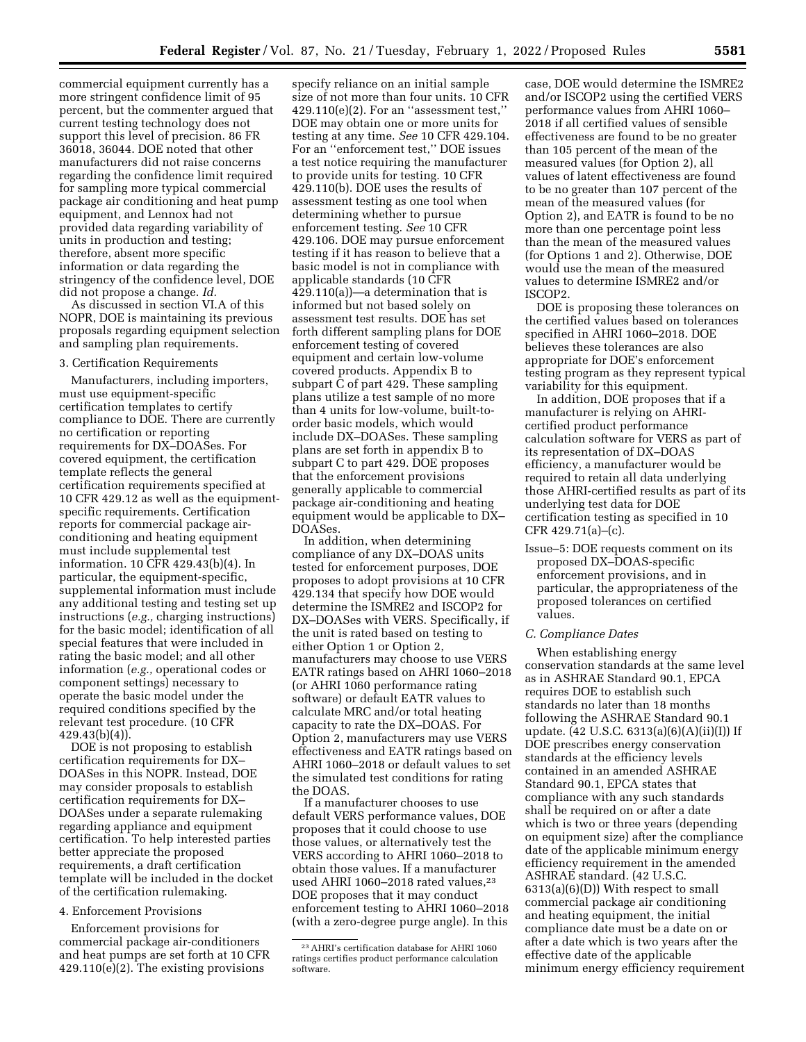commercial equipment currently has a more stringent confidence limit of 95 percent, but the commenter argued that current testing technology does not support this level of precision. 86 FR 36018, 36044. DOE noted that other manufacturers did not raise concerns regarding the confidence limit required for sampling more typical commercial package air conditioning and heat pump equipment, and Lennox had not provided data regarding variability of units in production and testing; therefore, absent more specific information or data regarding the stringency of the confidence level, DOE did not propose a change. *Id.* 

As discussed in section VI.A of this NOPR, DOE is maintaining its previous proposals regarding equipment selection and sampling plan requirements.

#### 3. Certification Requirements

Manufacturers, including importers, must use equipment-specific certification templates to certify compliance to DOE. There are currently no certification or reporting requirements for DX–DOASes. For covered equipment, the certification template reflects the general certification requirements specified at 10 CFR 429.12 as well as the equipmentspecific requirements. Certification reports for commercial package airconditioning and heating equipment must include supplemental test information. 10 CFR 429.43(b)(4). In particular, the equipment-specific, supplemental information must include any additional testing and testing set up instructions (*e.g.,* charging instructions) for the basic model; identification of all special features that were included in rating the basic model; and all other information (*e.g.,* operational codes or component settings) necessary to operate the basic model under the required conditions specified by the relevant test procedure. (10 CFR 429.43(b)(4)).

DOE is not proposing to establish certification requirements for DX– DOASes in this NOPR. Instead, DOE may consider proposals to establish certification requirements for DX– DOASes under a separate rulemaking regarding appliance and equipment certification. To help interested parties better appreciate the proposed requirements, a draft certification template will be included in the docket of the certification rulemaking.

## 4. Enforcement Provisions

Enforcement provisions for commercial package air-conditioners and heat pumps are set forth at 10 CFR 429.110(e)(2). The existing provisions

specify reliance on an initial sample size of not more than four units. 10 CFR 429.110(e)(2). For an ''assessment test,'' DOE may obtain one or more units for testing at any time. *See* 10 CFR 429.104. For an ''enforcement test,'' DOE issues a test notice requiring the manufacturer to provide units for testing. 10 CFR 429.110(b). DOE uses the results of assessment testing as one tool when determining whether to pursue enforcement testing. *See* 10 CFR 429.106. DOE may pursue enforcement testing if it has reason to believe that a basic model is not in compliance with applicable standards (10 CFR 429.110(a))—a determination that is informed but not based solely on assessment test results. DOE has set forth different sampling plans for DOE enforcement testing of covered equipment and certain low-volume covered products. Appendix B to subpart C of part 429. These sampling plans utilize a test sample of no more than 4 units for low-volume, built-toorder basic models, which would include DX–DOASes. These sampling plans are set forth in appendix B to subpart C to part 429. DOE proposes that the enforcement provisions generally applicable to commercial package air-conditioning and heating equipment would be applicable to DX– DOASes.

In addition, when determining compliance of any DX–DOAS units tested for enforcement purposes, DOE proposes to adopt provisions at 10 CFR 429.134 that specify how DOE would determine the ISMRE2 and ISCOP2 for DX–DOASes with VERS. Specifically, if the unit is rated based on testing to either Option 1 or Option 2, manufacturers may choose to use VERS EATR ratings based on AHRI 1060–2018 (or AHRI 1060 performance rating software) or default EATR values to calculate MRC and/or total heating capacity to rate the DX–DOAS. For Option 2, manufacturers may use VERS effectiveness and EATR ratings based on AHRI 1060–2018 or default values to set the simulated test conditions for rating the DOAS.

If a manufacturer chooses to use default VERS performance values, DOE proposes that it could choose to use those values, or alternatively test the VERS according to AHRI 1060–2018 to obtain those values. If a manufacturer used AHRI 1060-2018 rated values,<sup>23</sup> DOE proposes that it may conduct enforcement testing to AHRI 1060–2018 (with a zero-degree purge angle). In this

case, DOE would determine the ISMRE2 and/or ISCOP2 using the certified VERS performance values from AHRI 1060– 2018 if all certified values of sensible effectiveness are found to be no greater than 105 percent of the mean of the measured values (for Option 2), all values of latent effectiveness are found to be no greater than 107 percent of the mean of the measured values (for Option 2), and EATR is found to be no more than one percentage point less than the mean of the measured values (for Options 1 and 2). Otherwise, DOE would use the mean of the measured values to determine ISMRE2 and/or ISCOP2.

DOE is proposing these tolerances on the certified values based on tolerances specified in AHRI 1060–2018. DOE believes these tolerances are also appropriate for DOE's enforcement testing program as they represent typical variability for this equipment.

In addition, DOE proposes that if a manufacturer is relying on AHRIcertified product performance calculation software for VERS as part of its representation of DX–DOAS efficiency, a manufacturer would be required to retain all data underlying those AHRI-certified results as part of its underlying test data for DOE certification testing as specified in 10 CFR 429.71(a)–(c).

Issue–5: DOE requests comment on its proposed DX–DOAS-specific enforcement provisions, and in particular, the appropriateness of the proposed tolerances on certified values.

# *C. Compliance Dates*

When establishing energy conservation standards at the same level as in ASHRAE Standard 90.1, EPCA requires DOE to establish such standards no later than 18 months following the ASHRAE Standard 90.1 update. (42 U.S.C. 6313(a)(6)(A)(ii)(I)) If DOE prescribes energy conservation standards at the efficiency levels contained in an amended ASHRAE Standard 90.1, EPCA states that compliance with any such standards shall be required on or after a date which is two or three years (depending on equipment size) after the compliance date of the applicable minimum energy efficiency requirement in the amended ASHRAE standard. (42 U.S.C. 6313(a)(6)(D)) With respect to small commercial package air conditioning and heating equipment, the initial compliance date must be a date on or after a date which is two years after the effective date of the applicable minimum energy efficiency requirement

<sup>23</sup>AHRI's certification database for AHRI 1060 ratings certifies product performance calculation software.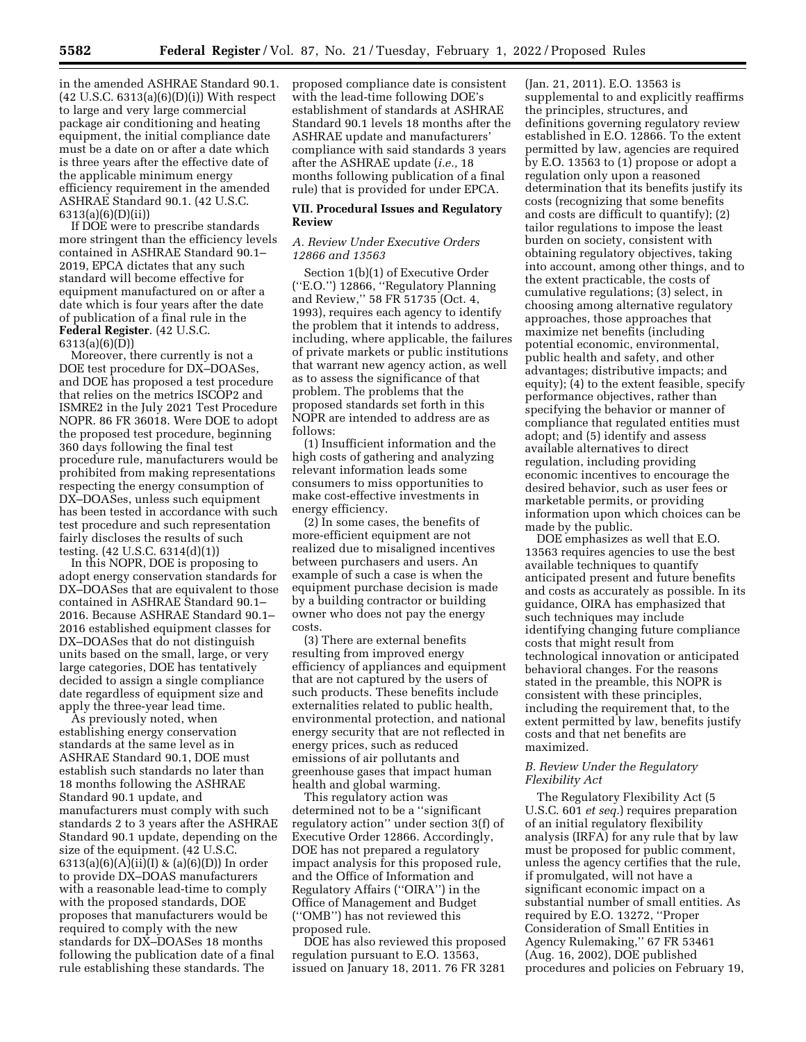in the amended ASHRAE Standard 90.1.  $(42 \text{ U.S.C. } 6313(a)(6)(D)(i))$  With respect to large and very large commercial package air conditioning and heating equipment, the initial compliance date must be a date on or after a date which is three years after the effective date of the applicable minimum energy efficiency requirement in the amended ASHRAE Standard 90.1. (42 U.S.C. 6313(a)(6)(D)(ii))

If DOE were to prescribe standards more stringent than the efficiency levels contained in ASHRAE Standard 90.1– 2019, EPCA dictates that any such standard will become effective for equipment manufactured on or after a date which is four years after the date of publication of a final rule in the **Federal Register**. (42 U.S.C. 6313(a)(6)(D))

Moreover, there currently is not a DOE test procedure for DX–DOASes, and DOE has proposed a test procedure that relies on the metrics ISCOP2 and ISMRE2 in the July 2021 Test Procedure NOPR. 86 FR 36018. Were DOE to adopt the proposed test procedure, beginning 360 days following the final test procedure rule, manufacturers would be prohibited from making representations respecting the energy consumption of DX–DOASes, unless such equipment has been tested in accordance with such test procedure and such representation fairly discloses the results of such testing. (42 U.S.C. 6314(d)(1))

In this NOPR, DOE is proposing to adopt energy conservation standards for DX–DOASes that are equivalent to those contained in ASHRAE Standard 90.1– 2016. Because ASHRAE Standard 90.1– 2016 established equipment classes for DX–DOASes that do not distinguish units based on the small, large, or very large categories, DOE has tentatively decided to assign a single compliance date regardless of equipment size and apply the three-year lead time.

As previously noted, when establishing energy conservation standards at the same level as in ASHRAE Standard 90.1, DOE must establish such standards no later than 18 months following the ASHRAE Standard 90.1 update, and manufacturers must comply with such standards 2 to 3 years after the ASHRAE Standard 90.1 update, depending on the size of the equipment. (42 U.S.C. 6313(a)(6)(A)(ii)(I) & (a)(6)(D)) In order to provide DX–DOAS manufacturers with a reasonable lead-time to comply with the proposed standards, DOE proposes that manufacturers would be required to comply with the new standards for DX–DOASes 18 months following the publication date of a final rule establishing these standards. The

proposed compliance date is consistent with the lead-time following DOE's establishment of standards at ASHRAE Standard 90.1 levels 18 months after the ASHRAE update and manufacturers' compliance with said standards 3 years after the ASHRAE update (*i.e.,* 18 months following publication of a final rule) that is provided for under EPCA.

# **VII. Procedural Issues and Regulatory Review**

### *A. Review Under Executive Orders 12866 and 13563*

Section 1(b)(1) of Executive Order (''E.O.'') 12866, ''Regulatory Planning and Review,'' 58 FR 51735 (Oct. 4, 1993), requires each agency to identify the problem that it intends to address, including, where applicable, the failures of private markets or public institutions that warrant new agency action, as well as to assess the significance of that problem. The problems that the proposed standards set forth in this NOPR are intended to address are as follows:

(1) Insufficient information and the high costs of gathering and analyzing relevant information leads some consumers to miss opportunities to make cost-effective investments in energy efficiency.

(2) In some cases, the benefits of more-efficient equipment are not realized due to misaligned incentives between purchasers and users. An example of such a case is when the equipment purchase decision is made by a building contractor or building owner who does not pay the energy costs.

(3) There are external benefits resulting from improved energy efficiency of appliances and equipment that are not captured by the users of such products. These benefits include externalities related to public health, environmental protection, and national energy security that are not reflected in energy prices, such as reduced emissions of air pollutants and greenhouse gases that impact human health and global warming.

This regulatory action was determined not to be a ''significant regulatory action'' under section 3(f) of Executive Order 12866. Accordingly, DOE has not prepared a regulatory impact analysis for this proposed rule, and the Office of Information and Regulatory Affairs (''OIRA'') in the Office of Management and Budget (''OMB'') has not reviewed this proposed rule.

DOE has also reviewed this proposed regulation pursuant to E.O. 13563, issued on January 18, 2011. 76 FR 3281

(Jan. 21, 2011). E.O. 13563 is supplemental to and explicitly reaffirms the principles, structures, and definitions governing regulatory review established in E.O. 12866. To the extent permitted by law, agencies are required by E.O. 13563 to (1) propose or adopt a regulation only upon a reasoned determination that its benefits justify its costs (recognizing that some benefits and costs are difficult to quantify); (2) tailor regulations to impose the least burden on society, consistent with obtaining regulatory objectives, taking into account, among other things, and to the extent practicable, the costs of cumulative regulations; (3) select, in choosing among alternative regulatory approaches, those approaches that maximize net benefits (including potential economic, environmental, public health and safety, and other advantages; distributive impacts; and equity); (4) to the extent feasible, specify performance objectives, rather than specifying the behavior or manner of compliance that regulated entities must adopt; and (5) identify and assess available alternatives to direct regulation, including providing economic incentives to encourage the desired behavior, such as user fees or marketable permits, or providing information upon which choices can be made by the public.

DOE emphasizes as well that E.O. 13563 requires agencies to use the best available techniques to quantify anticipated present and future benefits and costs as accurately as possible. In its guidance, OIRA has emphasized that such techniques may include identifying changing future compliance costs that might result from technological innovation or anticipated behavioral changes. For the reasons stated in the preamble, this NOPR is consistent with these principles, including the requirement that, to the extent permitted by law, benefits justify costs and that net benefits are maximized.

### *B. Review Under the Regulatory Flexibility Act*

The Regulatory Flexibility Act (5 U.S.C. 601 *et seq.*) requires preparation of an initial regulatory flexibility analysis (IRFA) for any rule that by law must be proposed for public comment, unless the agency certifies that the rule, if promulgated, will not have a significant economic impact on a substantial number of small entities. As required by E.O. 13272, ''Proper Consideration of Small Entities in Agency Rulemaking,'' 67 FR 53461 (Aug. 16, 2002), DOE published procedures and policies on February 19,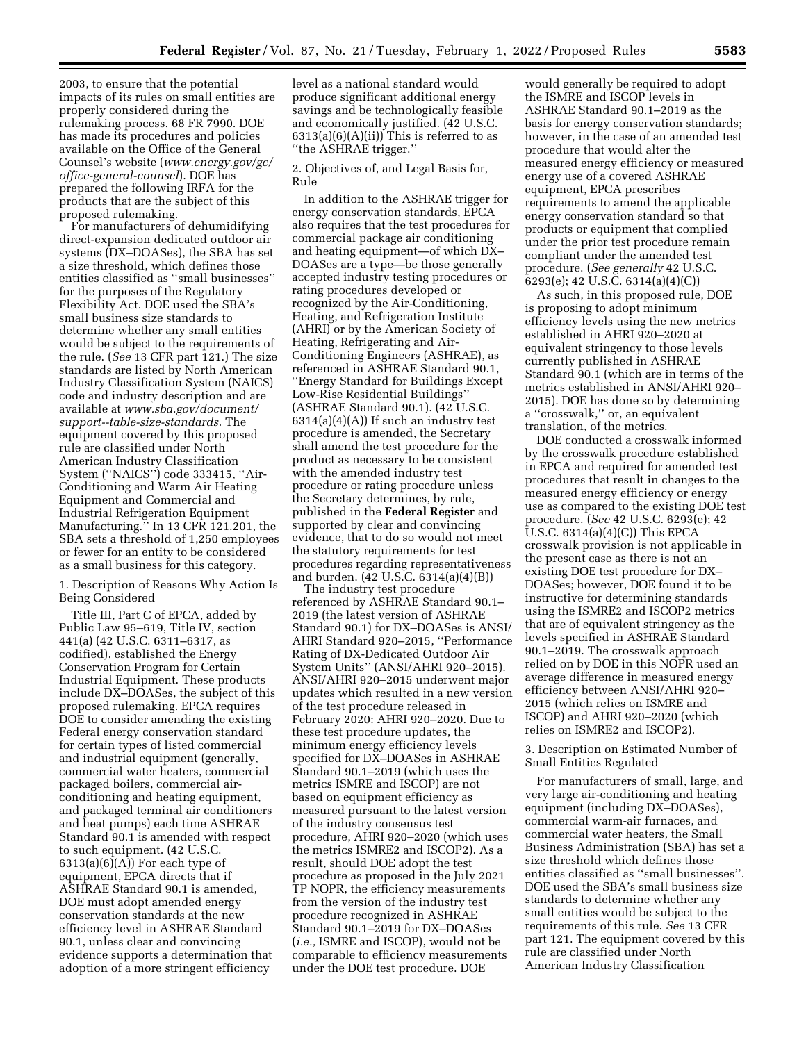2003, to ensure that the potential impacts of its rules on small entities are properly considered during the rulemaking process. 68 FR 7990. DOE has made its procedures and policies available on the Office of the General Counsel's website (*[www.energy.gov/gc/](http://www.energy.gov/gc/office-general-counsel) [office-general-counsel](http://www.energy.gov/gc/office-general-counsel)*). DOE has prepared the following IRFA for the products that are the subject of this proposed rulemaking.

For manufacturers of dehumidifying direct-expansion dedicated outdoor air systems (DX–DOASes), the SBA has set a size threshold, which defines those entities classified as ''small businesses'' for the purposes of the Regulatory Flexibility Act. DOE used the SBA's small business size standards to determine whether any small entities would be subject to the requirements of the rule. (*See* 13 CFR part 121.) The size standards are listed by North American Industry Classification System (NAICS) code and industry description and are available at *[www.sba.gov/document/](http://www.sba.gov/document/support--table-size-standards)  [support--table-size-standards.](http://www.sba.gov/document/support--table-size-standards)* The equipment covered by this proposed rule are classified under North American Industry Classification System (''NAICS'') code 333415, ''Air-Conditioning and Warm Air Heating Equipment and Commercial and Industrial Refrigeration Equipment Manufacturing." In 13 CFR 121.201, the SBA sets a threshold of 1,250 employees or fewer for an entity to be considered as a small business for this category.

## 1. Description of Reasons Why Action Is Being Considered

Title III, Part C of EPCA, added by Public Law 95–619, Title IV, section 441(a) (42 U.S.C. 6311–6317, as codified), established the Energy Conservation Program for Certain Industrial Equipment. These products include DX–DOASes, the subject of this proposed rulemaking. EPCA requires DOE to consider amending the existing Federal energy conservation standard for certain types of listed commercial and industrial equipment (generally, commercial water heaters, commercial packaged boilers, commercial airconditioning and heating equipment, and packaged terminal air conditioners and heat pumps) each time ASHRAE Standard 90.1 is amended with respect to such equipment. (42 U.S.C.  $6313(a)(6)(A)$  For each type of equipment, EPCA directs that if ASHRAE Standard 90.1 is amended, DOE must adopt amended energy conservation standards at the new efficiency level in ASHRAE Standard 90.1, unless clear and convincing evidence supports a determination that adoption of a more stringent efficiency

level as a national standard would produce significant additional energy savings and be technologically feasible and economically justified. (42 U.S.C.  $6313(a)(6)(A)(ii)$  This is referred to as ''the ASHRAE trigger.''

2. Objectives of, and Legal Basis for, Rule

In addition to the ASHRAE trigger for energy conservation standards, EPCA also requires that the test procedures for commercial package air conditioning and heating equipment—of which DX– DOASes are a type—be those generally accepted industry testing procedures or rating procedures developed or recognized by the Air-Conditioning, Heating, and Refrigeration Institute (AHRI) or by the American Society of Heating, Refrigerating and Air-Conditioning Engineers (ASHRAE), as referenced in ASHRAE Standard 90.1, ''Energy Standard for Buildings Except Low-Rise Residential Buildings'' (ASHRAE Standard 90.1). (42 U.S.C.  $6314(a)(4)(A)$  If such an industry test procedure is amended, the Secretary shall amend the test procedure for the product as necessary to be consistent with the amended industry test procedure or rating procedure unless the Secretary determines, by rule, published in the **Federal Register** and supported by clear and convincing evidence, that to do so would not meet the statutory requirements for test procedures regarding representativeness and burden. (42 U.S.C. 6314(a)(4)(B))

The industry test procedure referenced by ASHRAE Standard 90.1– 2019 (the latest version of ASHRAE Standard 90.1) for DX–DOASes is ANSI/ AHRI Standard 920–2015, ''Performance Rating of DX-Dedicated Outdoor Air System Units'' (ANSI/AHRI 920–2015). ANSI/AHRI 920–2015 underwent major updates which resulted in a new version of the test procedure released in February 2020: AHRI 920–2020. Due to these test procedure updates, the minimum energy efficiency levels specified for DX–DOASes in ASHRAE Standard 90.1–2019 (which uses the metrics ISMRE and ISCOP) are not based on equipment efficiency as measured pursuant to the latest version of the industry consensus test procedure, AHRI 920–2020 (which uses the metrics ISMRE2 and ISCOP2). As a result, should DOE adopt the test procedure as proposed in the July 2021 TP NOPR, the efficiency measurements from the version of the industry test procedure recognized in ASHRAE Standard 90.1–2019 for DX–DOASes (*i.e.,* ISMRE and ISCOP), would not be comparable to efficiency measurements under the DOE test procedure. DOE

would generally be required to adopt the ISMRE and ISCOP levels in ASHRAE Standard 90.1–2019 as the basis for energy conservation standards; however, in the case of an amended test procedure that would alter the measured energy efficiency or measured energy use of a covered ASHRAE equipment, EPCA prescribes requirements to amend the applicable energy conservation standard so that products or equipment that complied under the prior test procedure remain compliant under the amended test procedure. (*See generally* 42 U.S.C. 6293(e); 42 U.S.C. 6314(a)(4)(C))

As such, in this proposed rule, DOE is proposing to adopt minimum efficiency levels using the new metrics established in AHRI 920–2020 at equivalent stringency to those levels currently published in ASHRAE Standard 90.1 (which are in terms of the metrics established in ANSI/AHRI 920– 2015). DOE has done so by determining a ''crosswalk,'' or, an equivalent translation, of the metrics.

DOE conducted a crosswalk informed by the crosswalk procedure established in EPCA and required for amended test procedures that result in changes to the measured energy efficiency or energy use as compared to the existing DOE test procedure. (*See* 42 U.S.C. 6293(e); 42 U.S.C. 6314(a)(4)(C)) This EPCA crosswalk provision is not applicable in the present case as there is not an existing DOE test procedure for DX– DOASes; however, DOE found it to be instructive for determining standards using the ISMRE2 and ISCOP2 metrics that are of equivalent stringency as the levels specified in ASHRAE Standard 90.1–2019. The crosswalk approach relied on by DOE in this NOPR used an average difference in measured energy efficiency between ANSI/AHRI 920– 2015 (which relies on ISMRE and ISCOP) and AHRI 920–2020 (which relies on ISMRE2 and ISCOP2).

3. Description on Estimated Number of Small Entities Regulated

For manufacturers of small, large, and very large air-conditioning and heating equipment (including DX–DOASes), commercial warm-air furnaces, and commercial water heaters, the Small Business Administration (SBA) has set a size threshold which defines those entities classified as ''small businesses''. DOE used the SBA's small business size standards to determine whether any small entities would be subject to the requirements of this rule. *See* 13 CFR part 121. The equipment covered by this rule are classified under North American Industry Classification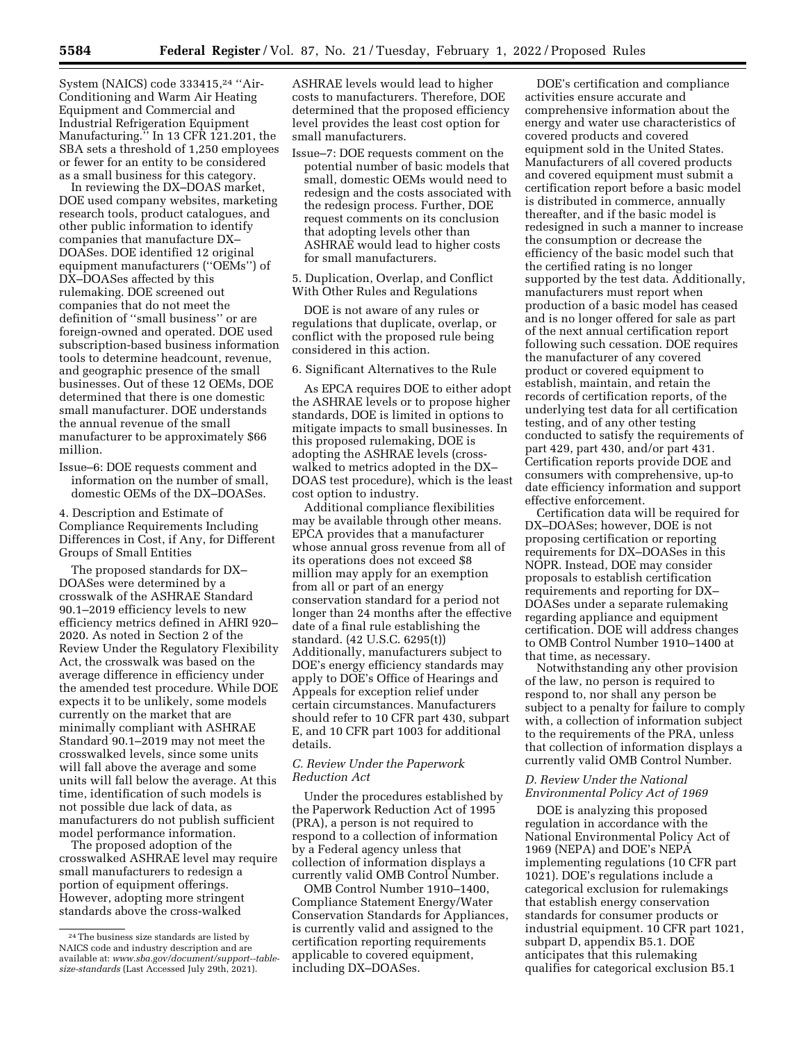System (NAICS) code  $333415.^{24}$  "Air-Conditioning and Warm Air Heating Equipment and Commercial and Industrial Refrigeration Equipment Manufacturing." In 13 CFR 121.201, the SBA sets a threshold of 1,250 employees or fewer for an entity to be considered as a small business for this category.

In reviewing the DX–DOAS market, DOE used company websites, marketing research tools, product catalogues, and other public information to identify companies that manufacture DX– DOASes. DOE identified 12 original equipment manufacturers (''OEMs'') of DX–DOASes affected by this rulemaking. DOE screened out companies that do not meet the definition of ''small business'' or are foreign-owned and operated. DOE used subscription-based business information tools to determine headcount, revenue, and geographic presence of the small businesses. Out of these 12 OEMs, DOE determined that there is one domestic small manufacturer. DOE understands the annual revenue of the small manufacturer to be approximately \$66 million.

Issue–6: DOE requests comment and information on the number of small, domestic OEMs of the DX–DOASes.

4. Description and Estimate of Compliance Requirements Including Differences in Cost, if Any, for Different Groups of Small Entities

The proposed standards for DX– DOASes were determined by a crosswalk of the ASHRAE Standard 90.1–2019 efficiency levels to new efficiency metrics defined in AHRI 920– 2020. As noted in Section 2 of the Review Under the Regulatory Flexibility Act, the crosswalk was based on the average difference in efficiency under the amended test procedure. While DOE expects it to be unlikely, some models currently on the market that are minimally compliant with ASHRAE Standard 90.1–2019 may not meet the crosswalked levels, since some units will fall above the average and some units will fall below the average. At this time, identification of such models is not possible due lack of data, as manufacturers do not publish sufficient model performance information.

The proposed adoption of the crosswalked ASHRAE level may require small manufacturers to redesign a portion of equipment offerings. However, adopting more stringent standards above the cross-walked

ASHRAE levels would lead to higher costs to manufacturers. Therefore, DOE determined that the proposed efficiency level provides the least cost option for small manufacturers.

Issue–7: DOE requests comment on the potential number of basic models that small, domestic OEMs would need to redesign and the costs associated with the redesign process. Further, DOE request comments on its conclusion that adopting levels other than ASHRAE would lead to higher costs for small manufacturers.

5. Duplication, Overlap, and Conflict With Other Rules and Regulations

DOE is not aware of any rules or regulations that duplicate, overlap, or conflict with the proposed rule being considered in this action.

6. Significant Alternatives to the Rule

As EPCA requires DOE to either adopt the ASHRAE levels or to propose higher standards, DOE is limited in options to mitigate impacts to small businesses. In this proposed rulemaking, DOE is adopting the ASHRAE levels (crosswalked to metrics adopted in the DX– DOAS test procedure), which is the least cost option to industry.

Additional compliance flexibilities may be available through other means. EPCA provides that a manufacturer whose annual gross revenue from all of its operations does not exceed \$8 million may apply for an exemption from all or part of an energy conservation standard for a period not longer than 24 months after the effective date of a final rule establishing the standard. (42 U.S.C. 6295(t)) Additionally, manufacturers subject to DOE's energy efficiency standards may apply to DOE's Office of Hearings and Appeals for exception relief under certain circumstances. Manufacturers should refer to 10 CFR part 430, subpart E, and 10 CFR part 1003 for additional details.

## *C. Review Under the Paperwork Reduction Act*

Under the procedures established by the Paperwork Reduction Act of 1995 (PRA), a person is not required to respond to a collection of information by a Federal agency unless that collection of information displays a currently valid OMB Control Number.

OMB Control Number 1910–1400, Compliance Statement Energy/Water Conservation Standards for Appliances, is currently valid and assigned to the certification reporting requirements applicable to covered equipment, including DX–DOASes.

DOE's certification and compliance activities ensure accurate and comprehensive information about the energy and water use characteristics of covered products and covered equipment sold in the United States. Manufacturers of all covered products and covered equipment must submit a certification report before a basic model is distributed in commerce, annually thereafter, and if the basic model is redesigned in such a manner to increase the consumption or decrease the efficiency of the basic model such that the certified rating is no longer supported by the test data. Additionally, manufacturers must report when production of a basic model has ceased and is no longer offered for sale as part of the next annual certification report following such cessation. DOE requires the manufacturer of any covered product or covered equipment to establish, maintain, and retain the records of certification reports, of the underlying test data for all certification testing, and of any other testing conducted to satisfy the requirements of part 429, part 430, and/or part 431. Certification reports provide DOE and consumers with comprehensive, up-to date efficiency information and support effective enforcement.

Certification data will be required for DX–DOASes; however, DOE is not proposing certification or reporting requirements for DX–DOASes in this NOPR. Instead, DOE may consider proposals to establish certification requirements and reporting for DX– DOASes under a separate rulemaking regarding appliance and equipment certification. DOE will address changes to OMB Control Number 1910–1400 at that time, as necessary.

Notwithstanding any other provision of the law, no person is required to respond to, nor shall any person be subject to a penalty for failure to comply with, a collection of information subject to the requirements of the PRA, unless that collection of information displays a currently valid OMB Control Number.

# *D. Review Under the National Environmental Policy Act of 1969*

DOE is analyzing this proposed regulation in accordance with the National Environmental Policy Act of 1969 (NEPA) and DOE's NEPA implementing regulations (10 CFR part 1021). DOE's regulations include a categorical exclusion for rulemakings that establish energy conservation standards for consumer products or industrial equipment. 10 CFR part 1021, subpart D, appendix B5.1. DOE anticipates that this rulemaking qualifies for categorical exclusion B5.1

<sup>24</sup>The business size standards are listed by NAICS code and industry description and are available at: *[www.sba.gov/document/support--table](http://www.sba.gov/document/support--table-size-standards)[size-standards](http://www.sba.gov/document/support--table-size-standards)* (Last Accessed July 29th, 2021).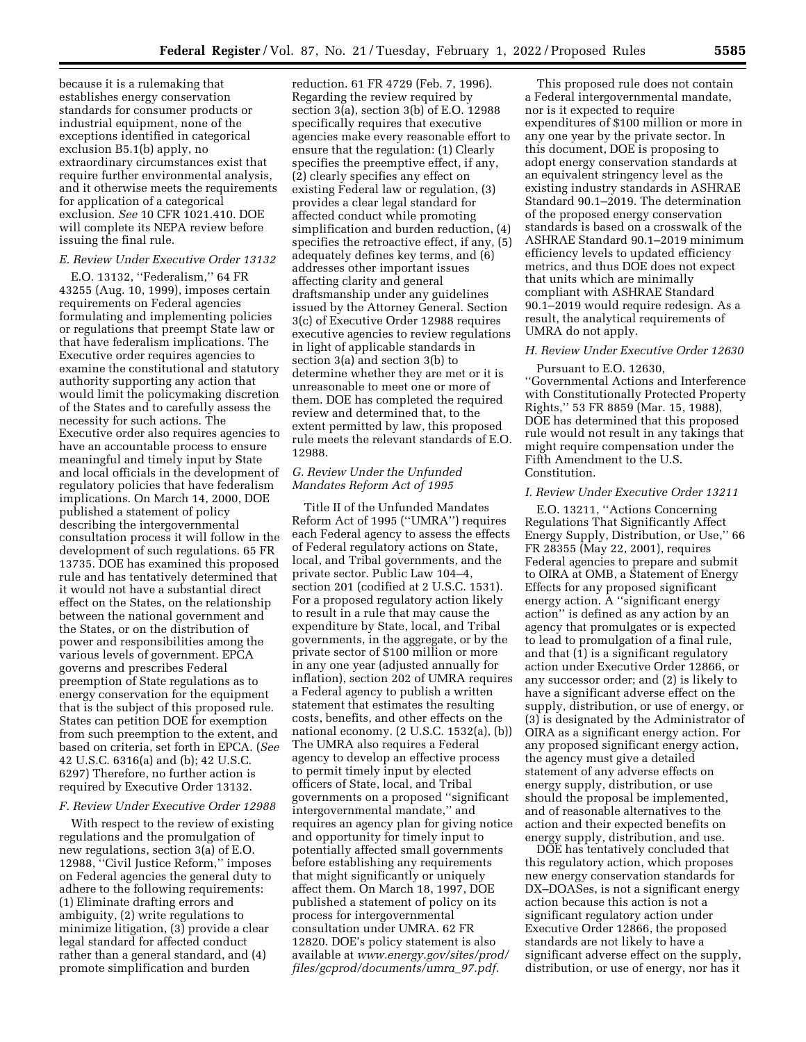because it is a rulemaking that establishes energy conservation standards for consumer products or industrial equipment, none of the exceptions identified in categorical exclusion B5.1(b) apply, no extraordinary circumstances exist that require further environmental analysis, and it otherwise meets the requirements for application of a categorical exclusion. *See* 10 CFR 1021.410. DOE will complete its NEPA review before issuing the final rule.

# *E. Review Under Executive Order 13132*

E.O. 13132, ''Federalism,'' 64 FR 43255 (Aug. 10, 1999), imposes certain requirements on Federal agencies formulating and implementing policies or regulations that preempt State law or that have federalism implications. The Executive order requires agencies to examine the constitutional and statutory authority supporting any action that would limit the policymaking discretion of the States and to carefully assess the necessity for such actions. The Executive order also requires agencies to have an accountable process to ensure meaningful and timely input by State and local officials in the development of regulatory policies that have federalism implications. On March 14, 2000, DOE published a statement of policy describing the intergovernmental consultation process it will follow in the development of such regulations. 65 FR 13735. DOE has examined this proposed rule and has tentatively determined that it would not have a substantial direct effect on the States, on the relationship between the national government and the States, or on the distribution of power and responsibilities among the various levels of government. EPCA governs and prescribes Federal preemption of State regulations as to energy conservation for the equipment that is the subject of this proposed rule. States can petition DOE for exemption from such preemption to the extent, and based on criteria, set forth in EPCA. (*See*  42 U.S.C. 6316(a) and (b); 42 U.S.C. 6297) Therefore, no further action is required by Executive Order 13132.

### *F. Review Under Executive Order 12988*

With respect to the review of existing regulations and the promulgation of new regulations, section 3(a) of E.O. 12988, ''Civil Justice Reform,'' imposes on Federal agencies the general duty to adhere to the following requirements: (1) Eliminate drafting errors and ambiguity, (2) write regulations to minimize litigation, (3) provide a clear legal standard for affected conduct rather than a general standard, and (4) promote simplification and burden

reduction. 61 FR 4729 (Feb. 7, 1996). Regarding the review required by section 3(a), section 3(b) of E.O. 12988 specifically requires that executive agencies make every reasonable effort to ensure that the regulation: (1) Clearly specifies the preemptive effect, if any, (2) clearly specifies any effect on existing Federal law or regulation, (3) provides a clear legal standard for affected conduct while promoting simplification and burden reduction, (4) specifies the retroactive effect, if any, (5) adequately defines key terms, and (6) addresses other important issues affecting clarity and general draftsmanship under any guidelines issued by the Attorney General. Section 3(c) of Executive Order 12988 requires executive agencies to review regulations in light of applicable standards in section 3(a) and section 3(b) to determine whether they are met or it is unreasonable to meet one or more of them. DOE has completed the required review and determined that, to the extent permitted by law, this proposed rule meets the relevant standards of E.O. 12988.

### *G. Review Under the Unfunded Mandates Reform Act of 1995*

Title II of the Unfunded Mandates Reform Act of 1995 (''UMRA'') requires each Federal agency to assess the effects of Federal regulatory actions on State, local, and Tribal governments, and the private sector. Public Law 104–4, section 201 (codified at 2 U.S.C. 1531). For a proposed regulatory action likely to result in a rule that may cause the expenditure by State, local, and Tribal governments, in the aggregate, or by the private sector of \$100 million or more in any one year (adjusted annually for inflation), section 202 of UMRA requires a Federal agency to publish a written statement that estimates the resulting costs, benefits, and other effects on the national economy. (2 U.S.C. 1532(a), (b)) The UMRA also requires a Federal agency to develop an effective process to permit timely input by elected officers of State, local, and Tribal governments on a proposed ''significant intergovernmental mandate,'' and requires an agency plan for giving notice and opportunity for timely input to potentially affected small governments before establishing any requirements that might significantly or uniquely affect them. On March 18, 1997, DOE published a statement of policy on its process for intergovernmental consultation under UMRA. 62 FR 12820. DOE's policy statement is also available at *[www.energy.gov/sites/prod/](http://www.energy.gov/sites/prod/files/gcprod/documents/umra_97.pdf)  [files/gcprod/documents/umra](http://www.energy.gov/sites/prod/files/gcprod/documents/umra_97.pdf)*\_*97.pdf.* 

This proposed rule does not contain a Federal intergovernmental mandate, nor is it expected to require expenditures of \$100 million or more in any one year by the private sector. In this document, DOE is proposing to adopt energy conservation standards at an equivalent stringency level as the existing industry standards in ASHRAE Standard 90.1–2019. The determination of the proposed energy conservation standards is based on a crosswalk of the ASHRAE Standard 90.1–2019 minimum efficiency levels to updated efficiency metrics, and thus DOE does not expect that units which are minimally compliant with ASHRAE Standard 90.1–2019 would require redesign. As a result, the analytical requirements of UMRA do not apply.

# *H. Review Under Executive Order 12630*

Pursuant to E.O. 12630, ''Governmental Actions and Interference with Constitutionally Protected Property Rights,'' 53 FR 8859 (Mar. 15, 1988), DOE has determined that this proposed rule would not result in any takings that might require compensation under the Fifth Amendment to the U.S. Constitution.

#### *I. Review Under Executive Order 13211*

E.O. 13211, ''Actions Concerning Regulations That Significantly Affect Energy Supply, Distribution, or Use,'' 66 FR 28355 (May 22, 2001), requires Federal agencies to prepare and submit to OIRA at OMB, a Statement of Energy Effects for any proposed significant energy action. A ''significant energy action'' is defined as any action by an agency that promulgates or is expected to lead to promulgation of a final rule, and that (1) is a significant regulatory action under Executive Order 12866, or any successor order; and (2) is likely to have a significant adverse effect on the supply, distribution, or use of energy, or (3) is designated by the Administrator of OIRA as a significant energy action. For any proposed significant energy action, the agency must give a detailed statement of any adverse effects on energy supply, distribution, or use should the proposal be implemented, and of reasonable alternatives to the action and their expected benefits on energy supply, distribution, and use.

DOE has tentatively concluded that this regulatory action, which proposes new energy conservation standards for DX–DOASes, is not a significant energy action because this action is not a significant regulatory action under Executive Order 12866, the proposed standards are not likely to have a significant adverse effect on the supply, distribution, or use of energy, nor has it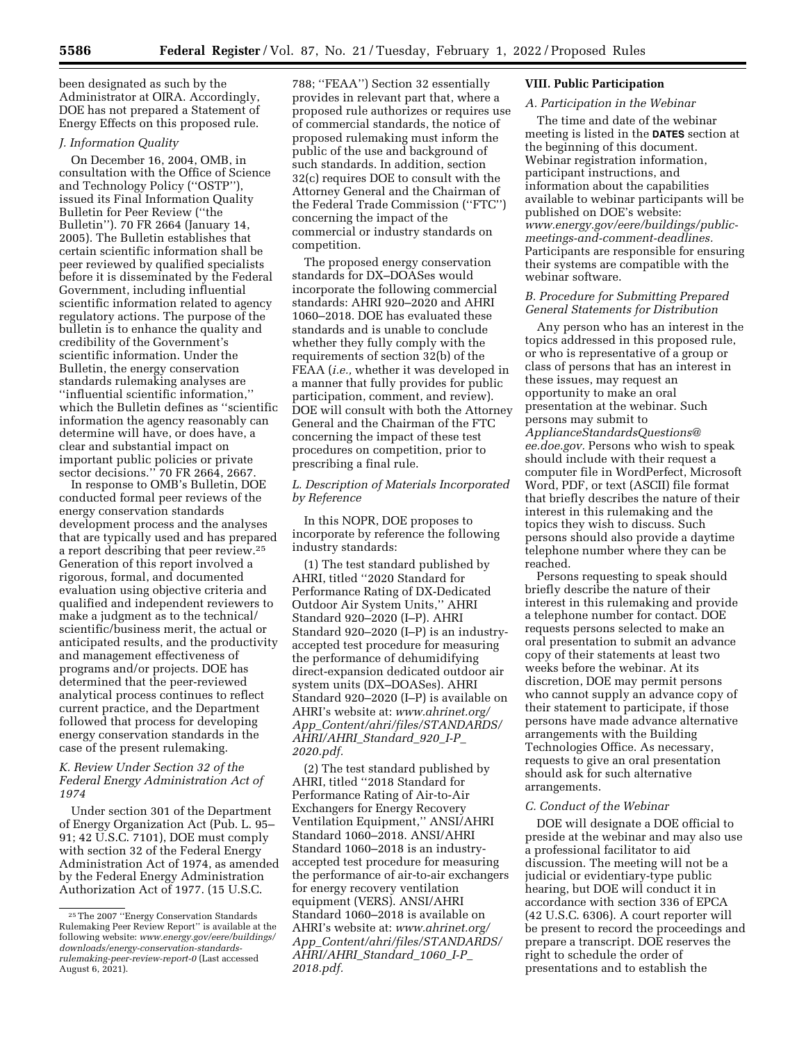been designated as such by the Administrator at OIRA. Accordingly, DOE has not prepared a Statement of Energy Effects on this proposed rule.

## *J. Information Quality*

On December 16, 2004, OMB, in consultation with the Office of Science and Technology Policy (''OSTP''), issued its Final Information Quality Bulletin for Peer Review (''the Bulletin''). 70 FR 2664 (January 14, 2005). The Bulletin establishes that certain scientific information shall be peer reviewed by qualified specialists before it is disseminated by the Federal Government, including influential scientific information related to agency regulatory actions. The purpose of the bulletin is to enhance the quality and credibility of the Government's scientific information. Under the Bulletin, the energy conservation standards rulemaking analyses are ''influential scientific information,'' which the Bulletin defines as ''scientific information the agency reasonably can determine will have, or does have, a clear and substantial impact on important public policies or private sector decisions.'' 70 FR 2664, 2667.

In response to OMB's Bulletin, DOE conducted formal peer reviews of the energy conservation standards development process and the analyses that are typically used and has prepared a report describing that peer review.25 Generation of this report involved a rigorous, formal, and documented evaluation using objective criteria and qualified and independent reviewers to make a judgment as to the technical/ scientific/business merit, the actual or anticipated results, and the productivity and management effectiveness of programs and/or projects. DOE has determined that the peer-reviewed analytical process continues to reflect current practice, and the Department followed that process for developing energy conservation standards in the case of the present rulemaking.

# *K. Review Under Section 32 of the Federal Energy Administration Act of 1974*

Under section 301 of the Department of Energy Organization Act (Pub. L. 95– 91; 42 U.S.C. 7101), DOE must comply with section 32 of the Federal Energy Administration Act of 1974, as amended by the Federal Energy Administration Authorization Act of 1977. (15 U.S.C.

788; ''FEAA'') Section 32 essentially provides in relevant part that, where a proposed rule authorizes or requires use of commercial standards, the notice of proposed rulemaking must inform the public of the use and background of such standards. In addition, section 32(c) requires DOE to consult with the Attorney General and the Chairman of the Federal Trade Commission (''FTC'') concerning the impact of the commercial or industry standards on competition.

The proposed energy conservation standards for DX–DOASes would incorporate the following commercial standards: AHRI 920–2020 and AHRI 1060–2018. DOE has evaluated these standards and is unable to conclude whether they fully comply with the requirements of section 32(b) of the FEAA (*i.e.,* whether it was developed in a manner that fully provides for public participation, comment, and review). DOE will consult with both the Attorney General and the Chairman of the FTC concerning the impact of these test procedures on competition, prior to prescribing a final rule.

# *L. Description of Materials Incorporated by Reference*

In this NOPR, DOE proposes to incorporate by reference the following industry standards:

(1) The test standard published by AHRI, titled ''2020 Standard for Performance Rating of DX-Dedicated Outdoor Air System Units,'' AHRI Standard 920–2020 (I–P). AHRI Standard 920–2020 (I–P) is an industryaccepted test procedure for measuring the performance of dehumidifying direct-expansion dedicated outdoor air system units (DX–DOASes). AHRI Standard 920–2020 (I–P) is available on AHRI's website at: *[www.ahrinet.org/](http://www.ahrinet.org/App_Content/ahri/files/STANDARDS/AHRI/AHRI_Standard_920_I-P_2020.pdf) App*\_*[Content/ahri/files/STANDARDS/](http://www.ahrinet.org/App_Content/ahri/files/STANDARDS/AHRI/AHRI_Standard_920_I-P_2020.pdf)  [AHRI/AHRI](http://www.ahrinet.org/App_Content/ahri/files/STANDARDS/AHRI/AHRI_Standard_920_I-P_2020.pdf)*\_*Standard*\_*920*\_*I-P*\_ *[2020.pdf.](http://www.ahrinet.org/App_Content/ahri/files/STANDARDS/AHRI/AHRI_Standard_920_I-P_2020.pdf)* 

(2) The test standard published by AHRI, titled ''2018 Standard for Performance Rating of Air-to-Air Exchangers for Energy Recovery Ventilation Equipment,'' ANSI/AHRI Standard 1060–2018. ANSI/AHRI Standard 1060–2018 is an industryaccepted test procedure for measuring the performance of air-to-air exchangers for energy recovery ventilation equipment (VERS). ANSI/AHRI Standard 1060–2018 is available on AHRI's website at: *[www.ahrinet.org/](http://www.ahrinet.org/App_Content/ahri/files/STANDARDS/AHRI/AHRI_Standard_1060_I-P_2018.pdf) App*\_*[Content/ahri/files/STANDARDS/](http://www.ahrinet.org/App_Content/ahri/files/STANDARDS/AHRI/AHRI_Standard_1060_I-P_2018.pdf)  [AHRI/AHRI](http://www.ahrinet.org/App_Content/ahri/files/STANDARDS/AHRI/AHRI_Standard_1060_I-P_2018.pdf)*\_*Standard*\_*1060*\_*I-P*\_ *[2018.pdf.](http://www.ahrinet.org/App_Content/ahri/files/STANDARDS/AHRI/AHRI_Standard_1060_I-P_2018.pdf)* 

# **VIII. Public Participation**

# *A. Participation in the Webinar*

The time and date of the webinar meeting is listed in the **DATES** section at the beginning of this document. Webinar registration information, participant instructions, and information about the capabilities available to webinar participants will be published on DOE's website: *[www.energy.gov/eere/buildings/public](http://www.energy.gov/eere/buildings/public-meetings-and-comment-deadlines)[meetings-and-comment-deadlines.](http://www.energy.gov/eere/buildings/public-meetings-and-comment-deadlines)*  Participants are responsible for ensuring their systems are compatible with the webinar software.

### *B. Procedure for Submitting Prepared General Statements for Distribution*

Any person who has an interest in the topics addressed in this proposed rule, or who is representative of a group or class of persons that has an interest in these issues, may request an opportunity to make an oral presentation at the webinar. Such persons may submit to *[ApplianceStandardsQuestions@](mailto:ApplianceStandardsQuestions@ee.doe.gov) [ee.doe.gov.](mailto:ApplianceStandardsQuestions@ee.doe.gov)* Persons who wish to speak should include with their request a computer file in WordPerfect, Microsoft Word, PDF, or text (ASCII) file format that briefly describes the nature of their interest in this rulemaking and the topics they wish to discuss. Such persons should also provide a daytime telephone number where they can be reached.

Persons requesting to speak should briefly describe the nature of their interest in this rulemaking and provide a telephone number for contact. DOE requests persons selected to make an oral presentation to submit an advance copy of their statements at least two weeks before the webinar. At its discretion, DOE may permit persons who cannot supply an advance copy of their statement to participate, if those persons have made advance alternative arrangements with the Building Technologies Office. As necessary, requests to give an oral presentation should ask for such alternative arrangements.

#### *C. Conduct of the Webinar*

DOE will designate a DOE official to preside at the webinar and may also use a professional facilitator to aid discussion. The meeting will not be a judicial or evidentiary-type public hearing, but DOE will conduct it in accordance with section 336 of EPCA (42 U.S.C. 6306). A court reporter will be present to record the proceedings and prepare a transcript. DOE reserves the right to schedule the order of presentations and to establish the

<sup>25</sup>The 2007 ''Energy Conservation Standards Rulemaking Peer Review Report'' is available at the following website: *[www.energy.gov/eere/buildings/](http://www.energy.gov/eere/buildings/downloads/energy-conservation-standards-rulemaking-peer-review-report-0) [downloads/energy-conservation-standards](http://www.energy.gov/eere/buildings/downloads/energy-conservation-standards-rulemaking-peer-review-report-0)[rulemaking-peer-review-report-0](http://www.energy.gov/eere/buildings/downloads/energy-conservation-standards-rulemaking-peer-review-report-0)* (Last accessed August 6, 2021).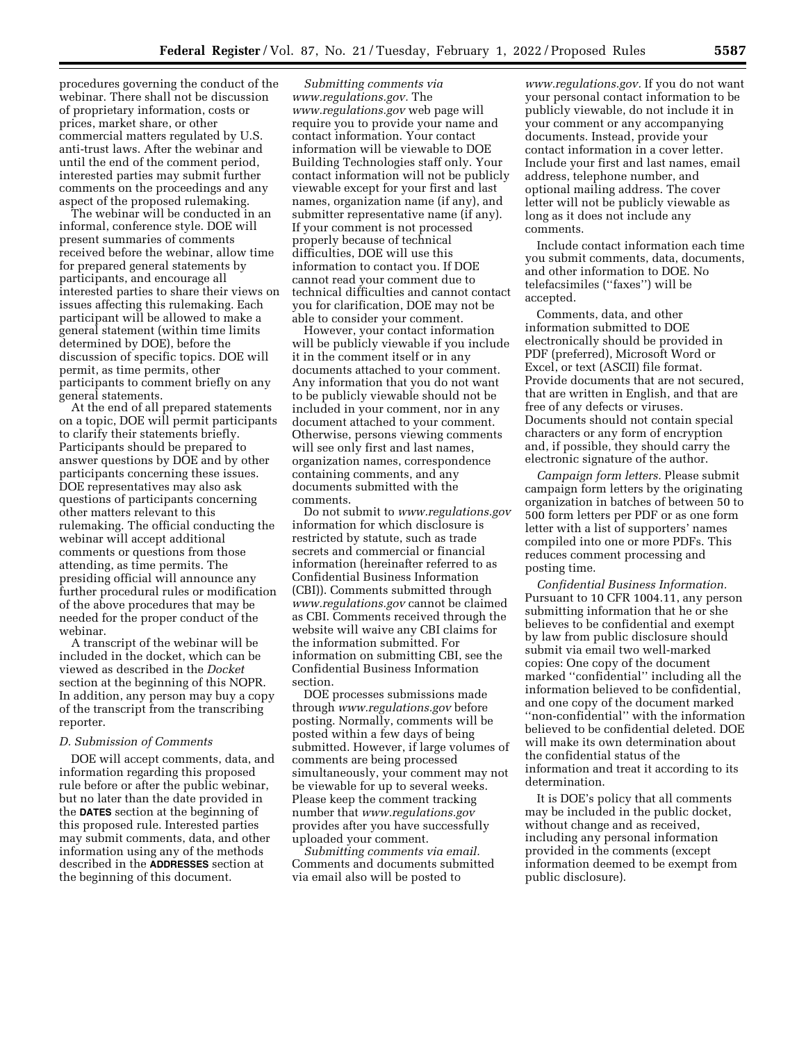procedures governing the conduct of the webinar. There shall not be discussion of proprietary information, costs or prices, market share, or other commercial matters regulated by U.S. anti-trust laws. After the webinar and until the end of the comment period, interested parties may submit further comments on the proceedings and any aspect of the proposed rulemaking.

The webinar will be conducted in an informal, conference style. DOE will present summaries of comments received before the webinar, allow time for prepared general statements by participants, and encourage all interested parties to share their views on issues affecting this rulemaking. Each participant will be allowed to make a general statement (within time limits determined by DOE), before the discussion of specific topics. DOE will permit, as time permits, other participants to comment briefly on any general statements.

At the end of all prepared statements on a topic, DOE will permit participants to clarify their statements briefly. Participants should be prepared to answer questions by DOE and by other participants concerning these issues. DOE representatives may also ask questions of participants concerning other matters relevant to this rulemaking. The official conducting the webinar will accept additional comments or questions from those attending, as time permits. The presiding official will announce any further procedural rules or modification of the above procedures that may be needed for the proper conduct of the webinar.

A transcript of the webinar will be included in the docket, which can be viewed as described in the *Docket*  section at the beginning of this NOPR. In addition, any person may buy a copy of the transcript from the transcribing reporter.

#### *D. Submission of Comments*

DOE will accept comments, data, and information regarding this proposed rule before or after the public webinar, but no later than the date provided in the **DATES** section at the beginning of this proposed rule. Interested parties may submit comments, data, and other information using any of the methods described in the **ADDRESSES** section at the beginning of this document.

*Submitting comments via [www.regulations.gov.](http://www.regulations.gov)* The *[www.regulations.gov](http://www.regulations.gov)* web page will require you to provide your name and contact information. Your contact information will be viewable to DOE Building Technologies staff only. Your contact information will not be publicly viewable except for your first and last names, organization name (if any), and submitter representative name (if any). If your comment is not processed properly because of technical difficulties, DOE will use this information to contact you. If DOE cannot read your comment due to technical difficulties and cannot contact you for clarification, DOE may not be able to consider your comment.

However, your contact information will be publicly viewable if you include it in the comment itself or in any documents attached to your comment. Any information that you do not want to be publicly viewable should not be included in your comment, nor in any document attached to your comment. Otherwise, persons viewing comments will see only first and last names, organization names, correspondence containing comments, and any documents submitted with the comments.

Do not submit to *[www.regulations.gov](http://www.regulations.gov)*  information for which disclosure is restricted by statute, such as trade secrets and commercial or financial information (hereinafter referred to as Confidential Business Information (CBI)). Comments submitted through *[www.regulations.gov](http://www.regulations.gov)* cannot be claimed as CBI. Comments received through the website will waive any CBI claims for the information submitted. For information on submitting CBI, see the Confidential Business Information section.

DOE processes submissions made through *[www.regulations.gov](http://www.regulations.gov)* before posting. Normally, comments will be posted within a few days of being submitted. However, if large volumes of comments are being processed simultaneously, your comment may not be viewable for up to several weeks. Please keep the comment tracking number that *[www.regulations.gov](http://www.regulations.gov)*  provides after you have successfully uploaded your comment.

*Submitting comments via email.*  Comments and documents submitted via email also will be posted to

*[www.regulations.gov.](http://www.regulations.gov)* If you do not want your personal contact information to be publicly viewable, do not include it in your comment or any accompanying documents. Instead, provide your contact information in a cover letter. Include your first and last names, email address, telephone number, and optional mailing address. The cover letter will not be publicly viewable as long as it does not include any comments.

Include contact information each time you submit comments, data, documents, and other information to DOE. No telefacsimiles (''faxes'') will be accepted.

Comments, data, and other information submitted to DOE electronically should be provided in PDF (preferred), Microsoft Word or Excel, or text (ASCII) file format. Provide documents that are not secured, that are written in English, and that are free of any defects or viruses. Documents should not contain special characters or any form of encryption and, if possible, they should carry the electronic signature of the author.

*Campaign form letters.* Please submit campaign form letters by the originating organization in batches of between 50 to 500 form letters per PDF or as one form letter with a list of supporters' names compiled into one or more PDFs. This reduces comment processing and posting time.

*Confidential Business Information.*  Pursuant to 10 CFR 1004.11, any person submitting information that he or she believes to be confidential and exempt by law from public disclosure should submit via email two well-marked copies: One copy of the document marked ''confidential'' including all the information believed to be confidential, and one copy of the document marked ''non-confidential'' with the information believed to be confidential deleted. DOE will make its own determination about the confidential status of the information and treat it according to its determination.

It is DOE's policy that all comments may be included in the public docket, without change and as received, including any personal information provided in the comments (except information deemed to be exempt from public disclosure).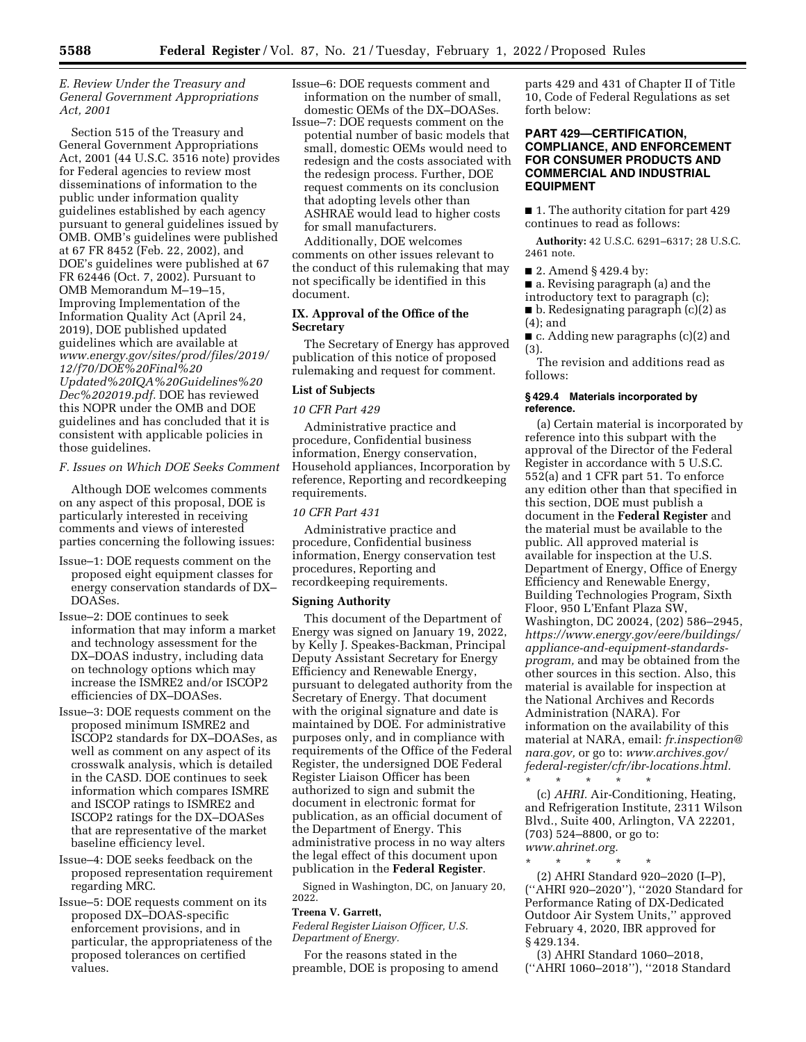# *E. Review Under the Treasury and General Government Appropriations Act, 2001*

Section 515 of the Treasury and General Government Appropriations Act, 2001 (44 U.S.C. 3516 note) provides for Federal agencies to review most disseminations of information to the public under information quality guidelines established by each agency pursuant to general guidelines issued by OMB. OMB's guidelines were published at 67 FR 8452 (Feb. 22, 2002), and DOE's guidelines were published at 67 FR 62446 (Oct. 7, 2002). Pursuant to OMB Memorandum M–19–15, Improving Implementation of the Information Quality Act (April 24, 2019), DOE published updated guidelines which are available at *[www.energy.gov/sites/prod/files/2019/](http://www.energy.gov/sites/prod/files/2019/12/f70/DOE%20Final%20Updated%20IQA%20Guidelines%20Dec%202019.pdf) [12/f70/DOE%20Final%20](http://www.energy.gov/sites/prod/files/2019/12/f70/DOE%20Final%20Updated%20IQA%20Guidelines%20Dec%202019.pdf) [Updated%20IQA%20Guidelines%20](http://www.energy.gov/sites/prod/files/2019/12/f70/DOE%20Final%20Updated%20IQA%20Guidelines%20Dec%202019.pdf) [Dec%202019.pdf.](http://www.energy.gov/sites/prod/files/2019/12/f70/DOE%20Final%20Updated%20IQA%20Guidelines%20Dec%202019.pdf)* DOE has reviewed this NOPR under the OMB and DOE guidelines and has concluded that it is consistent with applicable policies in those guidelines.

*F. Issues on Which DOE Seeks Comment* 

Although DOE welcomes comments on any aspect of this proposal, DOE is particularly interested in receiving comments and views of interested parties concerning the following issues:

- Issue–1: DOE requests comment on the proposed eight equipment classes for energy conservation standards of DX– DOASes.
- Issue–2: DOE continues to seek information that may inform a market and technology assessment for the DX–DOAS industry, including data on technology options which may increase the ISMRE2 and/or ISCOP2 efficiencies of DX–DOASes.
- Issue–3: DOE requests comment on the proposed minimum ISMRE2 and ISCOP2 standards for DX–DOASes, as well as comment on any aspect of its crosswalk analysis, which is detailed in the CASD. DOE continues to seek information which compares ISMRE and ISCOP ratings to ISMRE2 and ISCOP2 ratings for the DX–DOASes that are representative of the market baseline efficiency level.
- Issue–4: DOE seeks feedback on the proposed representation requirement regarding MRC.

Issue–5: DOE requests comment on its proposed DX–DOAS-specific enforcement provisions, and in particular, the appropriateness of the proposed tolerances on certified values.

Issue–6: DOE requests comment and information on the number of small, domestic OEMs of the DX–DOASes.

Issue–7: DOE requests comment on the potential number of basic models that small, domestic OEMs would need to redesign and the costs associated with the redesign process. Further, DOE request comments on its conclusion that adopting levels other than ASHRAE would lead to higher costs for small manufacturers.

Additionally, DOE welcomes comments on other issues relevant to the conduct of this rulemaking that may not specifically be identified in this document.

# **IX. Approval of the Office of the Secretary**

The Secretary of Energy has approved publication of this notice of proposed rulemaking and request for comment.

# **List of Subjects**

### *10 CFR Part 429*

Administrative practice and procedure, Confidential business information, Energy conservation, Household appliances, Incorporation by reference, Reporting and recordkeeping requirements.

## *10 CFR Part 431*

Administrative practice and procedure, Confidential business information, Energy conservation test procedures, Reporting and recordkeeping requirements.

# **Signing Authority**

This document of the Department of Energy was signed on January 19, 2022, by Kelly J. Speakes-Backman, Principal Deputy Assistant Secretary for Energy Efficiency and Renewable Energy, pursuant to delegated authority from the Secretary of Energy. That document with the original signature and date is maintained by DOE. For administrative purposes only, and in compliance with requirements of the Office of the Federal Register, the undersigned DOE Federal Register Liaison Officer has been authorized to sign and submit the document in electronic format for publication, as an official document of the Department of Energy. This administrative process in no way alters the legal effect of this document upon publication in the **Federal Register**.

Signed in Washington, DC, on January 20, 2022.

### **Treena V. Garrett,**

*Federal Register Liaison Officer, U.S. Department of Energy.* 

For the reasons stated in the preamble, DOE is proposing to amend parts 429 and 431 of Chapter II of Title 10, Code of Federal Regulations as set forth below:

# **PART 429—CERTIFICATION, COMPLIANCE, AND ENFORCEMENT FOR CONSUMER PRODUCTS AND COMMERCIAL AND INDUSTRIAL EQUIPMENT**

■ 1. The authority citation for part 429 continues to read as follows:

**Authority:** 42 U.S.C. 6291–6317; 28 U.S.C. 2461 note.

■ 2. Amend § 429.4 by:

■ a. Revising paragraph (a) and the

introductory text to paragraph (c);

- b. Redesignating paragraph (c)(2) as (4); and
- c. Adding new paragraphs (c)(2) and (3).

The revision and additions read as follows:

### **§ 429.4 Materials incorporated by reference.**

(a) Certain material is incorporated by reference into this subpart with the approval of the Director of the Federal Register in accordance with 5 U.S.C. 552(a) and 1 CFR part 51. To enforce any edition other than that specified in this section, DOE must publish a document in the **Federal Register** and the material must be available to the public. All approved material is available for inspection at the U.S. Department of Energy, Office of Energy Efficiency and Renewable Energy, Building Technologies Program, Sixth Floor, 950 L'Enfant Plaza SW, Washington, DC 20024, (202) 586–2945, *[https://www.energy.gov/eere/buildings/](https://www.energy.gov/eere/buildings/appliance-and-equipment-standards-program)  [appliance-and-equipment-standards](https://www.energy.gov/eere/buildings/appliance-and-equipment-standards-program)[program,](https://www.energy.gov/eere/buildings/appliance-and-equipment-standards-program)* and may be obtained from the other sources in this section. Also, this material is available for inspection at the National Archives and Records Administration (NARA). For information on the availability of this material at NARA, email: *[fr.inspection@](mailto:fr.inspection@nara.gov) [nara.gov,](mailto:fr.inspection@nara.gov)* or go to: *[www.archives.gov/](http://www.archives.gov/federal-register/cfr/ibr-locations.html) [federal-register/cfr/ibr-locations.html.](http://www.archives.gov/federal-register/cfr/ibr-locations.html)*  \* \* \* \* \*

(c) *AHRI.* Air-Conditioning, Heating, and Refrigeration Institute, 2311 Wilson Blvd., Suite 400, Arlington, VA 22201, (703) 524–8800, or go to: *[www.ahrinet.org.](http://www.ahrinet.org)* 

\* \* \* \* \*

(2) AHRI Standard 920–2020 (I–P), (''AHRI 920–2020''), ''2020 Standard for Performance Rating of DX-Dedicated Outdoor Air System Units,'' approved February 4, 2020, IBR approved for § 429.134.

(3) AHRI Standard 1060–2018, (''AHRI 1060–2018''), ''2018 Standard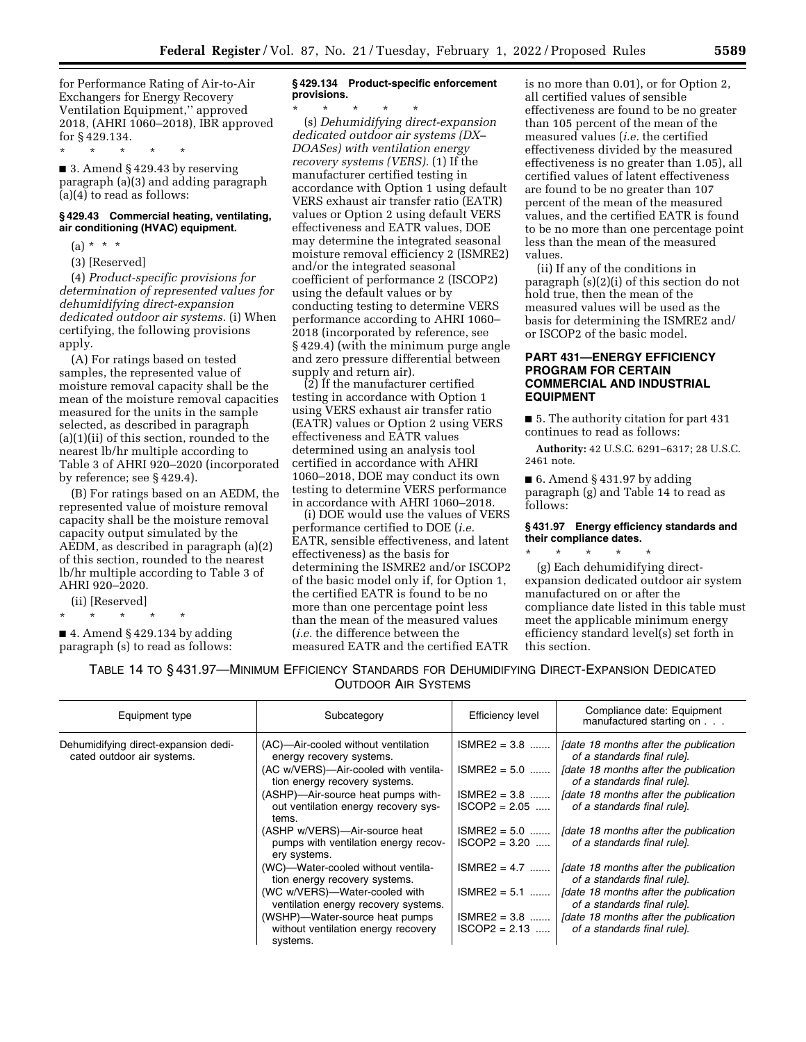for Performance Rating of Air-to-Air Exchangers for Energy Recovery Ventilation Equipment,'' approved 2018, (AHRI 1060–2018), IBR approved for § 429.134.

\* \* \* \* \*

■ 3. Amend § 429.43 by reserving paragraph (a)(3) and adding paragraph (a)(4) to read as follows:

# **§ 429.43 Commercial heating, ventilating, air conditioning (HVAC) equipment.**

- $(a) * * * *$
- (3) [Reserved]

(4) *Product-specific provisions for determination of represented values for dehumidifying direct-expansion dedicated outdoor air systems.* (i) When certifying, the following provisions apply.

(A) For ratings based on tested samples, the represented value of moisture removal capacity shall be the mean of the moisture removal capacities measured for the units in the sample selected, as described in paragraph (a)(1)(ii) of this section, rounded to the nearest lb/hr multiple according to Table 3 of AHRI 920–2020 (incorporated by reference; see § 429.4).

(B) For ratings based on an AEDM, the represented value of moisture removal capacity shall be the moisture removal capacity output simulated by the AEDM, as described in paragraph (a)(2) of this section, rounded to the nearest lb/hr multiple according to Table 3 of AHRI 920–2020.

(ii) [Reserved]

\* \* \* \* \*

 $\blacksquare$  4. Amend § 429.134 by adding paragraph (s) to read as follows:

# **§ 429.134 Product-specific enforcement provisions.**

\* \* \* \* \* (s) *Dehumidifying direct-expansion dedicated outdoor air systems (DX– DOASes) with ventilation energy recovery systems (VERS).* (1) If the manufacturer certified testing in accordance with Option 1 using default VERS exhaust air transfer ratio (EATR) values or Option 2 using default VERS effectiveness and EATR values, DOE may determine the integrated seasonal moisture removal efficiency 2 (ISMRE2) and/or the integrated seasonal coefficient of performance 2 (ISCOP2) using the default values or by conducting testing to determine VERS performance according to AHRI 1060– 2018 (incorporated by reference, see § 429.4) (with the minimum purge angle and zero pressure differential between supply and return air).

(2) If the manufacturer certified testing in accordance with Option 1 using VERS exhaust air transfer ratio (EATR) values or Option 2 using VERS effectiveness and EATR values determined using an analysis tool certified in accordance with AHRI 1060–2018, DOE may conduct its own testing to determine VERS performance in accordance with AHRI 1060–2018.

(i) DOE would use the values of VERS performance certified to DOE (*i.e.*  EATR, sensible effectiveness, and latent effectiveness) as the basis for determining the ISMRE2 and/or ISCOP2 of the basic model only if, for Option 1, the certified EATR is found to be no more than one percentage point less than the mean of the measured values (*i.e.* the difference between the measured EATR and the certified EATR

is no more than 0.01), or for Option 2, all certified values of sensible effectiveness are found to be no greater than 105 percent of the mean of the measured values (*i.e.* the certified effectiveness divided by the measured effectiveness is no greater than 1.05), all certified values of latent effectiveness are found to be no greater than 107 percent of the mean of the measured values, and the certified EATR is found to be no more than one percentage point less than the mean of the measured values.

(ii) If any of the conditions in paragraph (s)(2)(i) of this section do not hold true, then the mean of the measured values will be used as the basis for determining the ISMRE2 and/ or ISCOP2 of the basic model.

# **PART 431—ENERGY EFFICIENCY PROGRAM FOR CERTAIN COMMERCIAL AND INDUSTRIAL EQUIPMENT**

■ 5. The authority citation for part 431 continues to read as follows:

**Authority:** 42 U.S.C. 6291–6317; 28 U.S.C. 2461 note.

■ 6. Amend § 431.97 by adding paragraph (g) and Table 14 to read as follows:

### **§ 431.97 Energy efficiency standards and their compliance dates.**

\* \* \* \* \* (g) Each dehumidifying directexpansion dedicated outdoor air system manufactured on or after the compliance date listed in this table must meet the applicable minimum energy efficiency standard level(s) set forth in this section.

| TABLE 14 TO §431.97—MINIMUM EFFICIENCY STANDARDS FOR DEHUMIDIFYING DIRECT-EXPANSION DEDICATED |  |
|-----------------------------------------------------------------------------------------------|--|
| <b>OUTDOOR AIR SYSTEMS</b>                                                                    |  |

| Equipment type                                                     | Subcategory                                                                                                                                                                                                                                                      | <b>Efficiency level</b>                                                                 | Compliance date: Equipment<br>manufactured starting on                                                                                                                                                                                                        |
|--------------------------------------------------------------------|------------------------------------------------------------------------------------------------------------------------------------------------------------------------------------------------------------------------------------------------------------------|-----------------------------------------------------------------------------------------|---------------------------------------------------------------------------------------------------------------------------------------------------------------------------------------------------------------------------------------------------------------|
| Dehumidifying direct-expansion dedi-<br>cated outdoor air systems. | (AC)—Air-cooled without ventilation<br>energy recovery systems.<br>(AC w/VERS)-Air-cooled with ventila-<br>tion energy recovery systems.<br>(ASHP)-Air-source heat pumps with-<br>out ventilation energy recovery sys-<br>tems.<br>(ASHP w/VERS)—Air-source heat | $ISMRE2 = 3.8$<br>$ISMRE2 = 5.0$<br>$ISMRE2 = 3.8$<br>$ISCOP2 = 2.05$<br>$ISMRE2 = 5.0$ | Idate 18 months after the publication<br>of a standards final rule].<br>Idate 18 months after the publication<br>of a standards final rule].<br>Idate 18 months after the publication<br>of a standards final rule].<br>Idate 18 months after the publication |
|                                                                    | pumps with ventilation energy recov-<br>ery systems.<br>(WC)—Water-cooled without ventila-                                                                                                                                                                       | $ISCOP2 = 3.20$<br>$ISMRE2 = 4.7$                                                       | of a standards final rule].<br>[date 18 months after the publication]                                                                                                                                                                                         |
|                                                                    | tion energy recovery systems.                                                                                                                                                                                                                                    |                                                                                         | of a standards final rule].                                                                                                                                                                                                                                   |
|                                                                    | (WC w/VERS)-Water-cooled with<br>ventilation energy recovery systems.                                                                                                                                                                                            | $ISMRE2 = 5.1$                                                                          | Idate 18 months after the publication<br>of a standards final rule].                                                                                                                                                                                          |
|                                                                    | (WSHP)-Water-source heat pumps<br>without ventilation energy recovery<br>systems.                                                                                                                                                                                | $ SMRE2 = 3.8$<br>$ISCOP2 = 2.13$                                                       | Idate 18 months after the publication<br>of a standards final rule].                                                                                                                                                                                          |